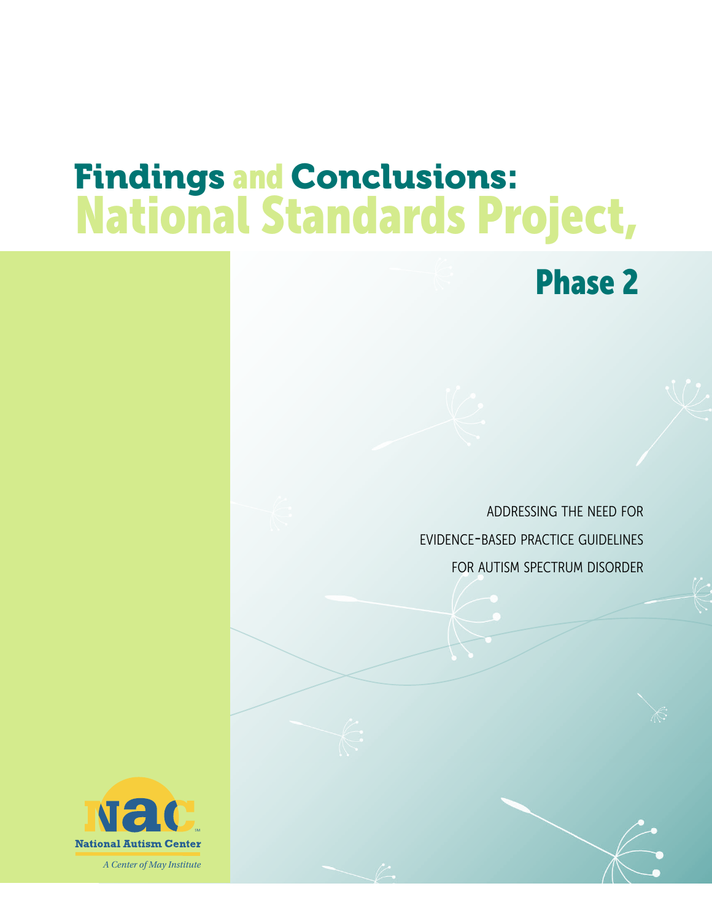# Findings and Conclusions: National Standards Project,

Phase 2

addressing the need for evidence-based practice guidelines for autism spectrum disorder

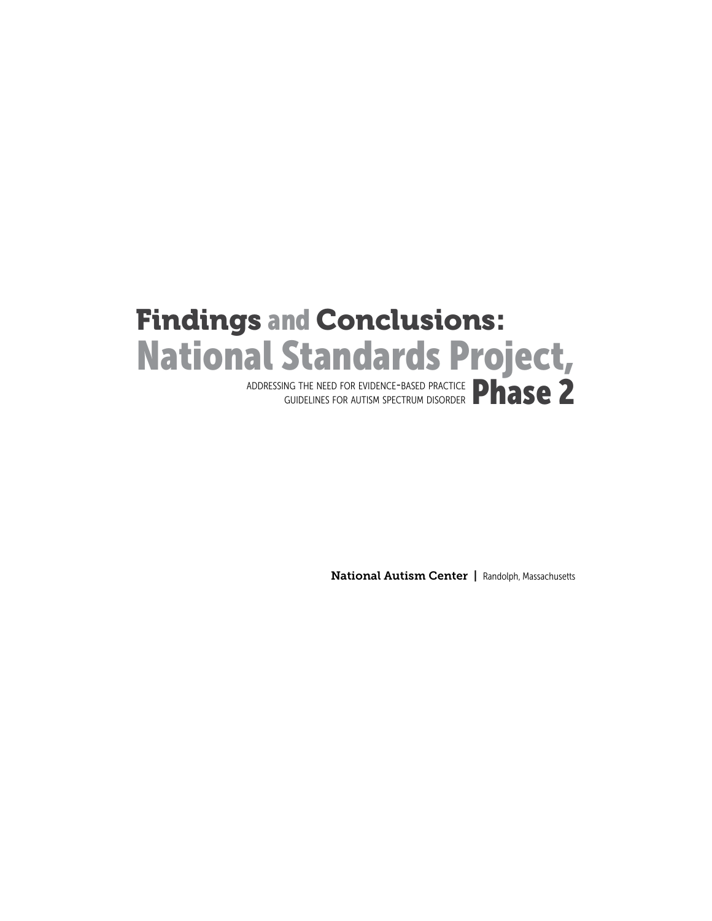# Findings and Conclusions: National Standards Project,

ADDRESSING THE NEED FOR EVIDENCE-BASED PRACTICE **Phase** 2 guidelines for autism spectrum disorder

National Autism Center | Randolph, Massachusetts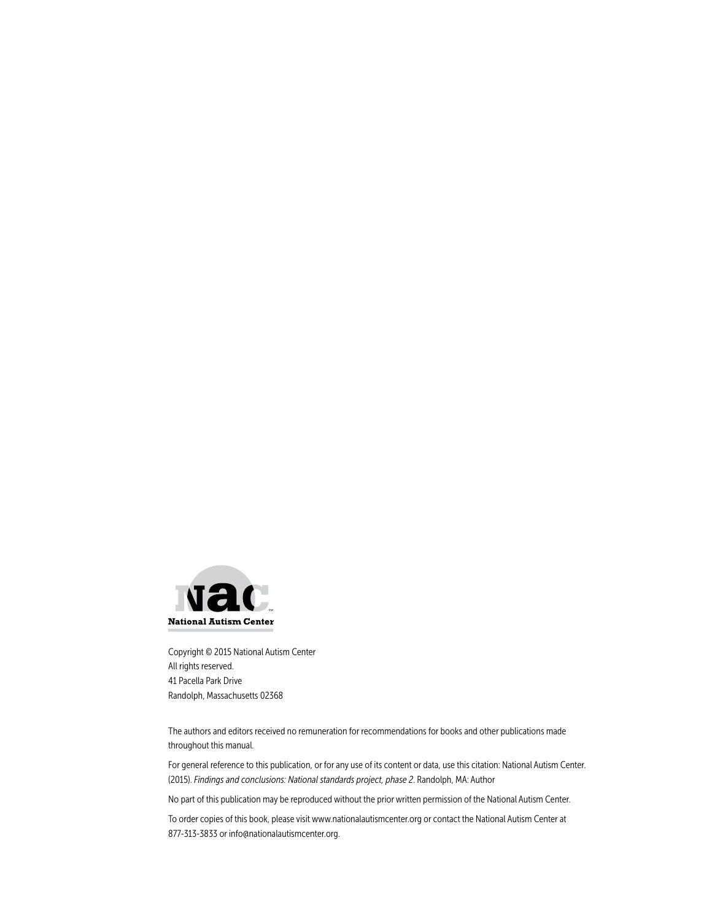

Copyright © 2015 National Autism Center All rights reserved. 41 Pacella Park Drive Randolph, Massachusetts 02368

The authors and editors received no remuneration for recommendations for books and other publications made throughout this manual.

For general reference to this publication, or for any use of its content or data, use this citation: National Autism Center. (2015). *Findings and conclusions: National standards project, phase 2*. Randolph, MA: Author

No part of this publication may be reproduced without the prior written permission of the National Autism Center.

To order copies of this book, please visit www.nationalautismcenter.org or contact the National Autism Center at 877-313-3833 or info@nationalautismcenter.org.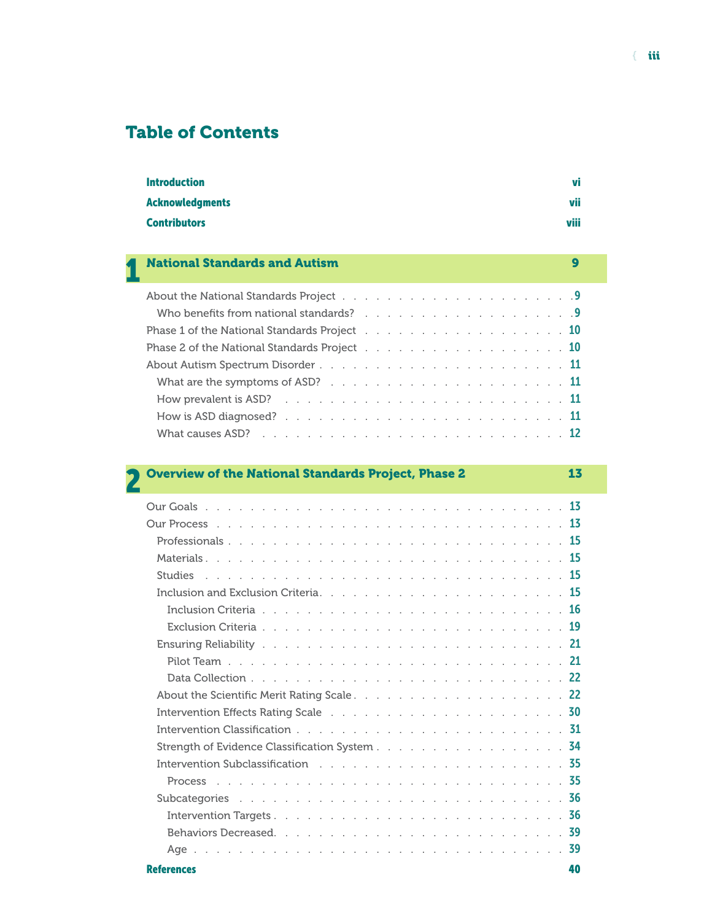## Table of Contents

| <b>Introduction</b> | vi   |
|---------------------|------|
| Acknowledgments     | vii  |
| <b>Contributors</b> | viii |

# 1 National Standards and Autism 9

| Phase 1 of the National Standards Project $\ldots$ 10 |  |
|-------------------------------------------------------|--|
| Phase 2 of the National Standards Project $\ldots$ 10 |  |
|                                                       |  |
| What are the symptoms of ASD? $\ldots$ , , , , , , 11 |  |
|                                                       |  |
|                                                       |  |
|                                                       |  |
|                                                       |  |

| <b>Overview of the National Standards Project, Phase 2</b>                                                                                                                                                                     | 13        |
|--------------------------------------------------------------------------------------------------------------------------------------------------------------------------------------------------------------------------------|-----------|
|                                                                                                                                                                                                                                |           |
|                                                                                                                                                                                                                                |           |
|                                                                                                                                                                                                                                |           |
|                                                                                                                                                                                                                                |           |
| <b>Studies</b>                                                                                                                                                                                                                 |           |
|                                                                                                                                                                                                                                | <b>15</b> |
|                                                                                                                                                                                                                                |           |
|                                                                                                                                                                                                                                |           |
|                                                                                                                                                                                                                                |           |
|                                                                                                                                                                                                                                |           |
|                                                                                                                                                                                                                                |           |
|                                                                                                                                                                                                                                |           |
|                                                                                                                                                                                                                                |           |
| Intervention Classification $\ldots$ , $\ldots$ , $\ldots$ , $\ldots$ , $\ldots$ , $\ldots$ , $\ldots$ , $\ldots$ , $\frac{31}{21}$                                                                                            |           |
| Strength of Evidence Classification System 34                                                                                                                                                                                  |           |
| Intervention Subclassification the contract of the contract of the contract of the state of the contract of the contract of the contract of the contract of the contract of the contract of the contract of the contract of th |           |
| Process                                                                                                                                                                                                                        |           |
| Subcategories                                                                                                                                                                                                                  |           |
|                                                                                                                                                                                                                                |           |
|                                                                                                                                                                                                                                | - 39      |
| Age.                                                                                                                                                                                                                           |           |
| <b>References</b>                                                                                                                                                                                                              | 40        |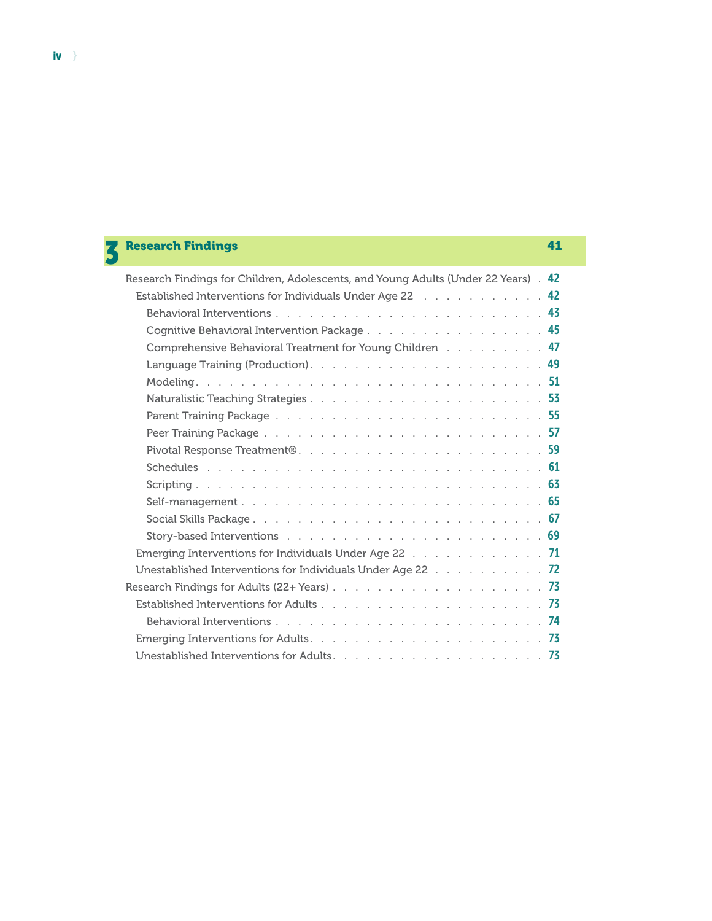| <b>Research Findings</b>                                                            | 41  |
|-------------------------------------------------------------------------------------|-----|
| Research Findings for Children, Adolescents, and Young Adults (Under 22 Years) . 42 |     |
| Established Interventions for Individuals Under Age 22 Tata Alberts Alberts 1942    |     |
|                                                                                     |     |
|                                                                                     |     |
| Cognitive Behavioral Intervention Package 45                                        |     |
| Comprehensive Behavioral Treatment for Young Children 47                            |     |
|                                                                                     |     |
|                                                                                     |     |
|                                                                                     |     |
|                                                                                     |     |
|                                                                                     |     |
| Pivotal Response Treatment®59                                                       |     |
|                                                                                     |     |
|                                                                                     |     |
|                                                                                     |     |
|                                                                                     |     |
|                                                                                     |     |
|                                                                                     |     |
| Emerging Interventions for Individuals Under Age 22 $\ldots$ ,    71                |     |
| Unestablished Interventions for Individuals Under Age 22 72                         |     |
|                                                                                     |     |
|                                                                                     |     |
|                                                                                     |     |
|                                                                                     |     |
|                                                                                     | -73 |

iv  $\rangle$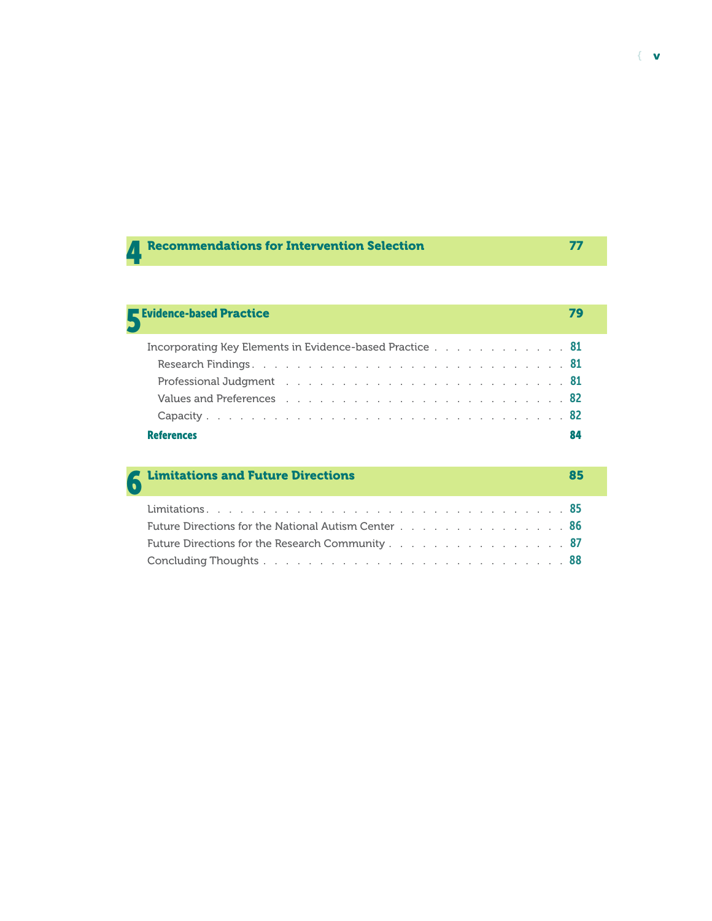| Recommendations for Intervention Selection |  |
|--------------------------------------------|--|
|                                            |  |

# Evidence-based Practice 79

| Incorporating Key Elements in Evidence-based Practice $\ldots$ 81                                             |  |
|---------------------------------------------------------------------------------------------------------------|--|
|                                                                                                               |  |
| Professional Judgment (a) and a subset of the contract of the contract of the contract of the Professional St |  |
|                                                                                                               |  |
|                                                                                                               |  |
| <b>References</b>                                                                                             |  |

| <b>6</b> Limitations and Future Directions                 |  |
|------------------------------------------------------------|--|
|                                                            |  |
| <b>Future Directions for the National Autism Center</b> 86 |  |
| <b>Future Directions for the Research Community</b> 87     |  |
|                                                            |  |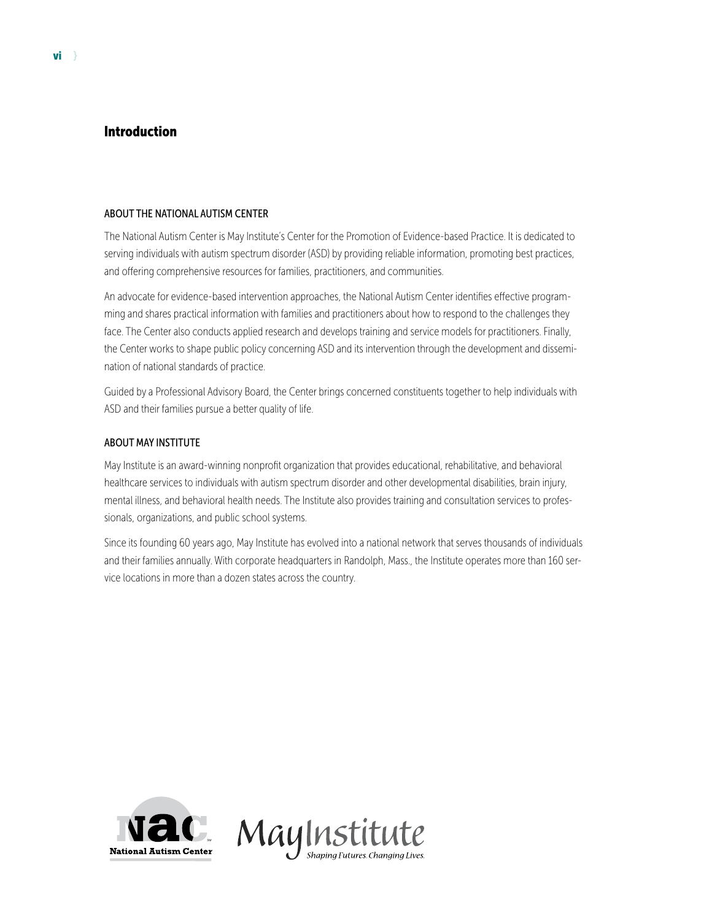#### Introduction

#### ABOUT THE NATIONAL AUTISM CENTER

The National Autism Center is May Institute's Center for the Promotion of Evidence-based Practice. It is dedicated to serving individuals with autism spectrum disorder (ASD) by providing reliable information, promoting best practices, and offering comprehensive resources for families, practitioners, and communities.

An advocate for evidence-based intervention approaches, the National Autism Center identifies effective programming and shares practical information with families and practitioners about how to respond to the challenges they face. The Center also conducts applied research and develops training and service models for practitioners. Finally, the Center works to shape public policy concerning ASD and its intervention through the development and dissemination of national standards of practice.

Guided by a Professional Advisory Board, the Center brings concerned constituents together to help individuals with ASD and their families pursue a better quality of life.

#### ABOUT MAY INSTITUTE

May Institute is an award-winning nonprofit organization that provides educational, rehabilitative, and behavioral healthcare services to individuals with autism spectrum disorder and other developmental disabilities, brain injury, mental illness, and behavioral health needs. The Institute also provides training and consultation services to professionals, organizations, and public school systems.

Since its founding 60 years ago, May Institute has evolved into a national network that serves thousands of individuals and their families annually. With corporate headquarters in Randolph, Mass., the Institute operates more than 160 service locations in more than a dozen states across the country.



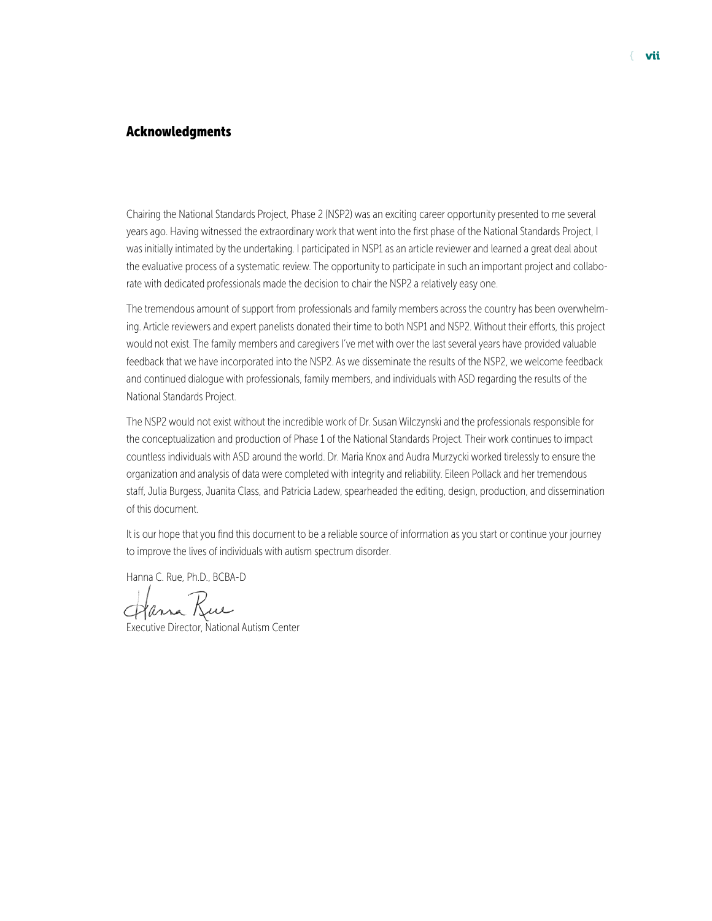#### Acknowledgments

Chairing the National Standards Project, Phase 2 (NSP2) was an exciting career opportunity presented to me several years ago. Having witnessed the extraordinary work that went into the first phase of the National Standards Project, I was initially intimated by the undertaking. I participated in NSP1 as an article reviewer and learned a great deal about the evaluative process of a systematic review. The opportunity to participate in such an important project and collaborate with dedicated professionals made the decision to chair the NSP2 a relatively easy one.

The tremendous amount of support from professionals and family members across the country has been overwhelming. Article reviewers and expert panelists donated their time to both NSP1 and NSP2. Without their efforts, this project would not exist. The family members and caregivers I've met with over the last several years have provided valuable feedback that we have incorporated into the NSP2. As we disseminate the results of the NSP2, we welcome feedback and continued dialogue with professionals, family members, and individuals with ASD regarding the results of the National Standards Project.

The NSP2 would not exist without the incredible work of Dr. Susan Wilczynski and the professionals responsible for the conceptualization and production of Phase 1 of the National Standards Project. Their work continues to impact countless individuals with ASD around the world. Dr. Maria Knox and Audra Murzycki worked tirelessly to ensure the organization and analysis of data were completed with integrity and reliability. Eileen Pollack and her tremendous staff, Julia Burgess, Juanita Class, and Patricia Ladew, spearheaded the editing, design, production, and dissemination of this document.

It is our hope that you find this document to be a reliable source of information as you start or continue your journey to improve the lives of individuals with autism spectrum disorder.

Hanna C. Rue, Ph.D., BCBA-D

Harra Kue

Executive Director, National Autism Center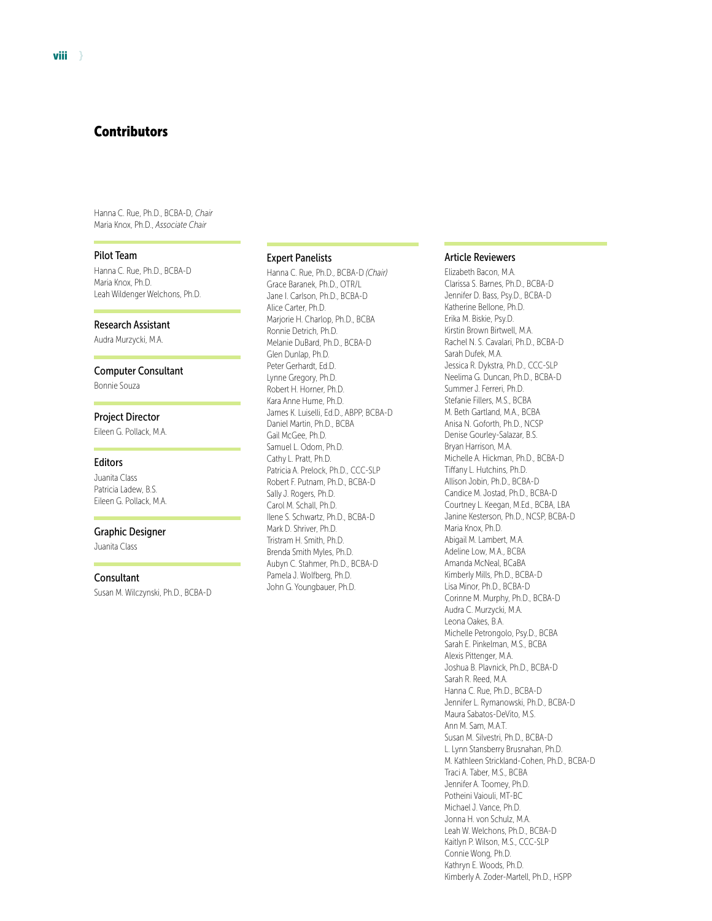Hanna C. Rue, Ph.D., BCBA-D, *Chair* Maria Knox, Ph.D., *Associate Chair*

#### Pilot Team

Hanna C. Rue, Ph.D., BCBA-D Maria Knox, Ph.D. Leah Wildenger Welchons, Ph.D.

#### Research Assistant

Audra Murzycki, M.A.

#### Computer Consultant

Bonnie Souza

#### Project Director

Eileen G. Pollack, M.A.

#### Editors

Juanita Class Patricia Ladew, B.S. Eileen G. Pollack, M.A.

#### Graphic Designer

Juanita Class

#### **Consultant**

Susan M. Wilczynski, Ph.D., BCBA-D

#### Expert Panelists

Hanna C. Rue, Ph.D., BCBA-D *(Chair)* Grace Baranek, Ph.D., OTR/L Jane I. Carlson, Ph.D., BCBA-D Alice Carter, Ph.D. Marjorie H. Charlop, Ph.D., BCBA Ronnie Detrich, Ph.D. Melanie DuBard, Ph.D., BCBA-D Glen Dunlap, Ph.D. Peter Gerhardt, Ed.D. Lynne Gregory, Ph.D. Robert H. Horner, Ph.D. Kara Anne Hume, Ph.D. James K. Luiselli, Ed.D., ABPP, BCBA-D Daniel Martin, Ph.D., BCBA Gail McGee, Ph.D. Samuel L. Odom, Ph.D. Cathy L. Pratt, Ph.D. Patricia A. Prelock, Ph.D., CCC-SLP Robert F. Putnam, Ph.D., BCBA-D Sally J. Rogers, Ph.D. Carol M. Schall, Ph.D. Ilene S. Schwartz, Ph.D., BCBA-D Mark D. Shriver, Ph.D. Tristram H. Smith, Ph.D. Brenda Smith Myles, Ph.D. Aubyn C. Stahmer, Ph.D., BCBA-D Pamela J. Wolfberg, Ph.D. John G. Youngbauer, Ph.D.

#### Article Reviewers

Elizabeth Bacon, M.A. Clarissa S. Barnes, Ph.D., BCBA-D Jennifer D. Bass, Psy.D., BCBA-D Katherine Bellone, Ph.D. Erika M. Biskie, Psy.D. Kirstin Brown Birtwell, M.A. Rachel N. S. Cavalari, Ph.D., BCBA-D Sarah Dufek, M.A. Jessica R. Dykstra, Ph.D., CCC-SLP Neelima G. Duncan, Ph.D., BCBA-D Summer J. Ferreri, Ph.D. Stefanie Fillers, M.S., BCBA M. Beth Gartland, M.A., BCBA Anisa N. Goforth, Ph.D., NCSP Denise Gourley-Salazar, B.S. Bryan Harrison, M.A. Michelle A. Hickman, Ph.D., BCBA-D Tiffany L. Hutchins, Ph.D. Allison Jobin, Ph.D., BCBA-D Candice M. Jostad, Ph.D., BCBA-D Courtney L. Keegan, M.Ed., BCBA, LBA Janine Kesterson, Ph.D., NCSP, BCBA-D Maria Knox, Ph.D. Abigail M. Lambert, M.A. Adeline Low, M.A., BCBA Amanda McNeal, BCaBA Kimberly Mills, Ph.D., BCBA-D Lisa Minor, Ph.D., BCBA-D Corinne M. Murphy, Ph.D., BCBA-D Audra C. Murzycki, M.A. Leona Oakes, B.A. Michelle Petrongolo, Psy.D., BCBA Sarah E. Pinkelman, M.S., BCBA Alexis Pittenger, M.A. Joshua B. Plavnick, Ph.D., BCBA-D Sarah R. Reed, M.A. Hanna C. Rue, Ph.D., BCBA-D Jennifer L. Rymanowski, Ph.D., BCBA-D Maura Sabatos-DeVito, M.S. Ann M. Sam, M.A.T. Susan M. Silvestri, Ph.D., BCBA-D L. Lynn Stansberry Brusnahan, Ph.D. M. Kathleen Strickland-Cohen, Ph.D., BCBA-D Traci A. Taber, M.S., BCBA Jennifer A. Toomey, Ph.D. Potheini Vaiouli, MT-BC Michael J. Vance, Ph.D. Jonna H. von Schulz, M.A. Leah W. Welchons, Ph.D., BCBA-D Kaitlyn P. Wilson, M.S., CCC-SLP Connie Wong, Ph.D. Kathryn E. Woods, Ph.D. Kimberly A. Zoder-Martell, Ph.D., HSPP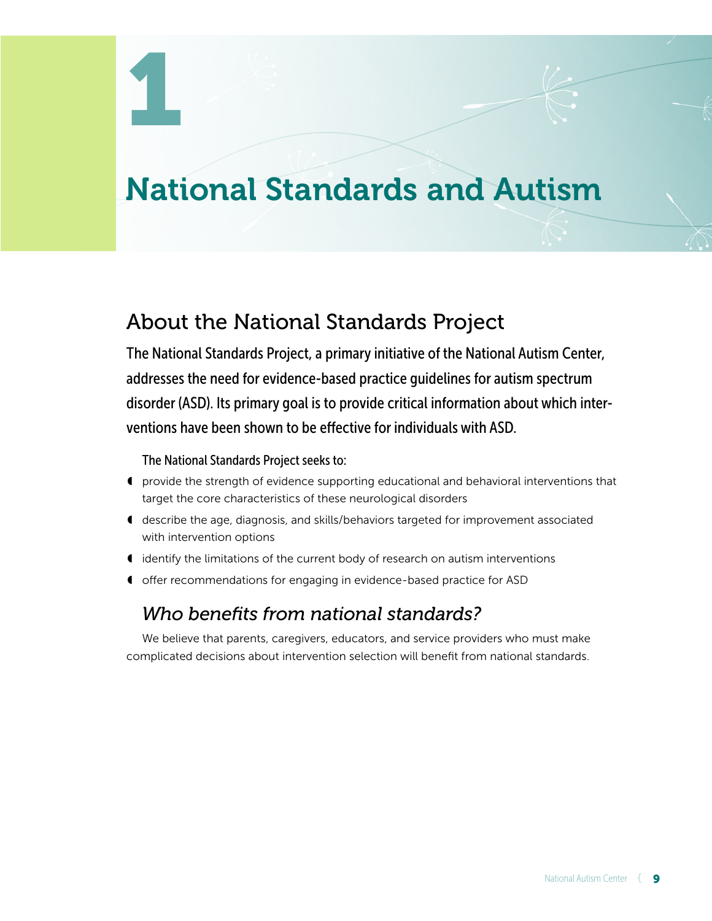# National Standards and Autism

# About the National Standards Project

The National Standards Project, a primary initiative of the National Autism Center, addresses the need for evidence-based practice guidelines for autism spectrum disorder (ASD). Its primary goal is to provide critical information about which interventions have been shown to be effective for individuals with ASD.

The National Standards Project seeks to:

- ◖ provide the strength of evidence supporting educational and behavioral interventions that target the core characteristics of these neurological disorders
- ◖ describe the age, diagnosis, and skills/behaviors targeted for improvement associated with intervention options
- ◖ identify the limitations of the current body of research on autism interventions
- ◖ offer recommendations for engaging in evidence-based practice for ASD

## *Who benefits from national standards?*

We believe that parents, caregivers, educators, and service providers who must make complicated decisions about intervention selection will benefit from national standards.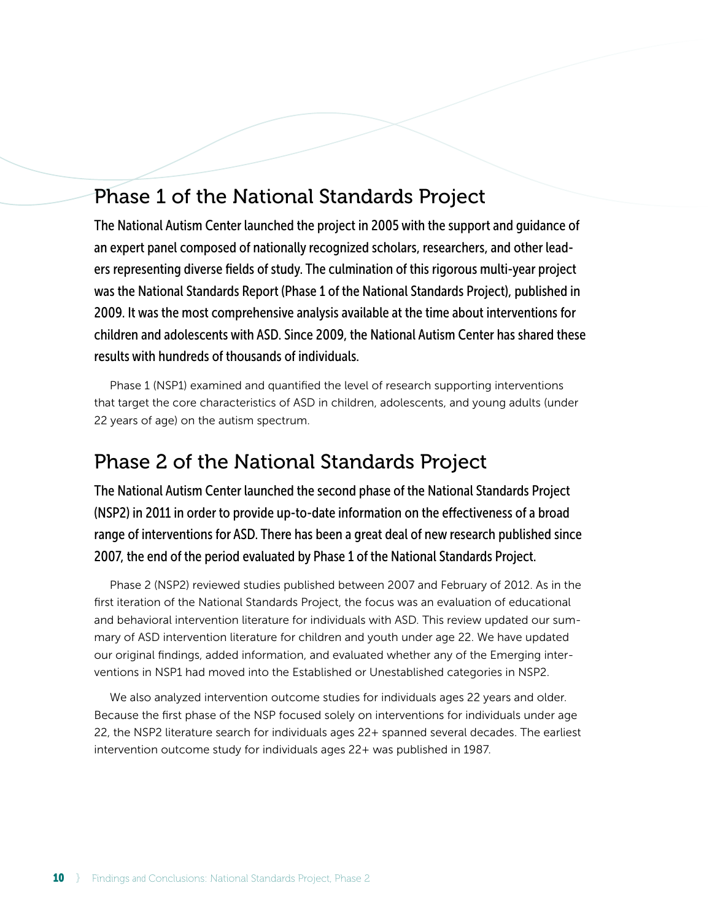# Phase 1 of the National Standards Project

The National Autism Center launched the project in 2005 with the support and guidance of an expert panel composed of nationally recognized scholars, researchers, and other leaders representing diverse fields of study. The culmination of this rigorous multi-year project was the National Standards Report (Phase 1 of the National Standards Project), published in 2009. It was the most comprehensive analysis available at the time about interventions for children and adolescents with ASD. Since 2009, the National Autism Center has shared these results with hundreds of thousands of individuals.

Phase 1 (NSP1) examined and quantified the level of research supporting interventions that target the core characteristics of ASD in children, adolescents, and young adults (under 22 years of age) on the autism spectrum.

# Phase 2 of the National Standards Project

The National Autism Center launched the second phase of the National Standards Project (NSP2) in 2011 in order to provide up-to-date information on the effectiveness of a broad range of interventions for ASD. There has been a great deal of new research published since 2007, the end of the period evaluated by Phase 1 of the National Standards Project.

Phase 2 (NSP2) reviewed studies published between 2007 and February of 2012. As in the first iteration of the National Standards Project, the focus was an evaluation of educational and behavioral intervention literature for individuals with ASD. This review updated our summary of ASD intervention literature for children and youth under age 22. We have updated our original findings, added information, and evaluated whether any of the Emerging interventions in NSP1 had moved into the Established or Unestablished categories in NSP2.

We also analyzed intervention outcome studies for individuals ages 22 years and older. Because the first phase of the NSP focused solely on interventions for individuals under age 22, the NSP2 literature search for individuals ages 22+ spanned several decades. The earliest intervention outcome study for individuals ages 22+ was published in 1987.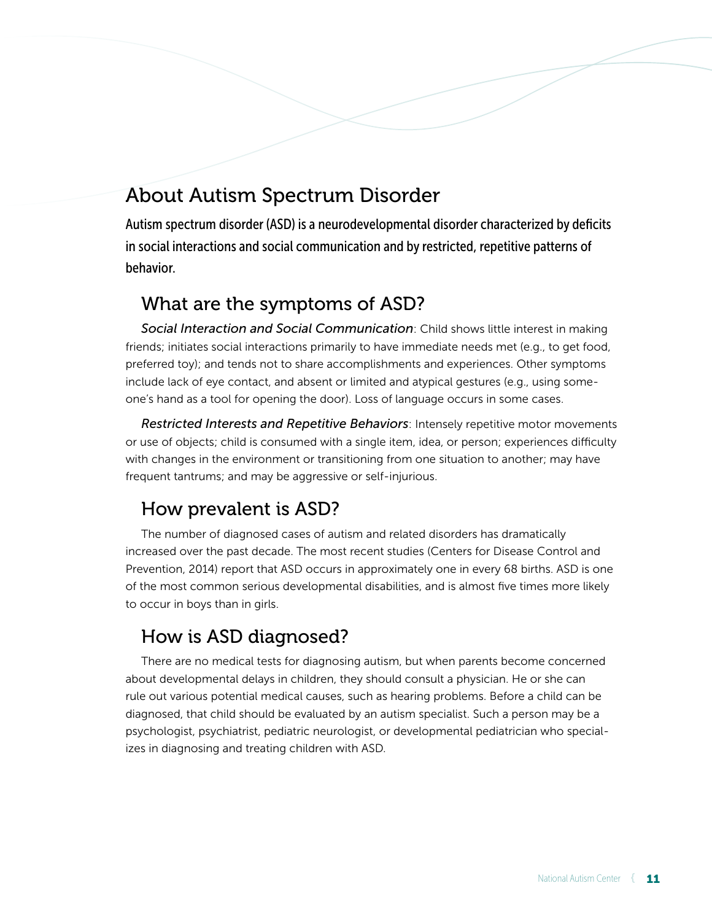# About Autism Spectrum Disorder

Autism spectrum disorder (ASD) is a neurodevelopmental disorder characterized by deficits in social interactions and social communication and by restricted, repetitive patterns of behavior.

### What are the symptoms of ASD?

*Social Interaction and Social Communication*: Child shows little interest in making friends; initiates social interactions primarily to have immediate needs met (e.g., to get food, preferred toy); and tends not to share accomplishments and experiences. Other symptoms include lack of eye contact, and absent or limited and atypical gestures (e.g., using someone's hand as a tool for opening the door). Loss of language occurs in some cases.

*Restricted Interests and Repetitive Behaviors*: Intensely repetitive motor movements or use of objects; child is consumed with a single item, idea, or person; experiences difficulty with changes in the environment or transitioning from one situation to another; may have frequent tantrums; and may be aggressive or self-injurious.

# How prevalent is ASD?

The number of diagnosed cases of autism and related disorders has dramatically increased over the past decade. The most recent studies (Centers for Disease Control and Prevention, 2014) report that ASD occurs in approximately one in every 68 births. ASD is one of the most common serious developmental disabilities, and is almost five times more likely to occur in boys than in girls.

# How is ASD diagnosed?

There are no medical tests for diagnosing autism, but when parents become concerned about developmental delays in children, they should consult a physician. He or she can rule out various potential medical causes, such as hearing problems. Before a child can be diagnosed, that child should be evaluated by an autism specialist. Such a person may be a psychologist, psychiatrist, pediatric neurologist, or developmental pediatrician who specializes in diagnosing and treating children with ASD.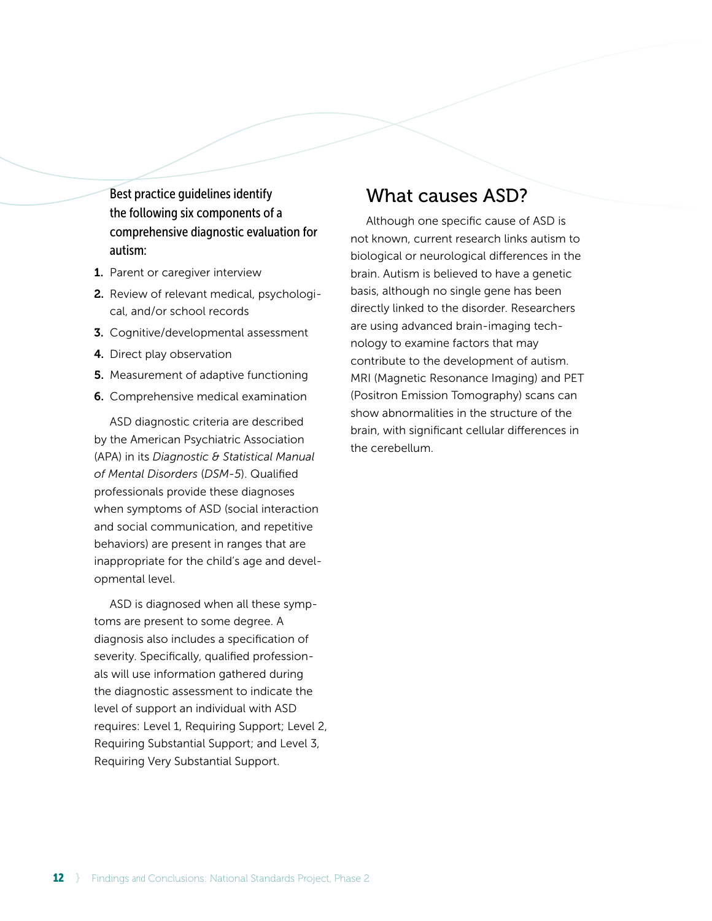Best practice guidelines identify the following six components of a comprehensive diagnostic evaluation for autism:

- 1. Parent or caregiver interview
- 2. Review of relevant medical, psychological, and/or school records
- 3. Cognitive/developmental assessment
- 4. Direct play observation
- **5.** Measurement of adaptive functioning
- 6. Comprehensive medical examination

ASD diagnostic criteria are described by the American Psychiatric Association (APA) in its *Diagnostic & Statistical Manual of Mental Disorders* (*DSM-5*). Qualified professionals provide these diagnoses when symptoms of ASD (social interaction and social communication, and repetitive behaviors) are present in ranges that are inappropriate for the child's age and developmental level.

ASD is diagnosed when all these symptoms are present to some degree. A diagnosis also includes a specification of severity. Specifically, qualified professionals will use information gathered during the diagnostic assessment to indicate the level of support an individual with ASD requires: Level 1, Requiring Support; Level 2, Requiring Substantial Support; and Level 3, Requiring Very Substantial Support.

### What causes ASD?

Although one specific cause of ASD is not known, current research links autism to biological or neurological differences in the brain. Autism is believed to have a genetic basis, although no single gene has been directly linked to the disorder. Researchers are using advanced brain-imaging technology to examine factors that may contribute to the development of autism. MRI (Magnetic Resonance Imaging) and PET (Positron Emission Tomography) scans can show abnormalities in the structure of the brain, with significant cellular differences in the cerebellum.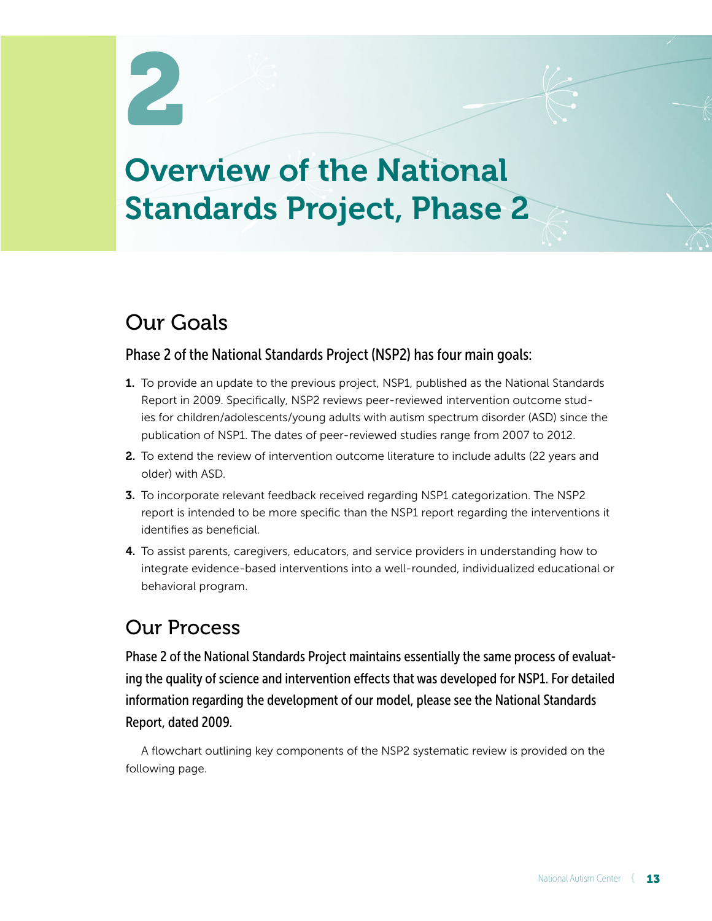# Overview of the National Standards Project, Phase 2

# Our Goals

### Phase 2 of the National Standards Project (NSP2) has four main goals:

- 1. To provide an update to the previous project, NSP1, published as the National Standards Report in 2009. Specifically, NSP2 reviews peer-reviewed intervention outcome studies for children/adolescents/young adults with autism spectrum disorder (ASD) since the publication of NSP1. The dates of peer-reviewed studies range from 2007 to 2012.
- 2. To extend the review of intervention outcome literature to include adults (22 years and older) with ASD.
- 3. To incorporate relevant feedback received regarding NSP1 categorization. The NSP2 report is intended to be more specific than the NSP1 report regarding the interventions it identifies as beneficial.
- 4. To assist parents, caregivers, educators, and service providers in understanding how to integrate evidence-based interventions into a well-rounded, individualized educational or behavioral program.

# Our Process

Phase 2 of the National Standards Project maintains essentially the same process of evaluating the quality of science and intervention effects that was developed for NSP1. For detailed information regarding the development of our model, please see the National Standards Report, dated 2009.

A flowchart outlining key components of the NSP2 systematic review is provided on the following page.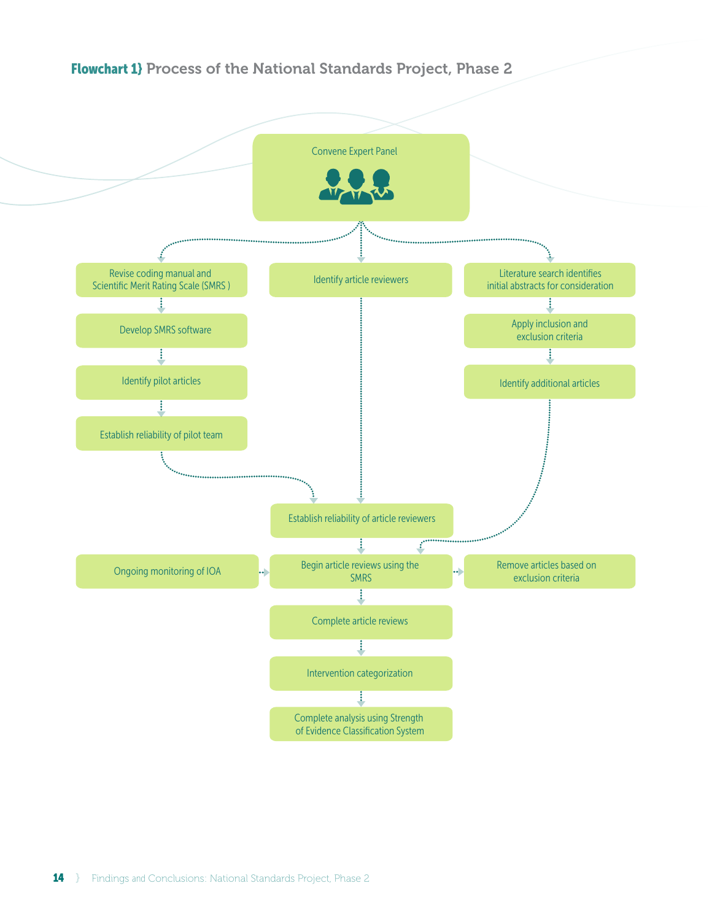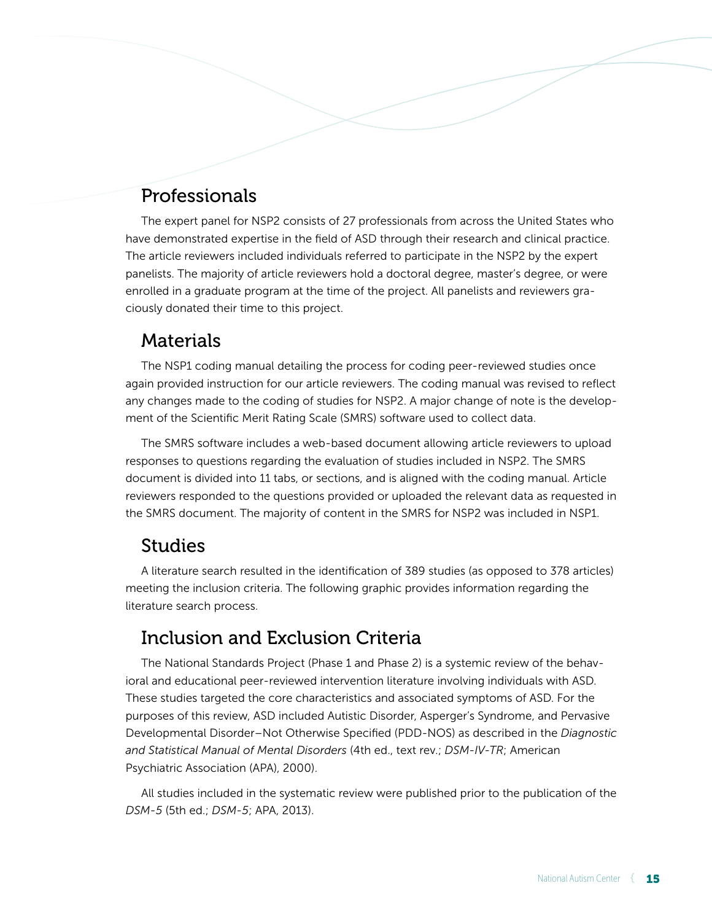# Professionals

The expert panel for NSP2 consists of 27 professionals from across the United States who have demonstrated expertise in the field of ASD through their research and clinical practice. The article reviewers included individuals referred to participate in the NSP2 by the expert panelists. The majority of article reviewers hold a doctoral degree, master's degree, or were enrolled in a graduate program at the time of the project. All panelists and reviewers graciously donated their time to this project.

### **Materials**

The NSP1 coding manual detailing the process for coding peer-reviewed studies once again provided instruction for our article reviewers. The coding manual was revised to reflect any changes made to the coding of studies for NSP2. A major change of note is the development of the Scientific Merit Rating Scale (SMRS) software used to collect data.

The SMRS software includes a web-based document allowing article reviewers to upload responses to questions regarding the evaluation of studies included in NSP2. The SMRS document is divided into 11 tabs, or sections, and is aligned with the coding manual. Article reviewers responded to the questions provided or uploaded the relevant data as requested in the SMRS document. The majority of content in the SMRS for NSP2 was included in NSP1.

### Studies

A literature search resulted in the identification of 389 studies (as opposed to 378 articles) meeting the inclusion criteria. The following graphic provides information regarding the literature search process.

# Inclusion and Exclusion Criteria

The National Standards Project (Phase 1 and Phase 2) is a systemic review of the behavioral and educational peer-reviewed intervention literature involving individuals with ASD. These studies targeted the core characteristics and associated symptoms of ASD. For the purposes of this review, ASD included Autistic Disorder, Asperger's Syndrome, and Pervasive Developmental Disorder–Not Otherwise Specified (PDD-NOS) as described in the *Diagnostic and Statistical Manual of Mental Disorders* (4th ed., text rev.; *DSM-IV-TR*; American Psychiatric Association (APA), 2000).

All studies included in the systematic review were published prior to the publication of the *DSM-5* (5th ed.; *DSM-5*; APA, 2013).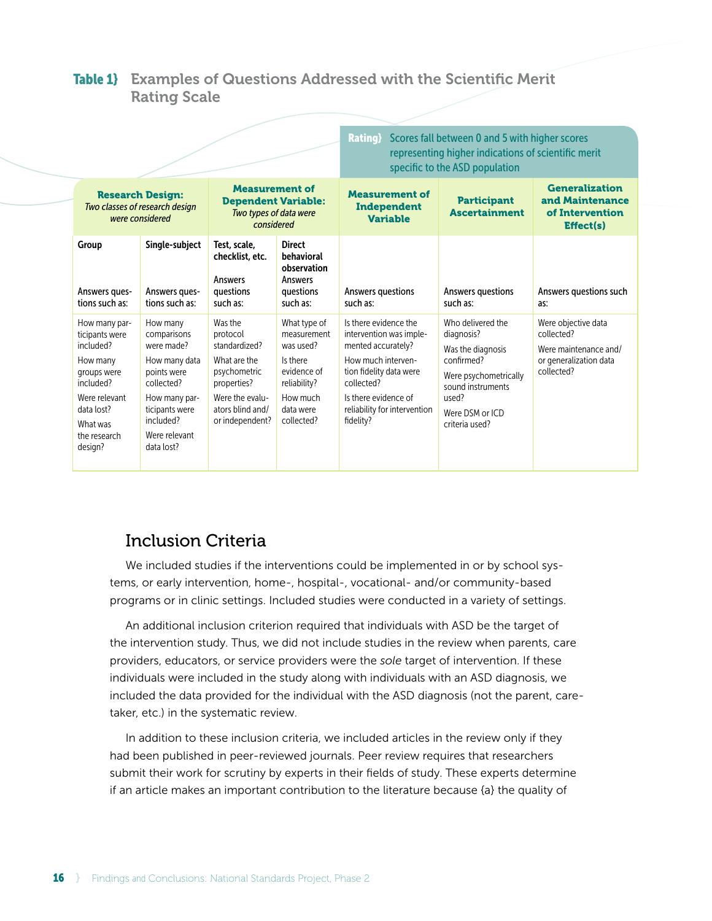### Table 1} Examples of Questions Addressed with the Scientific Merit Rating Scale

|                                                                                                                                                            |                                                                                                                                                                    |                                                                                                                                               |                                                                                                                            | Rating}                                                                                                                                                                                                    | Scores fall between 0 and 5 with higher scores<br>representing higher indications of scientific merit<br>specific to the ASD population                        |                                                                                                    |
|------------------------------------------------------------------------------------------------------------------------------------------------------------|--------------------------------------------------------------------------------------------------------------------------------------------------------------------|-----------------------------------------------------------------------------------------------------------------------------------------------|----------------------------------------------------------------------------------------------------------------------------|------------------------------------------------------------------------------------------------------------------------------------------------------------------------------------------------------------|----------------------------------------------------------------------------------------------------------------------------------------------------------------|----------------------------------------------------------------------------------------------------|
| <b>Research Design:</b><br>Two classes of research design<br>were considered                                                                               |                                                                                                                                                                    | <b>Measurement of</b><br><b>Dependent Variable:</b><br>Two types of data were<br>considered                                                   |                                                                                                                            | <b>Measurement of</b><br>Independent<br><b>Variable</b>                                                                                                                                                    | <b>Generalization</b><br>and Maintenance<br>of Intervention<br><b>Effect(s)</b>                                                                                |                                                                                                    |
| Group<br>Answers ques-<br>tions such as:                                                                                                                   | Single-subject<br>Answers ques-<br>tions such as:                                                                                                                  | Test, scale,<br>checklist, etc.<br><b>Answers</b><br>questions<br>such as:                                                                    | <b>Direct</b><br>behavioral<br>observation<br><b>Answers</b><br>questions<br>such as:                                      | Answers questions<br>such as:                                                                                                                                                                              | Answers questions<br>such as:                                                                                                                                  | Answers questions such<br>as:                                                                      |
| How many par-<br>ticipants were<br>included?<br>How many<br>groups were<br>included?<br>Were relevant<br>data lost?<br>What was<br>the research<br>design? | How many<br>comparisons<br>were made?<br>How many data<br>points were<br>collected?<br>How many par-<br>ticipants were<br>included?<br>Were relevant<br>data lost? | Was the<br>protocol<br>standardized?<br>What are the<br>psychometric<br>properties?<br>Were the evalu-<br>ators blind and/<br>or independent? | What type of<br>measurement<br>was used?<br>Is there<br>evidence of<br>reliability?<br>How much<br>data were<br>collected? | Is there evidence the<br>intervention was imple-<br>mented accurately?<br>How much interven-<br>tion fidelity data were<br>collected?<br>Is there evidence of<br>reliability for intervention<br>fidelity? | Who delivered the<br>diagnosis?<br>Was the diagnosis<br>confirmed?<br>Were psychometrically<br>sound instruments<br>used?<br>Were DSM or ICD<br>criteria used? | Were objective data<br>collected?<br>Were maintenance and/<br>or generalization data<br>collected? |

### Inclusion Criteria

We included studies if the interventions could be implemented in or by school systems, or early intervention, home-, hospital-, vocational- and/or community-based programs or in clinic settings. Included studies were conducted in a variety of settings.

An additional inclusion criterion required that individuals with ASD be the target of the intervention study. Thus, we did not include studies in the review when parents, care providers, educators, or service providers were the *sole* target of intervention. If these individuals were included in the study along with individuals with an ASD diagnosis, we included the data provided for the individual with the ASD diagnosis (not the parent, caretaker, etc.) in the systematic review.

In addition to these inclusion criteria, we included articles in the review only if they had been published in peer-reviewed journals. Peer review requires that researchers submit their work for scrutiny by experts in their fields of study. These experts determine if an article makes an important contribution to the literature because {a} the quality of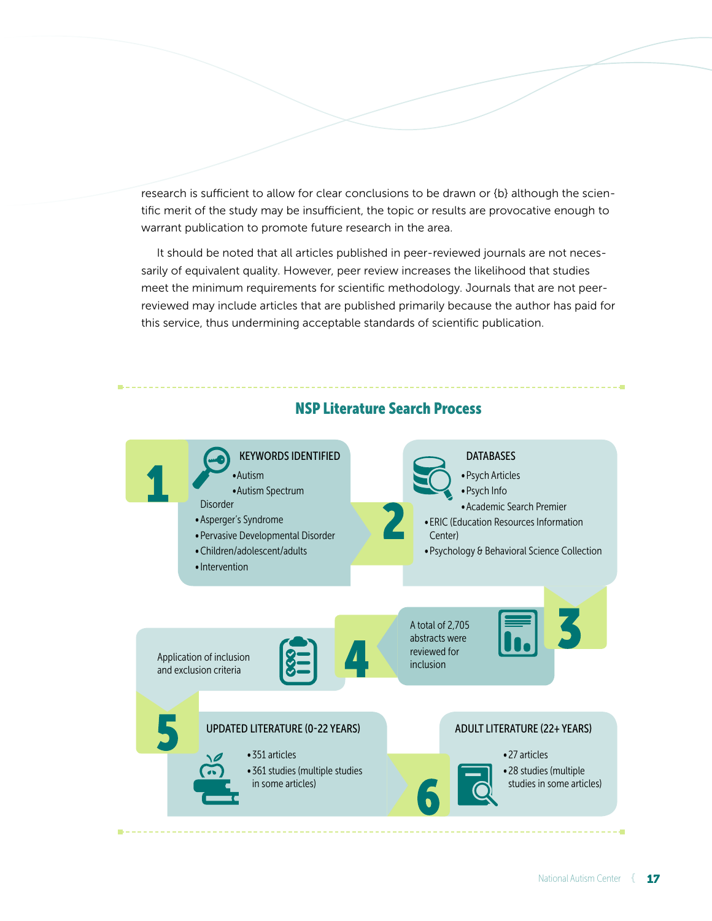research is sufficient to allow for clear conclusions to be drawn or {b} although the scientific merit of the study may be insufficient, the topic or results are provocative enough to warrant publication to promote future research in the area.

It should be noted that all articles published in peer-reviewed journals are not necessarily of equivalent quality. However, peer review increases the likelihood that studies meet the minimum requirements for scientific methodology. Journals that are not peerreviewed may include articles that are published primarily because the author has paid for this service, thus undermining acceptable standards of scientific publication.



#### NSP Literature Search Process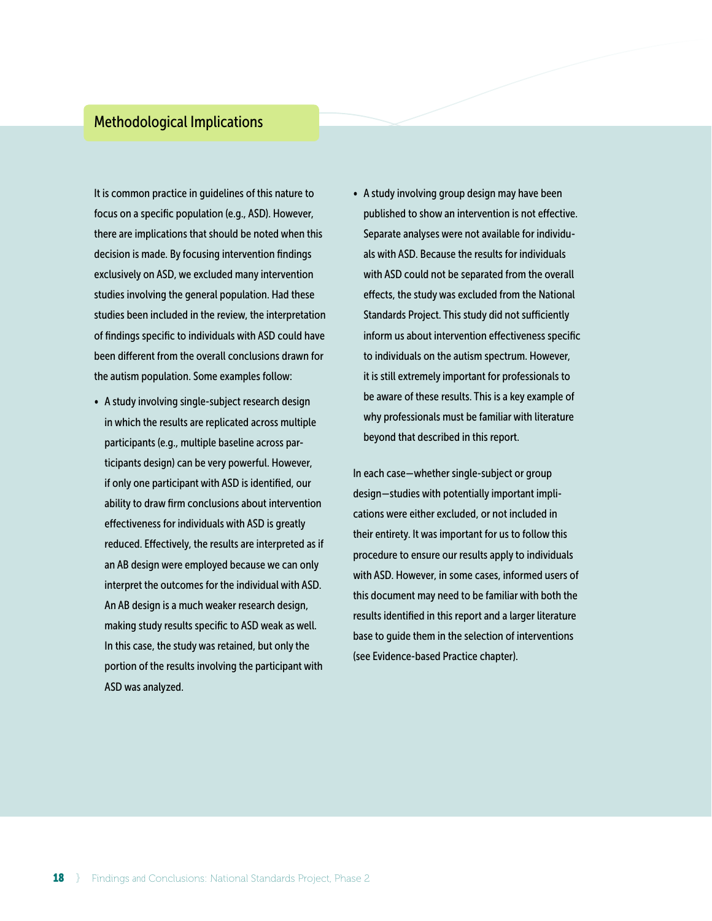#### Methodological Implications

It is common practice in guidelines of this nature to focus on a specific population (e.g., ASD). However, there are implications that should be noted when this decision is made. By focusing intervention findings exclusively on ASD, we excluded many intervention studies involving the general population. Had these studies been included in the review, the interpretation of findings specific to individuals with ASD could have been different from the overall conclusions drawn for the autism population. Some examples follow:

- A study involving single-subject research design in which the results are replicated across multiple participants (e.g., multiple baseline across participants design) can be very powerful. However, if only one participant with ASD is identified, our ability to draw firm conclusions about intervention effectiveness for individuals with ASD is greatly reduced. Effectively, the results are interpreted as if an AB design were employed because we can only interpret the outcomes for the individual with ASD. An AB design is a much weaker research design, making study results specific to ASD weak as well. In this case, the study was retained, but only the portion of the results involving the participant with ASD was analyzed.
- A study involving group design may have been published to show an intervention is not effective. Separate analyses were not available for individuals with ASD. Because the results for individuals with ASD could not be separated from the overall effects, the study was excluded from the National Standards Project. This study did not sufficiently inform us about intervention effectiveness specific to individuals on the autism spectrum. However, it is still extremely important for professionals to be aware of these results. This is a key example of why professionals must be familiar with literature beyond that described in this report.

In each case — whether single-subject or group design —studies with potentially important implications were either excluded, or not included in their entirety. It was important for us to follow this procedure to ensure our results apply to individuals with ASD. However, in some cases, informed users of this document may need to be familiar with both the results identified in this report and a larger literature base to guide them in the selection of interventions (see Evidence-based Practice chapter).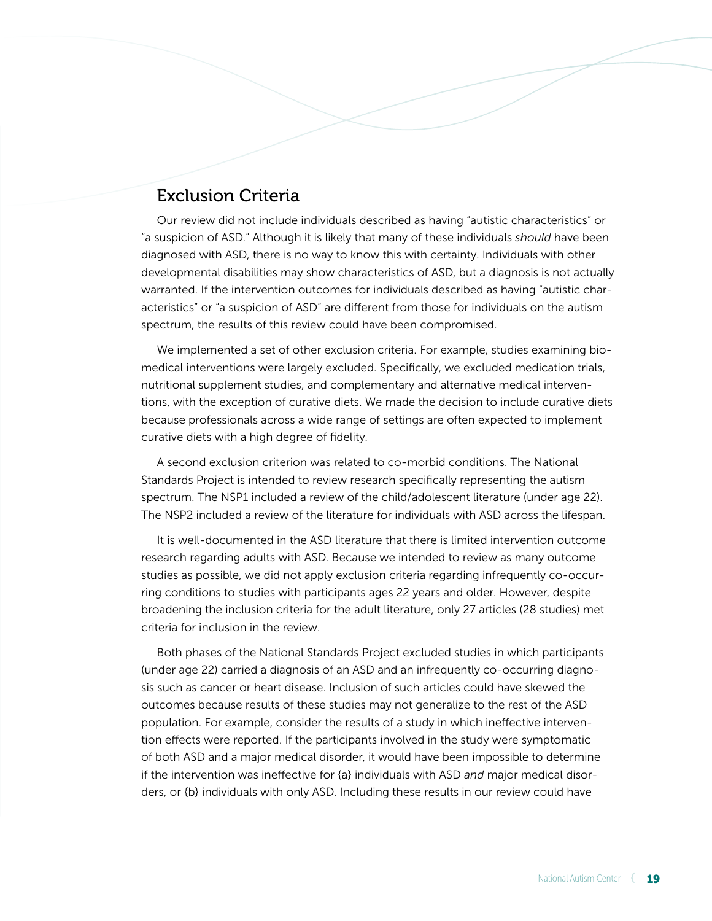### Exclusion Criteria

Our review did not include individuals described as having "autistic characteristics" or "a suspicion of ASD." Although it is likely that many of these individuals *should* have been diagnosed with ASD, there is no way to know this with certainty. Individuals with other developmental disabilities may show characteristics of ASD, but a diagnosis is not actually warranted. If the intervention outcomes for individuals described as having "autistic characteristics" or "a suspicion of ASD" are different from those for individuals on the autism spectrum, the results of this review could have been compromised.

We implemented a set of other exclusion criteria. For example, studies examining biomedical interventions were largely excluded. Specifically, we excluded medication trials, nutritional supplement studies, and complementary and alternative medical interventions, with the exception of curative diets. We made the decision to include curative diets because professionals across a wide range of settings are often expected to implement curative diets with a high degree of fidelity.

A second exclusion criterion was related to co-morbid conditions. The National Standards Project is intended to review research specifically representing the autism spectrum. The NSP1 included a review of the child/adolescent literature (under age 22). The NSP2 included a review of the literature for individuals with ASD across the lifespan.

It is well-documented in the ASD literature that there is limited intervention outcome research regarding adults with ASD. Because we intended to review as many outcome studies as possible, we did not apply exclusion criteria regarding infrequently co-occurring conditions to studies with participants ages 22 years and older. However, despite broadening the inclusion criteria for the adult literature, only 27 articles (28 studies) met criteria for inclusion in the review.

Both phases of the National Standards Project excluded studies in which participants (under age 22) carried a diagnosis of an ASD and an infrequently co-occurring diagnosis such as cancer or heart disease. Inclusion of such articles could have skewed the outcomes because results of these studies may not generalize to the rest of the ASD population. For example, consider the results of a study in which ineffective intervention effects were reported. If the participants involved in the study were symptomatic of both ASD and a major medical disorder, it would have been impossible to determine if the intervention was ineffective for {a} individuals with ASD *and* major medical disorders, or {b} individuals with only ASD. Including these results in our review could have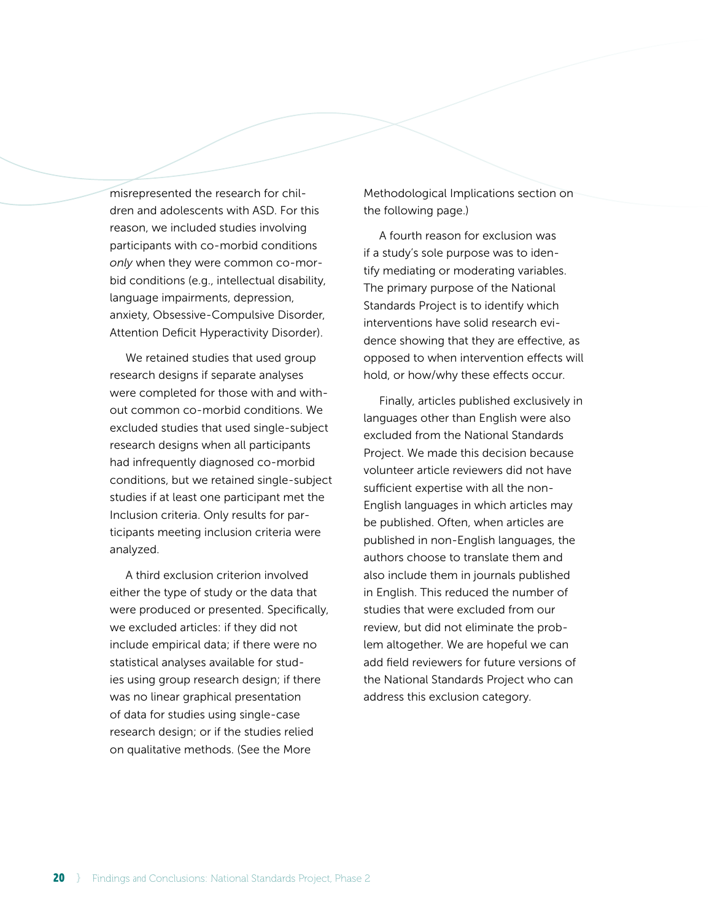misrepresented the research for children and adolescents with ASD. For this reason, we included studies involving participants with co-morbid conditions *only* when they were common co-morbid conditions (e.g., intellectual disability, language impairments, depression, anxiety, Obsessive-Compulsive Disorder, Attention Deficit Hyperactivity Disorder).

We retained studies that used group research designs if separate analyses were completed for those with and without common co-morbid conditions. We excluded studies that used single-subject research designs when all participants had infrequently diagnosed co-morbid conditions, but we retained single-subject studies if at least one participant met the Inclusion criteria. Only results for participants meeting inclusion criteria were analyzed.

A third exclusion criterion involved either the type of study or the data that were produced or presented. Specifically, we excluded articles: if they did not include empirical data; if there were no statistical analyses available for studies using group research design; if there was no linear graphical presentation of data for studies using single-case research design; or if the studies relied on qualitative methods. (See the More

Methodological Implications section on the following page.)

A fourth reason for exclusion was if a study's sole purpose was to identify mediating or moderating variables. The primary purpose of the National Standards Project is to identify which interventions have solid research evidence showing that they are effective, as opposed to when intervention effects will hold, or how/why these effects occur.

Finally, articles published exclusively in languages other than English were also excluded from the National Standards Project. We made this decision because volunteer article reviewers did not have sufficient expertise with all the non-English languages in which articles may be published. Often, when articles are published in non-English languages, the authors choose to translate them and also include them in journals published in English. This reduced the number of studies that were excluded from our review, but did not eliminate the problem altogether. We are hopeful we can add field reviewers for future versions of the National Standards Project who can address this exclusion category.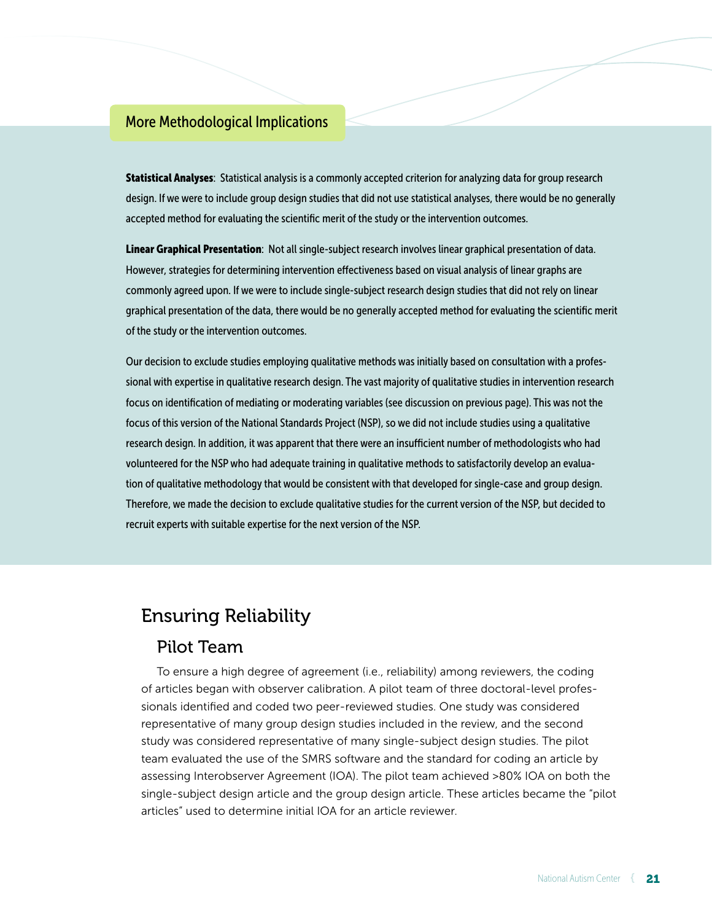### More Methodological Implications

Statistical Analyses: Statistical analysis is a commonly accepted criterion for analyzing data for group research design. If we were to include group design studies that did not use statistical analyses, there would be no generally accepted method for evaluating the scientific merit of the study or the intervention outcomes.

Linear Graphical Presentation: Not all single-subject research involves linear graphical presentation of data. However, strategies for determining intervention effectiveness based on visual analysis of linear graphs are commonly agreed upon. If we were to include single-subject research design studies that did not rely on linear graphical presentation of the data, there would be no generally accepted method for evaluating the scientific merit of the study or the intervention outcomes.

Our decision to exclude studies employing qualitative methods was initially based on consultation with a professional with expertise in qualitative research design. The vast majority of qualitative studies in intervention research focus on identification of mediating or moderating variables (see discussion on previous page). This was not the focus of this version of the National Standards Project (NSP), so we did not include studies using a qualitative research design. In addition, it was apparent that there were an insufficient number of methodologists who had volunteered for the NSP who had adequate training in qualitative methods to satisfactorily develop an evaluation of qualitative methodology that would be consistent with that developed for single-case and group design. Therefore, we made the decision to exclude qualitative studies for the current version of the NSP, but decided to recruit experts with suitable expertise for the next version of the NSP.

### Ensuring Reliability

### Pilot Team

To ensure a high degree of agreement (i.e., reliability) among reviewers, the coding of articles began with observer calibration. A pilot team of three doctoral-level professionals identified and coded two peer-reviewed studies. One study was considered representative of many group design studies included in the review, and the second study was considered representative of many single-subject design studies. The pilot team evaluated the use of the SMRS software and the standard for coding an article by assessing Interobserver Agreement (IOA). The pilot team achieved >80% IOA on both the single-subject design article and the group design article. These articles became the "pilot articles" used to determine initial IOA for an article reviewer.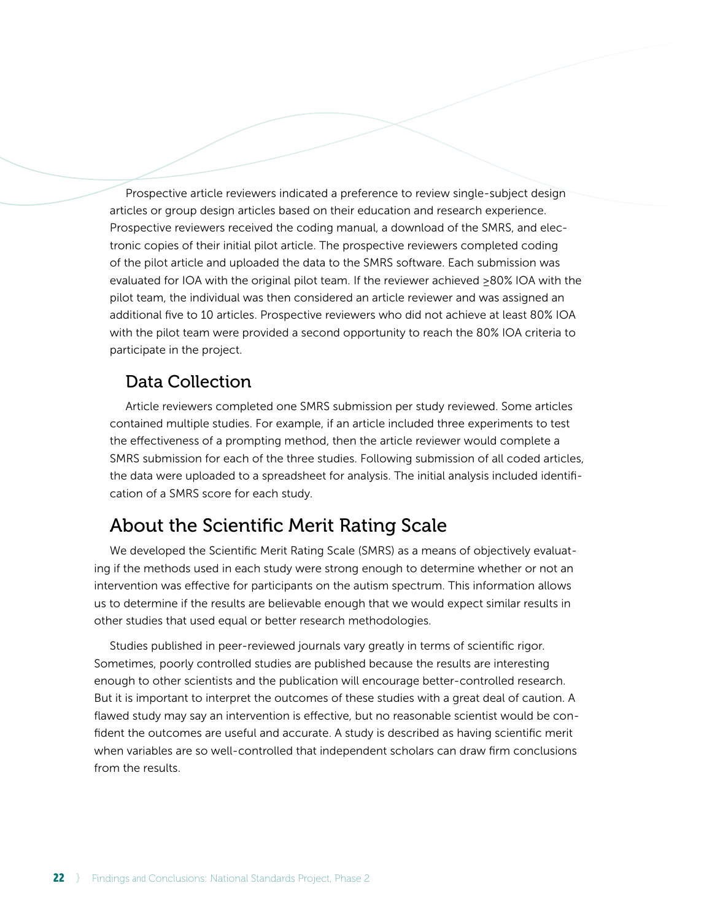Prospective article reviewers indicated a preference to review single-subject design articles or group design articles based on their education and research experience. Prospective reviewers received the coding manual, a download of the SMRS, and electronic copies of their initial pilot article. The prospective reviewers completed coding of the pilot article and uploaded the data to the SMRS software. Each submission was evaluated for IOA with the original pilot team. If the reviewer achieved ≥80% IOA with the pilot team, the individual was then considered an article reviewer and was assigned an additional five to 10 articles. Prospective reviewers who did not achieve at least 80% IOA with the pilot team were provided a second opportunity to reach the 80% IOA criteria to participate in the project.

### Data Collection

Article reviewers completed one SMRS submission per study reviewed. Some articles contained multiple studies. For example, if an article included three experiments to test the effectiveness of a prompting method, then the article reviewer would complete a SMRS submission for each of the three studies. Following submission of all coded articles, the data were uploaded to a spreadsheet for analysis. The initial analysis included identification of a SMRS score for each study.

### About the Scientific Merit Rating Scale

We developed the Scientific Merit Rating Scale (SMRS) as a means of objectively evaluating if the methods used in each study were strong enough to determine whether or not an intervention was effective for participants on the autism spectrum. This information allows us to determine if the results are believable enough that we would expect similar results in other studies that used equal or better research methodologies.

Studies published in peer-reviewed journals vary greatly in terms of scientific rigor. Sometimes, poorly controlled studies are published because the results are interesting enough to other scientists and the publication will encourage better-controlled research. But it is important to interpret the outcomes of these studies with a great deal of caution. A flawed study may say an intervention is effective, but no reasonable scientist would be confident the outcomes are useful and accurate. A study is described as having scientific merit when variables are so well-controlled that independent scholars can draw firm conclusions from the results.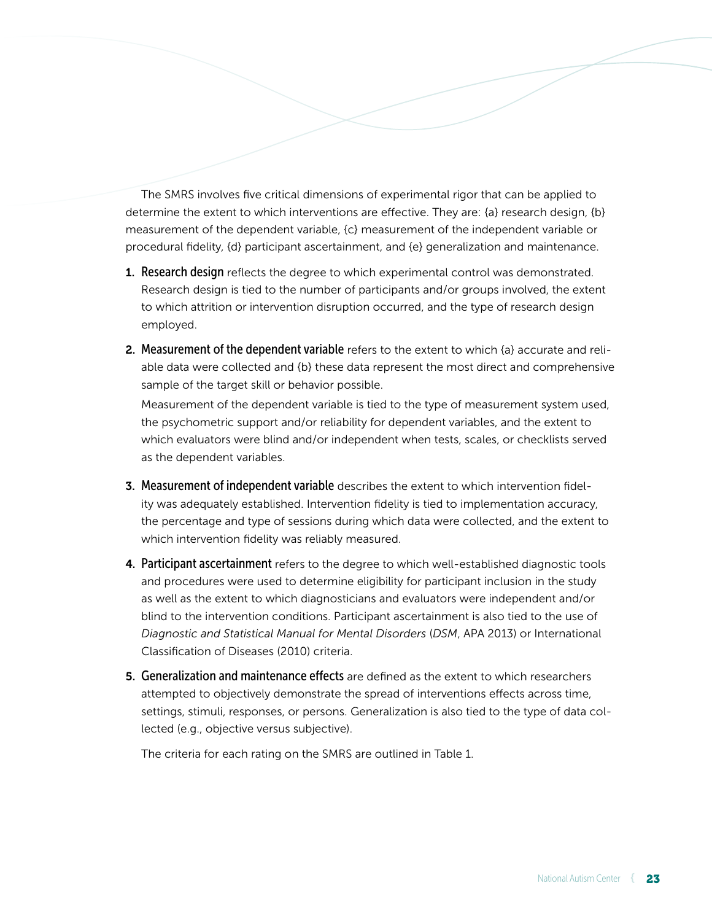The SMRS involves five critical dimensions of experimental rigor that can be applied to determine the extent to which interventions are effective. They are: {a} research design, {b} measurement of the dependent variable, {c} measurement of the independent variable or procedural fidelity, {d} participant ascertainment, and {e} generalization and maintenance.

- **1. Research design** reflects the degree to which experimental control was demonstrated. Research design is tied to the number of participants and/or groups involved, the extent to which attrition or intervention disruption occurred, and the type of research design employed.
- 2. Measurement of the dependent variable refers to the extent to which {a} accurate and reliable data were collected and {b} these data represent the most direct and comprehensive sample of the target skill or behavior possible.

Measurement of the dependent variable is tied to the type of measurement system used, the psychometric support and/or reliability for dependent variables, and the extent to which evaluators were blind and/or independent when tests, scales, or checklists served as the dependent variables.

- 3. Measurement of independent variable describes the extent to which intervention fidelity was adequately established. Intervention fidelity is tied to implementation accuracy, the percentage and type of sessions during which data were collected, and the extent to which intervention fidelity was reliably measured.
- 4. Participant ascertainment refers to the degree to which well-established diagnostic tools and procedures were used to determine eligibility for participant inclusion in the study as well as the extent to which diagnosticians and evaluators were independent and/or blind to the intervention conditions. Participant ascertainment is also tied to the use of *Diagnostic and Statistical Manual for Mental Disorders* (*DSM*, APA 2013) or International Classification of Diseases (2010) criteria.
- 5. Generalization and maintenance effects are defined as the extent to which researchers attempted to objectively demonstrate the spread of interventions effects across time, settings, stimuli, responses, or persons. Generalization is also tied to the type of data collected (e.g., objective versus subjective).

The criteria for each rating on the SMRS are outlined in Table 1.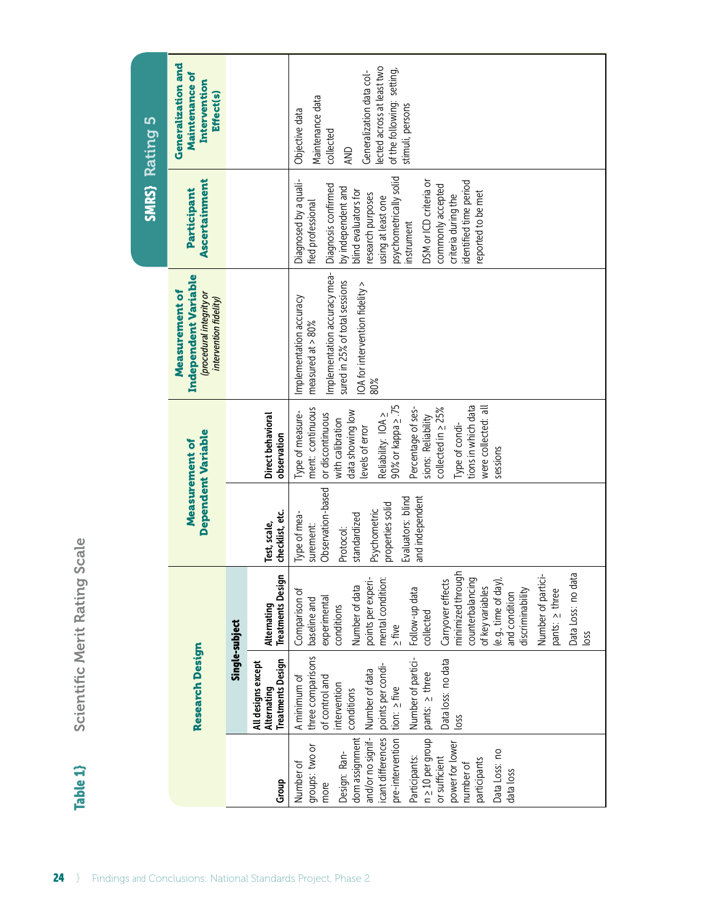| <b>Rating 5</b>         | <b>Generalization and</b><br>Maintenance of<br>Intervention<br><b>Effect(s)</b>              |                |                                                               | lected across at least two<br>of the following: setting,<br>Generalization data col-<br>Maintenance data<br>stimuli, persons<br>Objective data<br>collected<br>AND                                                                                                                                                                                                                          |                                                                                                                                                         |
|-------------------------|----------------------------------------------------------------------------------------------|----------------|---------------------------------------------------------------|---------------------------------------------------------------------------------------------------------------------------------------------------------------------------------------------------------------------------------------------------------------------------------------------------------------------------------------------------------------------------------------------|---------------------------------------------------------------------------------------------------------------------------------------------------------|
| <b>SMRS</b>             | Ascertainment<br>Participant                                                                 |                |                                                               | psychometrically solid<br>Diagnosed by a quali-<br>identified time period<br>DSM or ICD criteria or<br>Diagnosis confirmed<br>commonly accepted<br>by independent and<br>blind evaluators for<br>reported to be met<br>research purposes<br>criteria during the<br>using at least one<br>fied professional<br>instrument                                                                    |                                                                                                                                                         |
|                         | Independent Variable<br>Measurement of<br>(procedural integrity or<br>intervention fidelity) |                |                                                               | Implementation accuracy mea-<br>sured in 25% of total sessions<br>IOA for intervention fidelity ><br>Implementation accuracy<br>measured at $> 80\%$<br>80%                                                                                                                                                                                                                                 |                                                                                                                                                         |
|                         | Dependent Variable<br>Measurement of                                                         |                | Direct behavioral<br>observation                              | tions in which data<br>90% or kappa <2.75<br>were collected: all<br>ment: continuous<br>collected in > 25%<br>Percentage of ses-<br>data showing low<br>Type of measure-<br>or discontinuous<br>Reliability: IOA ><br>sions: Reliability<br>with calibration<br>Type of condi-<br>levels of error<br>sessions                                                                               |                                                                                                                                                         |
| Scale                   |                                                                                              |                |                                                               | checklist, etc.<br>Test, scale,                                                                                                                                                                                                                                                                                                                                                             | Observation-based<br>and independent<br>Evaluators: blind<br>properties solid<br>Psychometric<br>Type of mea-<br>standardized<br>surement:<br>Protocol: |
|                         |                                                                                              |                | <b>Treatments Design</b><br>Alternating                       | minimized through<br>Data Loss: no data<br>points per experi-<br>mental condition:<br>Carryover effects<br>counterbalancing<br>Number of partici-<br>(e.g., time of day),<br>Number of data<br>of key variables<br>Follow-up data<br>pants: > three<br>discriminability<br>Comparison of<br>and condition<br>experimental<br>baseline and<br>conditions<br>collected<br>$\geq$ five<br>loss |                                                                                                                                                         |
| Scientific Merit Rating | <b>Research Design</b>                                                                       | Single-subject | <b>Treatments Design</b><br>All designs except<br>Alternating | three comparisons<br>Number of partici-<br>Data loss: no data<br>points per condi-<br>Number of data<br>pants: > three<br>A minimum of<br>of control and<br>intervention<br>tion: $\geq$ five<br>conditions<br>loss                                                                                                                                                                         |                                                                                                                                                         |
| Table 1                 |                                                                                              |                | Group                                                         | n > 10 per group<br>dom assignment<br>icant differences<br>and/or no signif-<br>pre-intervention<br>power for lower<br>groups: two or<br>Data Loss: no<br>Design: Ran-<br>Participants:<br>or sufficient<br>participants<br>Number of<br>number of<br>data loss<br>more                                                                                                                     |                                                                                                                                                         |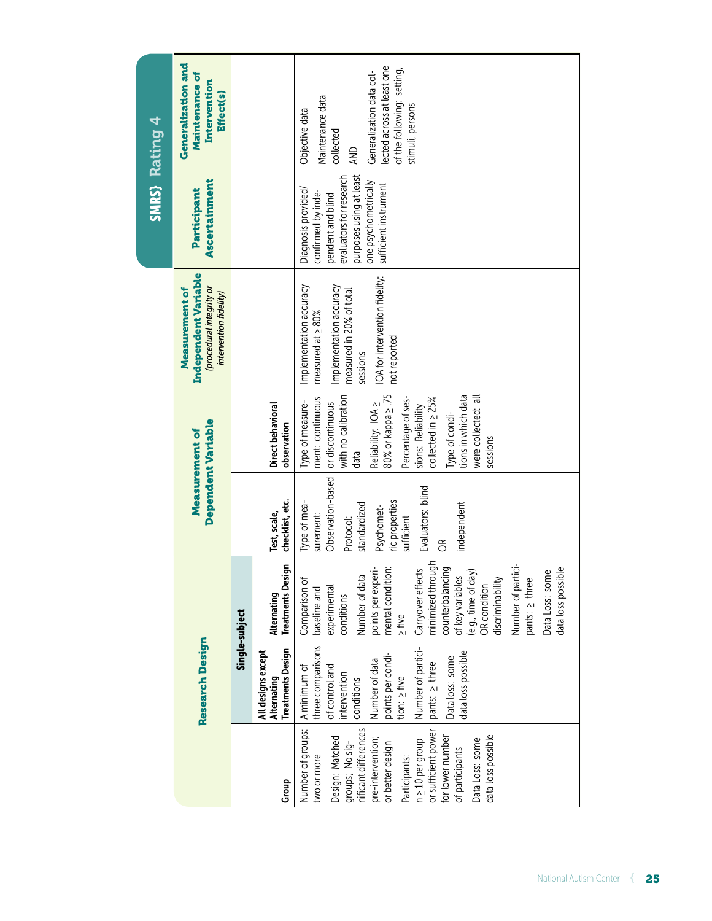| SMRS) Rating 4 | Generalization and<br><b>Maintenance of</b><br>Intervention<br>Effect(s)                     |                |                                                               | lected across at least one<br>of the following: setting,<br>Generalization data col-<br>Maintenance data<br>stimuli, persons<br>Objective data<br>collected<br>AND                                                                                                                                                                                                     |
|----------------|----------------------------------------------------------------------------------------------|----------------|---------------------------------------------------------------|------------------------------------------------------------------------------------------------------------------------------------------------------------------------------------------------------------------------------------------------------------------------------------------------------------------------------------------------------------------------|
|                | Ascertainment<br>Participant                                                                 |                |                                                               | purposes using at least<br>evaluators for research<br>one psychometrically<br>sufficient instrument<br>Diagnosis provided/<br>confirmed by inde-<br>pendent and blind                                                                                                                                                                                                  |
|                | Independent Variable<br>(procedural integrity or<br>Measurement of<br>intervention fidelity) |                |                                                               | IOA for intervention fidelity:<br>Implementation accuracy<br>Implementation accuracy<br>measured in 20% of total<br>measured at $\geq 80\%$<br>not reported<br>sessions                                                                                                                                                                                                |
|                | Dependent Variable<br>Measurement of                                                         |                | Direct behavioral<br>observation                              | with no calibration<br>80% or kappa 2.75<br>tions in which data<br>ment: continuous<br>were collected: all<br>collected in $\geq$ 25%<br>Percentage of ses-<br>Type of measure-<br>Reliability: IOA ><br>or discontinuous<br>sions: Reliability<br>Type of condi-<br>sessions<br>data                                                                                  |
|                |                                                                                              |                | checklist, etc.<br>Test, scale,                               | Observation-based<br>Evaluators: blind<br>ric properties<br>Type of mea-<br>independent<br>standardized<br>Psychomet-<br>surement:<br>sufficient<br>Protocol:<br>$\mathfrak{S}$                                                                                                                                                                                        |
|                |                                                                                              | Single-subject | ign<br><b>Treatments Desi</b><br>Alternating                  | minimized through<br>ġ<br>counterbalancing<br>mental condition:<br>Carryover effects<br>points per experi-<br>data loss possible<br>Data Loss: some<br>(e.g., time of day)<br>Number of data<br>of key variables<br>discriminability<br>pants: > three<br>Number of part<br>Comparison of<br>OR condition<br>experimental<br>baseline and<br>conditions<br>$\geq$ five |
|                | <b>Research Design</b>                                                                       |                | <b>Treatments Design</b><br>All designs except<br>Alternating | three comparisons<br>Number of partici-<br>data loss possible<br>points per condi-<br>tion: $\geq$ five<br>Data loss: some<br>Number of data<br>pants: > three<br>A minimum of<br>of control and<br>intervention<br>conditions                                                                                                                                         |
|                |                                                                                              |                | Group                                                         | Number of groups:<br>groups; No sig-<br>nificant differences<br>n 210 per group<br>or sufficient power<br>for lower number<br>data loss possible<br>Design: Matched<br>pre-intervention;<br>Data Loss: some<br>or better design<br>of participants<br>two or more<br>Participants:                                                                                     |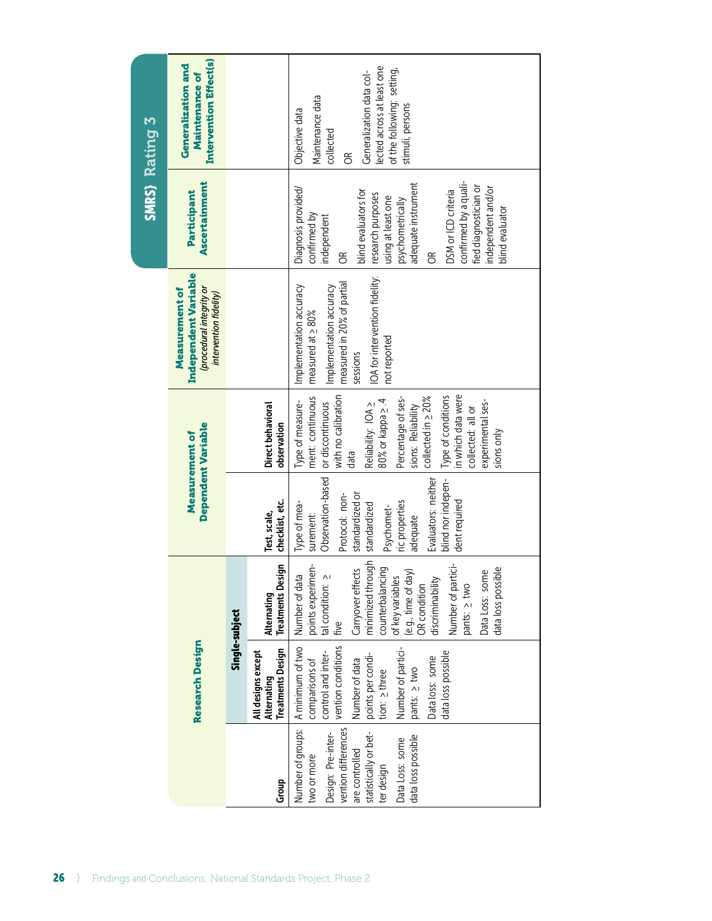| <b>Rating 3</b>                                                     | <b>Intervention Effect(s)</b><br>Generalization and<br><b>Maintenance of</b>                 |                |                                                               | lected across at least one<br>of the following: setting,<br>Generalization data col-<br>Maintenance data<br>stimuli, persons<br>Objective data<br>collected<br>$\widetilde{\sigma}$                                                                                                                                     |  |  |
|---------------------------------------------------------------------|----------------------------------------------------------------------------------------------|----------------|---------------------------------------------------------------|-------------------------------------------------------------------------------------------------------------------------------------------------------------------------------------------------------------------------------------------------------------------------------------------------------------------------|--|--|
| SMRS <sub>3</sub>                                                   | Ascertainment<br>Participant                                                                 |                |                                                               | confirmed by a quali-<br>adequate instrument<br>fied diagnostician or<br>independent and/or<br>Diagnosis provided/<br>blind evaluators for<br>DSM or ICD criteria<br>research purposes<br>using at least one<br>psychometrically<br>blind evaluator<br>confirmed by<br>independent<br>$\widetilde{\sigma}$<br>g         |  |  |
|                                                                     | Independent Variable<br>(procedural integrity or<br>Measurement of<br>intervention fidelity) |                |                                                               | IOA for intervention fidelity:<br>measured in 20% of partial<br>Implementation accuracy<br>Implementation accuracy<br>measured at $\geq 80\%$<br>not reported<br>sessions                                                                                                                                               |  |  |
|                                                                     | Dependent Variable                                                                           |                | Direct behavioral<br>observation                              | in which data were<br>with no calibration<br>Type of conditions<br>ment: continuous<br>collected in $\geq$ 20%<br>Percentage of ses-<br>80% or kappa ≥.4<br>experimental ses-<br>Type of measure-<br>or discontinuous<br>Reliability: IOA ><br>sions: Reliability<br>collected: all or<br>sions only<br>data            |  |  |
|                                                                     | Measurement of                                                                               |                | checklist, etc.<br>Test, scale,                               | Observation-based<br>Evaluators: neither<br>blind nor indepen-<br>Protocol: non-<br>standardized or<br>ric properties<br>dent required<br>Type of mea-<br>standardized<br>Psychomet-<br>surement:<br>adequate                                                                                                           |  |  |
|                                                                     |                                                                                              | Single-subject | ign<br><b>Treatments Desi</b><br>Alternating                  | minimized through<br>points experimen-<br>iģ<br>counterbalancing<br>data loss possible<br>Carryover effects<br>$\overline{\mathsf{C}}$<br>(e.g., time of day)<br>Number of data<br>tal condition: 2<br>of key variables<br>discriminability<br>Data Loss: som<br>Number of part<br>OR condition<br>pants: > two<br>five |  |  |
|                                                                     | <b>Research Design</b>                                                                       |                | <b>Treatments Design</b><br>All designs except<br>Alternating | vention conditions<br>A minimum of two<br>Number of partici-<br>data loss possible<br>control and inter-<br>points per condi-<br>Data loss: some<br>comparisons of<br>Number of data<br>pants: > two<br>tion: > three                                                                                                   |  |  |
|                                                                     |                                                                                              |                | Group                                                         | vention differences<br>Number of groups:<br>statistically or bet-<br>Design: Pre-inter-<br>data loss possible<br>Data Loss: some<br>are controlled<br>two or more<br>ter design                                                                                                                                         |  |  |
| 26<br>Findings and Conclusions: National Standards Project, Phase 2 |                                                                                              |                |                                                               |                                                                                                                                                                                                                                                                                                                         |  |  |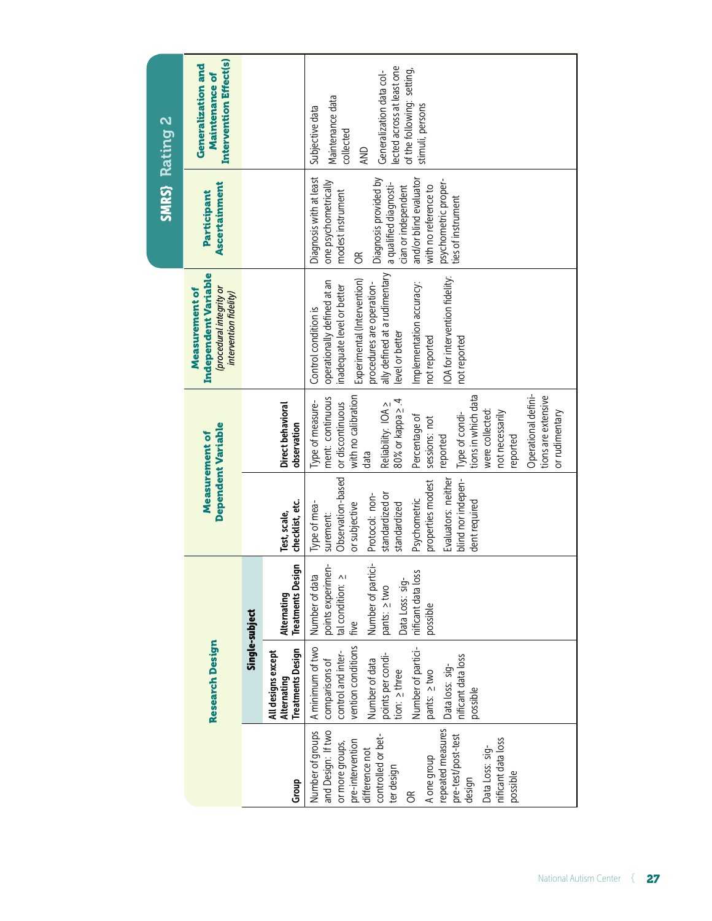| SMRS) Rating 2 | Intervention Effect(s)<br>Generalization and<br><b>Maintenance of</b>                       |                                  |                                                               | lected across at least one<br>of the following: setting,<br>Generalization data col-<br>Maintenance data<br>stimuli, persons<br>Subjective data<br>collected<br>AND                                                                                                                                                                         |
|----------------|---------------------------------------------------------------------------------------------|----------------------------------|---------------------------------------------------------------|---------------------------------------------------------------------------------------------------------------------------------------------------------------------------------------------------------------------------------------------------------------------------------------------------------------------------------------------|
|                | Ascertainment<br>Participant                                                                |                                  |                                                               | Diagnosis with at least<br>Diagnosis provided by<br>and/or blind evaluator<br>psychometric proper-<br>one psychometrically<br>a qualified diagnosti-<br>with no reference to<br>cian or independent<br>modest instrument<br>ties of instrument<br>$\mathfrak{S}$                                                                            |
|                | Independent Variable<br>procedural integrity or<br>Measurement of<br>intervention fidelity) |                                  |                                                               | ally defined at a rudimentary<br>IOA for intervention fidelity:<br>Experimental (Intervention)<br>operationally defined at an<br>procedures are operation-<br>Implementation accuracy:<br>inadequate level or better<br>Control condition is<br>level or better<br>not reported<br>not reported                                             |
|                | <b>Dependent Variable</b><br>Measurement of                                                 | Direct behavioral<br>observation |                                                               | Operational defini-<br>tions in which data<br>with no calibration<br>tions are extensive<br>ment: continuous<br>80% or kappa ≥ .4<br>Type of measure-<br>or discontinuous<br>Reliability: IOA ><br>were collected:<br>or rudimentary<br>not necessarily<br>Type of condi-<br>Percentage of<br>sessions: not<br>reported<br>reported<br>data |
|                |                                                                                             |                                  | checklist, etc.<br>Test, scale,                               | Observation-based<br>Evaluators: neither<br>properties modest<br>blind nor indepen-<br>Protocol: non-<br>standardized or<br>Psychometric<br>dent required<br>Type of mea-<br>or subjective<br>standardized<br>surement:                                                                                                                     |
|                |                                                                                             | Single-subject                   | Alternating<br>Treatments Design                              | Number of partici-<br>points experimen-<br>tal condition: 2<br>nificant data loss<br>Number of data<br>Data Loss: sig-<br>pants: 2 two<br>possible<br>i five                                                                                                                                                                                |
|                | <b>Research Design</b>                                                                      |                                  | <b>Treatments Design</b><br>All designs except<br>Alternating | A minimum of two<br>Number of partici-<br>vention conditions<br>comparisons of<br>control and inter-<br>Number of data<br>points per condi-<br>tion: > three<br>nificant data loss<br>Data loss: sig-<br>pants: > two<br>possible                                                                                                           |
|                |                                                                                             |                                  | Group                                                         | repeated measures<br>Number of groups<br>and Design: If two<br>pre-test/post-test<br>controlled or bet-<br>nificant data loss<br>pre-intervention<br>or more groups,<br>Data Loss: sig-<br>difference not<br>A one group<br>ter design<br>possible<br>design<br>$\infty$                                                                    |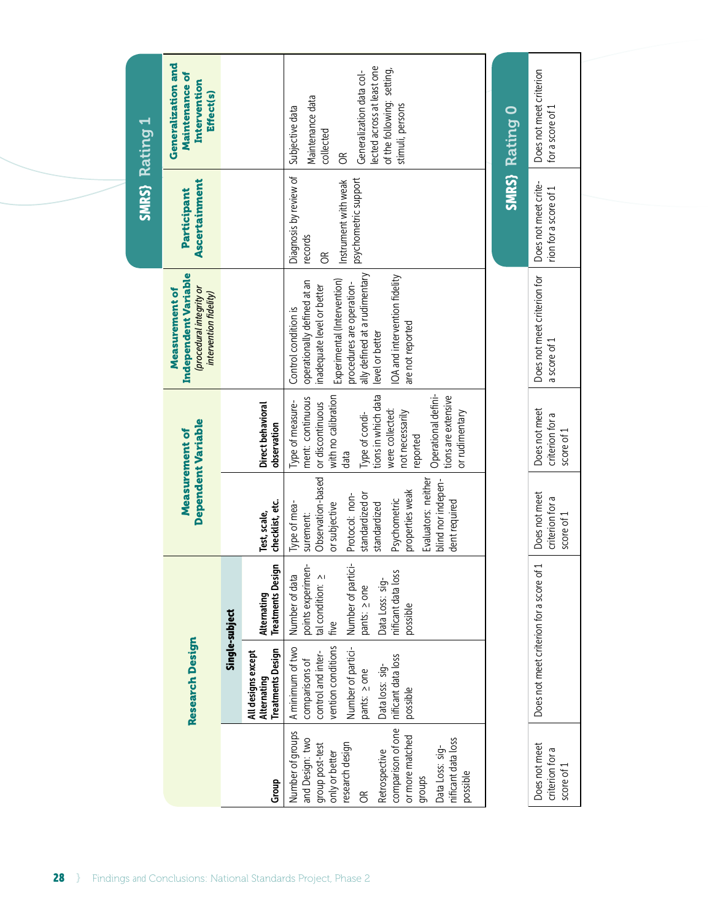| SMRS) Rating 1 | Generalization and<br><b>Maintenance of</b><br>Intervention<br><b>Effect(s)</b>             |                    |                                         | lected across at least one<br>of the following: setting,<br>Generalization data col-<br>Maintenance data<br>stimuli, persons<br>Subjective data<br>collected<br>$\widetilde{\sigma}$                                                                   | SMRS) Rating O | Does not meet criterion<br>for a score of 1    |
|----------------|---------------------------------------------------------------------------------------------|--------------------|-----------------------------------------|--------------------------------------------------------------------------------------------------------------------------------------------------------------------------------------------------------------------------------------------------------|----------------|------------------------------------------------|
|                | Ascertainment<br>Participant                                                                |                    |                                         | Diagnosis by review of<br>psychometric support<br>Instrument with weak<br>records<br>$\infty$                                                                                                                                                          |                | Does not meet crite-<br>rion for a score of 1  |
|                | Independent Variable<br>procedural integrity or<br>Measurement of<br>intervention fidelity) |                    |                                         | ally defined at a rudimentary<br>IOA and intervention fidelity<br>Experimental (Intervention)<br>operationally defined at an<br>procedures are operation-<br>inadequate level or better<br>Control condition is<br>are not reported<br>level or better |                | Does not meet criterion for<br>a score of 1    |
|                |                                                                                             |                    | Direct behavioral<br>observation        | tions in which data<br>Operational defini-<br>with no calibration<br>tions are extensive<br>ment: continuous<br>Type of measure-<br>or discontinuous<br>were collected:<br>or rudimentary<br>not necessarily<br>Type of condi-<br>reported<br>data     |                | Does not meet<br>criterion for a<br>score of 1 |
|                | <b>Dependent Variable</b><br>Measurement of                                                 |                    | checklist, etc.<br>Test, scale,         | Observation-based<br>Evaluators: neither<br>blind nor indepen-<br>properties weak<br>Protocol: non-<br>standardized or<br>Psychometric<br>dent required<br>Type of mea-<br>or subjective<br>standardized<br>surement:                                  |                | Does not meet<br>criterion for a<br>score of 1 |
|                |                                                                                             | Single-subject     | <b>Treatments Design</b><br>Alternating | Number of partici-<br>points experimen-<br>nificant data loss<br>Number of data<br>tal condition: ><br>Data Loss: sig-<br>pants: 2 one<br>possible<br>five                                                                                             |                | Does not meet criterion for a score of 1       |
|                | <b>Research Design</b>                                                                      | All designs except | <b>Treatments Design</b><br>Alternating | Number of partici-<br>vention conditions<br>A minimum of two<br>control and inter-<br>nificant data loss<br>comparisons of<br>Data loss: sig-<br>pants: 2 one<br>possible                                                                              |                |                                                |
|                |                                                                                             |                    | Group                                   | comparison of one<br>Number of groups<br>or more matched<br>nificant data loss<br>and Design: two<br>research design<br>group post-test<br>Data Loss: sig-<br>Retrospective<br>only or better<br>possible<br>groups<br>E                               |                | Does not meet<br>criterion for a<br>score of 1 |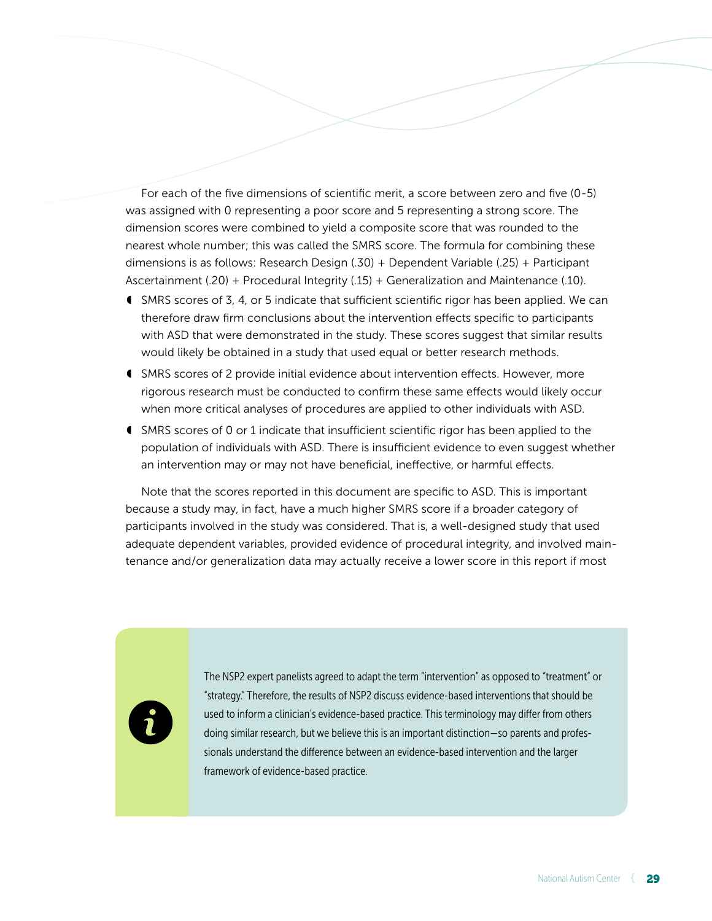For each of the five dimensions of scientific merit, a score between zero and five (0-5) was assigned with 0 representing a poor score and 5 representing a strong score. The dimension scores were combined to yield a composite score that was rounded to the nearest whole number; this was called the SMRS score. The formula for combining these dimensions is as follows: Research Design (.30) + Dependent Variable (.25) + Participant Ascertainment (.20) + Procedural Integrity (.15) + Generalization and Maintenance (.10).

- ◖ SMRS scores of 3, 4, or 5 indicate that sufficient scientific rigor has been applied. We can therefore draw firm conclusions about the intervention effects specific to participants with ASD that were demonstrated in the study. These scores suggest that similar results would likely be obtained in a study that used equal or better research methods.
- ◖ SMRS scores of 2 provide initial evidence about intervention effects. However, more rigorous research must be conducted to confirm these same effects would likely occur when more critical analyses of procedures are applied to other individuals with ASD.
- ◖ SMRS scores of 0 or 1 indicate that insufficient scientific rigor has been applied to the population of individuals with ASD. There is insufficient evidence to even suggest whether an intervention may or may not have beneficial, ineffective, or harmful effects.

Note that the scores reported in this document are specific to ASD. This is important because a study may, in fact, have a much higher SMRS score if a broader category of participants involved in the study was considered. That is, a well-designed study that used adequate dependent variables, provided evidence of procedural integrity, and involved maintenance and/or generalization data may actually receive a lower score in this report if most



The NSP2 expert panelists agreed to adapt the term "intervention" as opposed to "treatment" or "strategy." Therefore, the results of NSP2 discuss evidence-based interventions that should be used to inform a clinician's evidence-based practice. This terminology may differ from others doing similar research, but we believe this is an important distinction — so parents and professionals understand the difference between an evidence-based intervention and the larger framework of evidence-based practice.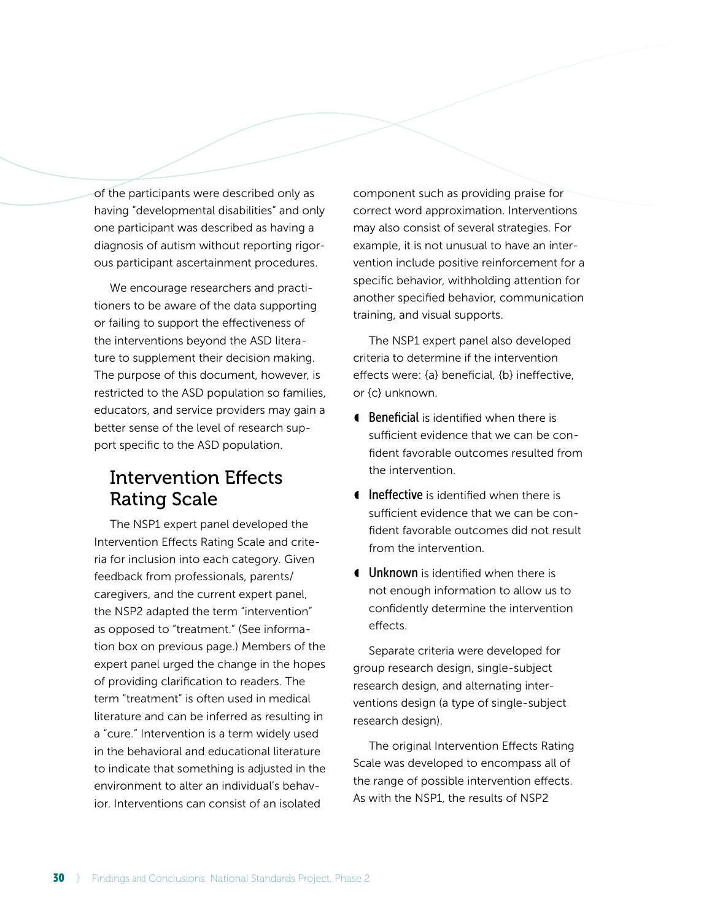of the participants were described only as having "developmental disabilities" and only one participant was described as having a diagnosis of autism without reporting rigorous participant ascertainment procedures.

We encourage researchers and practitioners to be aware of the data supporting or failing to support the effectiveness of the interventions beyond the ASD literature to supplement their decision making. The purpose of this document, however, is restricted to the ASD population so families, educators, and service providers may gain a better sense of the level of research support specific to the ASD population.

## Intervention Effects Rating Scale

The NSP1 expert panel developed the Intervention Effects Rating Scale and criteria for inclusion into each category. Given feedback from professionals, parents/ caregivers, and the current expert panel, the NSP2 adapted the term "intervention" as opposed to "treatment." (See information box on previous page.) Members of the expert panel urged the change in the hopes of providing clarification to readers. The term "treatment" is often used in medical literature and can be inferred as resulting in a "cure." Intervention is a term widely used in the behavioral and educational literature to indicate that something is adjusted in the environment to alter an individual's behavior. Interventions can consist of an isolated

component such as providing praise for correct word approximation. Interventions may also consist of several strategies. For example, it is not unusual to have an intervention include positive reinforcement for a specific behavior, withholding attention for another specified behavior, communication training, and visual supports.

The NSP1 expert panel also developed criteria to determine if the intervention effects were: {a} beneficial, {b} ineffective, or {c} unknown.

- **Ⅰ Beneficial** is identified when there is sufficient evidence that we can be confident favorable outcomes resulted from the intervention.
- ◖ Ineffective is identified when there is sufficient evidence that we can be confident favorable outcomes did not result from the intervention.
- **I** Unknown is identified when there is not enough information to allow us to confidently determine the intervention effects.

Separate criteria were developed for group research design, single-subject research design, and alternating interventions design (a type of single-subject research design).

The original Intervention Effects Rating Scale was developed to encompass all of the range of possible intervention effects. As with the NSP1, the results of NSP2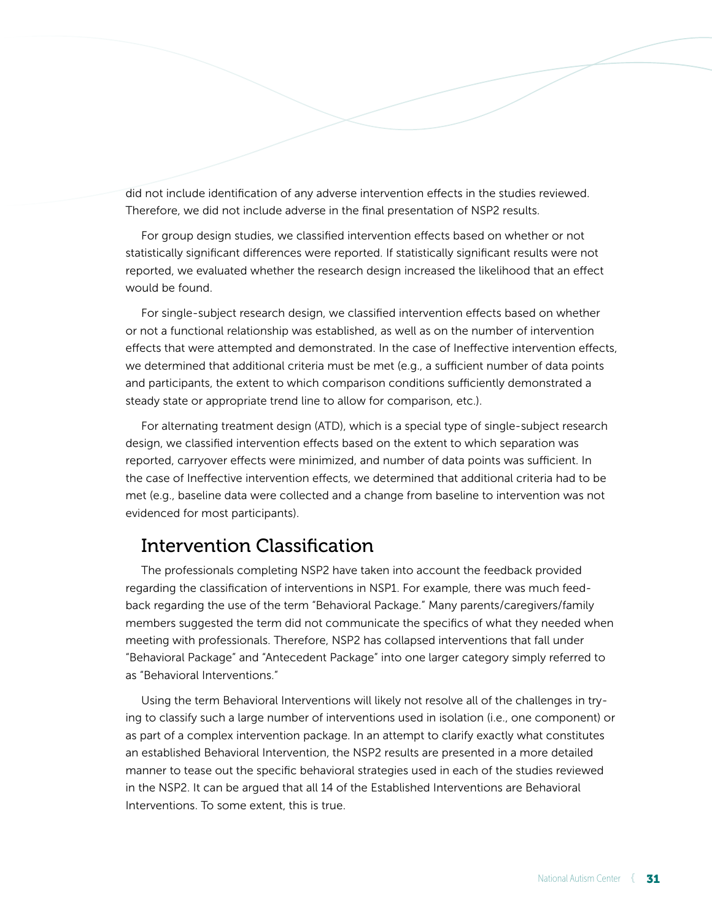did not include identification of any adverse intervention effects in the studies reviewed. Therefore, we did not include adverse in the final presentation of NSP2 results.

For group design studies, we classified intervention effects based on whether or not statistically significant differences were reported. If statistically significant results were not reported, we evaluated whether the research design increased the likelihood that an effect would be found.

For single-subject research design, we classified intervention effects based on whether or not a functional relationship was established, as well as on the number of intervention effects that were attempted and demonstrated. In the case of Ineffective intervention effects, we determined that additional criteria must be met (e.g., a sufficient number of data points and participants, the extent to which comparison conditions sufficiently demonstrated a steady state or appropriate trend line to allow for comparison, etc.).

For alternating treatment design (ATD), which is a special type of single-subject research design, we classified intervention effects based on the extent to which separation was reported, carryover effects were minimized, and number of data points was sufficient. In the case of Ineffective intervention effects, we determined that additional criteria had to be met (e.g., baseline data were collected and a change from baseline to intervention was not evidenced for most participants).

### Intervention Classification

The professionals completing NSP2 have taken into account the feedback provided regarding the classification of interventions in NSP1. For example, there was much feedback regarding the use of the term "Behavioral Package." Many parents/caregivers/family members suggested the term did not communicate the specifics of what they needed when meeting with professionals. Therefore, NSP2 has collapsed interventions that fall under "Behavioral Package" and "Antecedent Package" into one larger category simply referred to as "Behavioral Interventions."

Using the term Behavioral Interventions will likely not resolve all of the challenges in trying to classify such a large number of interventions used in isolation (i.e., one component) or as part of a complex intervention package. In an attempt to clarify exactly what constitutes an established Behavioral Intervention, the NSP2 results are presented in a more detailed manner to tease out the specific behavioral strategies used in each of the studies reviewed in the NSP2. It can be argued that all 14 of the Established Interventions are Behavioral Interventions. To some extent, this is true.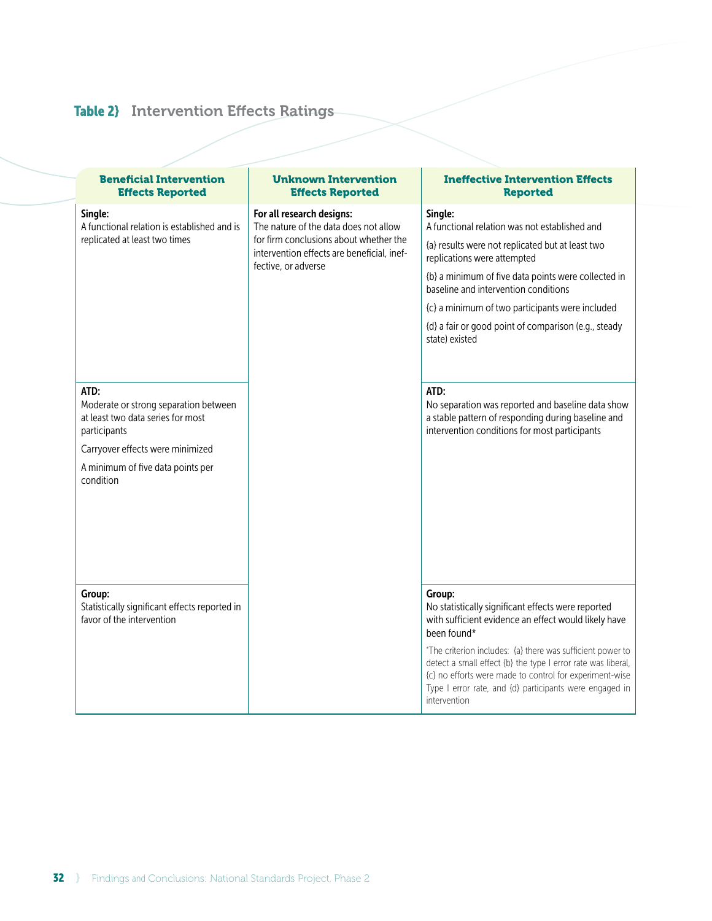# Table 2} Intervention Effects Ratings

| <b>Beneficial Intervention</b><br><b>Effects Reported</b>                                                                                                                     | <b>Unknown Intervention</b><br><b>Effects Reported</b>                                                                                                                            | <b>Ineffective Intervention Effects</b><br><b>Reported</b>                                                                                                                                                                                                                                                                                                                                                                                                                                                                                  |  |  |
|-------------------------------------------------------------------------------------------------------------------------------------------------------------------------------|-----------------------------------------------------------------------------------------------------------------------------------------------------------------------------------|---------------------------------------------------------------------------------------------------------------------------------------------------------------------------------------------------------------------------------------------------------------------------------------------------------------------------------------------------------------------------------------------------------------------------------------------------------------------------------------------------------------------------------------------|--|--|
| Single:<br>A functional relation is established and is<br>replicated at least two times<br>ATD:<br>Moderate or strong separation between<br>at least two data series for most | For all research designs:<br>The nature of the data does not allow<br>for firm conclusions about whether the<br>intervention effects are beneficial, inef-<br>fective, or adverse | Single:<br>A functional relation was not established and<br>{a} results were not replicated but at least two<br>replications were attempted<br>{b} a minimum of five data points were collected in<br>baseline and intervention conditions<br>{c} a minimum of two participants were included<br>{d} a fair or good point of comparison (e.g., steady<br>state) existed<br>ATD:<br>No separation was reported and baseline data show<br>a stable pattern of responding during baseline and<br>intervention conditions for most participants |  |  |
| participants<br>Carryover effects were minimized<br>A minimum of five data points per<br>condition                                                                            |                                                                                                                                                                                   |                                                                                                                                                                                                                                                                                                                                                                                                                                                                                                                                             |  |  |
| Group:<br>Statistically significant effects reported in<br>favor of the intervention                                                                                          |                                                                                                                                                                                   | Group:<br>No statistically significant effects were reported<br>with sufficient evidence an effect would likely have<br>been found*<br>*The criterion includes: {a} there was sufficient power to<br>detect a small effect {b} the type I error rate was liberal,<br>{c} no efforts were made to control for experiment-wise<br>Type I error rate, and {d} participants were engaged in<br>intervention                                                                                                                                     |  |  |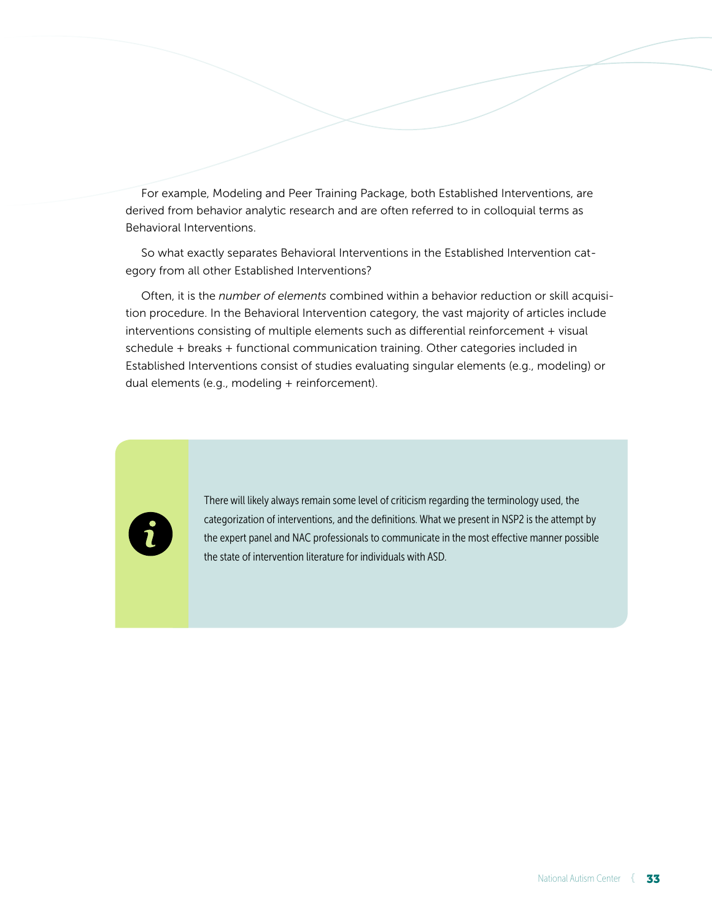For example, Modeling and Peer Training Package, both Established Interventions, are derived from behavior analytic research and are often referred to in colloquial terms as Behavioral Interventions.

So what exactly separates Behavioral Interventions in the Established Intervention category from all other Established Interventions?

Often, it is the *number of elements* combined within a behavior reduction or skill acquisition procedure. In the Behavioral Intervention category, the vast majority of articles include interventions consisting of multiple elements such as differential reinforcement + visual schedule + breaks + functional communication training. Other categories included in Established Interventions consist of studies evaluating singular elements (e.g., modeling) or dual elements (e.g., modeling + reinforcement).



There will likely always remain some level of criticism regarding the terminology used, the categorization of interventions, and the definitions. What we present in NSP2 is the attempt by the expert panel and NAC professionals to communicate in the most effective manner possible the state of intervention literature for individuals with ASD.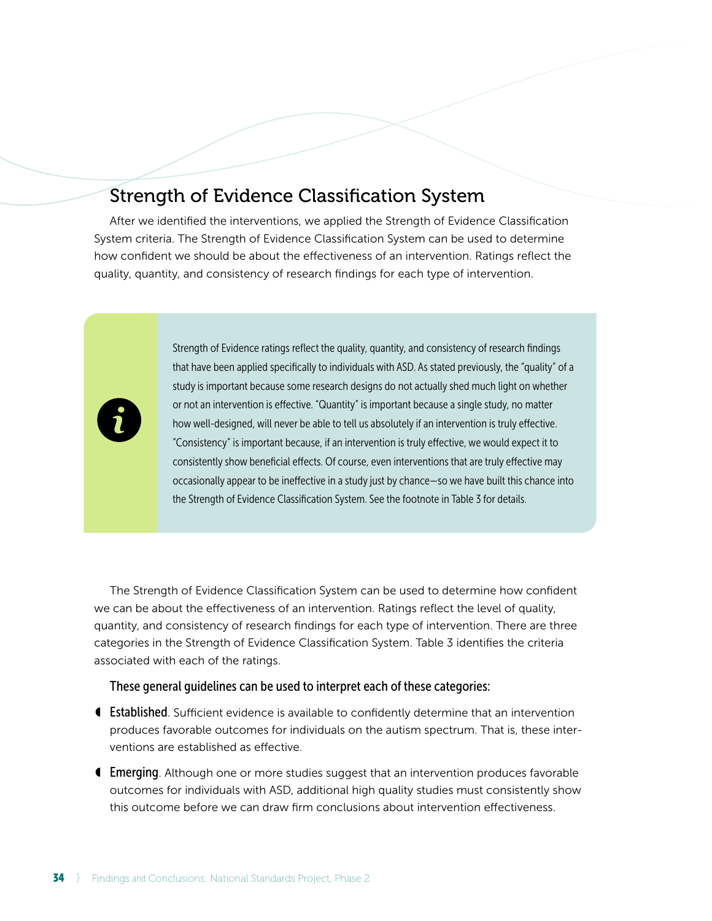# Strength of Evidence Classification System

After we identified the interventions, we applied the Strength of Evidence Classification System criteria. The Strength of Evidence Classification System can be used to determine how confident we should be about the effectiveness of an intervention. Ratings reflect the quality, quantity, and consistency of research findings for each type of intervention.



Strength of Evidence ratings reflect the quality, quantity, and consistency of research findings that have been applied specifically to individuals with ASD. As stated previously, the "quality" of a study is important because some research designs do not actually shed much light on whether or not an intervention is effective. "Quantity" is important because a single study, no matter how well-designed, will never be able to tell us absolutely if an intervention is truly effective. "Consistency" is important because, if an intervention is truly effective, we would expect it to consistently show beneficial effects. Of course, even interventions that are truly effective may occasionally appear to be ineffective in a study just by chance — so we have built this chance into the Strength of Evidence Classification System. See the footnote in Table 3 for details.

The Strength of Evidence Classification System can be used to determine how confident we can be about the effectiveness of an intervention. Ratings reflect the level of quality, quantity, and consistency of research findings for each type of intervention. There are three categories in the Strength of Evidence Classification System. Table 3 identifies the criteria associated with each of the ratings.

#### These general guidelines can be used to interpret each of these categories:

- Established. Sufficient evidence is available to confidently determine that an intervention produces favorable outcomes for individuals on the autism spectrum. That is, these interventions are established as effective.
- ◖ Emerging. Although one or more studies suggest that an intervention produces favorable outcomes for individuals with ASD, additional high quality studies must consistently show this outcome before we can draw firm conclusions about intervention effectiveness.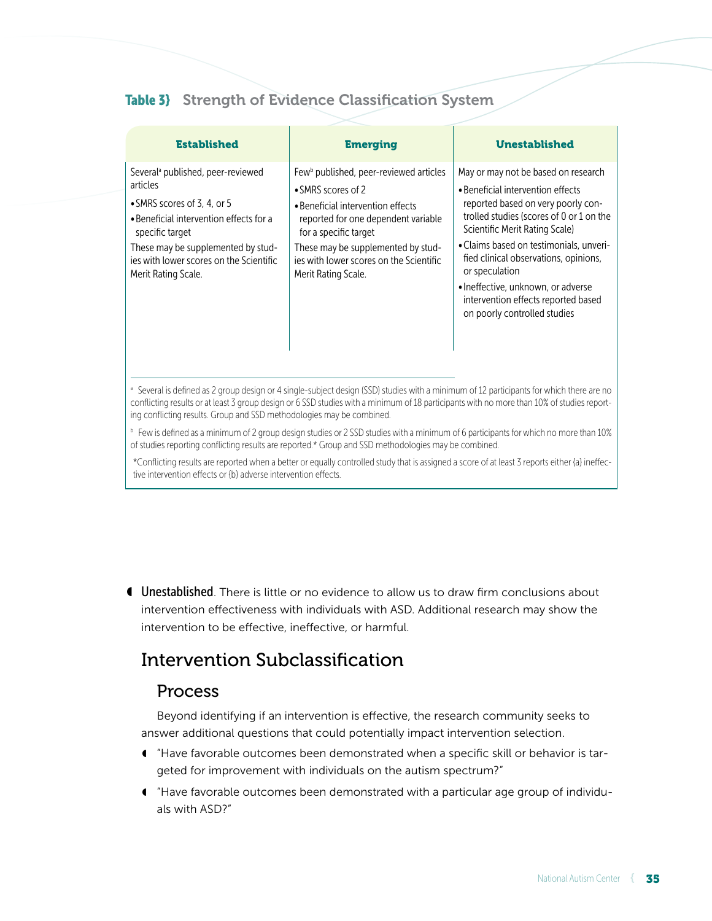# Table 3} Strength of Evidence Classification System

| <b>Established</b>                                                                                                                                                                                                                                             | <b>Emerging</b>                                                                                                                                                                                                                                                                                   | <b>Unestablished</b>                                                                                                                                                                                                                                                                                                                                                                                            |
|----------------------------------------------------------------------------------------------------------------------------------------------------------------------------------------------------------------------------------------------------------------|---------------------------------------------------------------------------------------------------------------------------------------------------------------------------------------------------------------------------------------------------------------------------------------------------|-----------------------------------------------------------------------------------------------------------------------------------------------------------------------------------------------------------------------------------------------------------------------------------------------------------------------------------------------------------------------------------------------------------------|
| Several <sup>a</sup> published, peer-reviewed<br>articles<br>• SMRS scores of 3, 4, or 5<br>• Beneficial intervention effects for a<br>specific target<br>These may be supplemented by stud-<br>jes with lower scores on the Scientific<br>Merit Rating Scale. | Few <sup>b</sup> published, peer-reviewed articles<br>• SMRS scores of 2<br>• Beneficial intervention effects<br>reported for one dependent variable<br>for a specific target<br>These may be supplemented by stud-<br>jes with lower scores on the Scientific<br>Merit Rating Scale.             | May or may not be based on research<br>• Beneficial intervention effects<br>reported based on very poorly con-<br>trolled studies (scores of 0 or 1 on the<br>Scientific Merit Rating Scale)<br>• Claims based on testimonials, unveri-<br>fied clinical observations, opinions,<br>or speculation<br>· Ineffective, unknown, or adverse<br>intervention effects reported based<br>on poorly controlled studies |
| ing conflicting results. Group and SSD methodologies may be combined.                                                                                                                                                                                          | <sup>a</sup> Several is defined as 2 group design or 4 single-subject design (SSD) studies with a minimum of 12 participants for which there are no<br>conflicting results or at least 3 group design or 6 SSD studies with a minimum of 18 participants with no more than 10% of studies report- |                                                                                                                                                                                                                                                                                                                                                                                                                 |
|                                                                                                                                                                                                                                                                | <sup>b</sup> Few is defined as a minimum of 2 group design studies or 2 SSD studies with a minimum of 6 participants for which no more than 10%<br>of studies reporting conflicting results are reported.* Group and SSD methodologies may be combined.                                           |                                                                                                                                                                                                                                                                                                                                                                                                                 |
| tive intervention effects or {b} adverse intervention effects.                                                                                                                                                                                                 | *Conflicting results are reported when a better or equally controlled study that is assigned a score of at least 3 reports either (a) ineffec-                                                                                                                                                    |                                                                                                                                                                                                                                                                                                                                                                                                                 |

◖ Unestablished. There is little or no evidence to allow us to draw firm conclusions about intervention effectiveness with individuals with ASD. Additional research may show the intervention to be effective, ineffective, or harmful.

# Intervention Subclassification

# Process

Beyond identifying if an intervention is effective, the research community seeks to answer additional questions that could potentially impact intervention selection.

- ◖ "Have favorable outcomes been demonstrated when a specific skill or behavior is targeted for improvement with individuals on the autism spectrum?"
- ◖ "Have favorable outcomes been demonstrated with a particular age group of individuals with ASD?"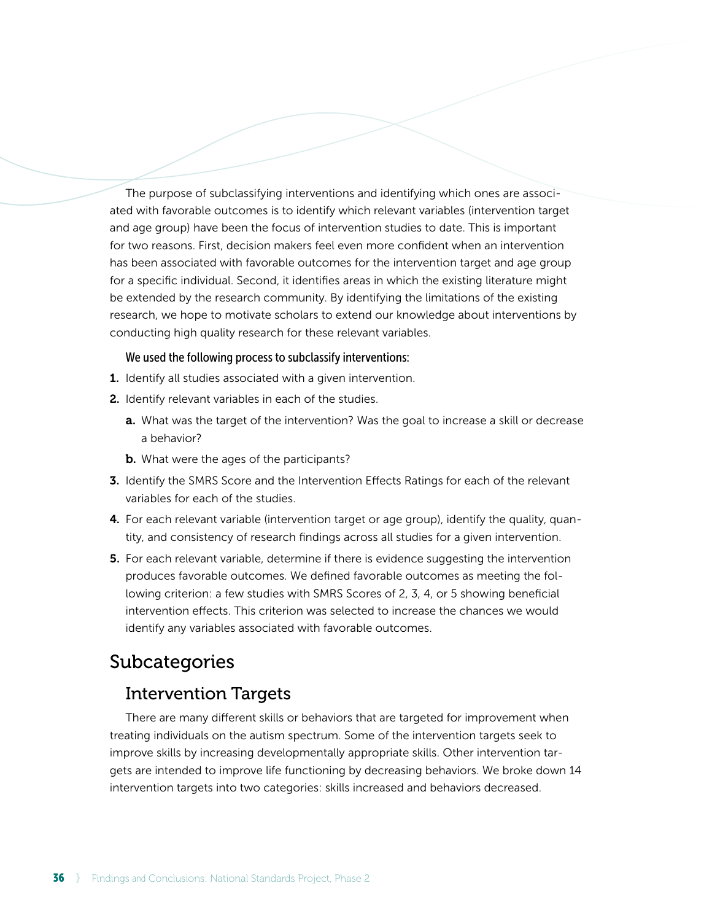The purpose of subclassifying interventions and identifying which ones are associated with favorable outcomes is to identify which relevant variables (intervention target and age group) have been the focus of intervention studies to date. This is important for two reasons. First, decision makers feel even more confident when an intervention has been associated with favorable outcomes for the intervention target and age group for a specific individual. Second, it identifies areas in which the existing literature might be extended by the research community. By identifying the limitations of the existing research, we hope to motivate scholars to extend our knowledge about interventions by conducting high quality research for these relevant variables.

#### We used the following process to subclassify interventions:

- 1. Identify all studies associated with a given intervention.
- 2. Identify relevant variables in each of the studies.
	- **a.** What was the target of the intervention? Was the goal to increase a skill or decrease a behavior?
	- **b.** What were the ages of the participants?
- **3.** Identify the SMRS Score and the Intervention Effects Ratings for each of the relevant variables for each of the studies.
- 4. For each relevant variable (intervention target or age group), identify the quality, quantity, and consistency of research findings across all studies for a given intervention.
- **5.** For each relevant variable, determine if there is evidence suggesting the intervention produces favorable outcomes. We defined favorable outcomes as meeting the following criterion: a few studies with SMRS Scores of 2, 3, 4, or 5 showing beneficial intervention effects. This criterion was selected to increase the chances we would identify any variables associated with favorable outcomes.

# Subcategories

# Intervention Targets

There are many different skills or behaviors that are targeted for improvement when treating individuals on the autism spectrum. Some of the intervention targets seek to improve skills by increasing developmentally appropriate skills. Other intervention targets are intended to improve life functioning by decreasing behaviors. We broke down 14 intervention targets into two categories: skills increased and behaviors decreased.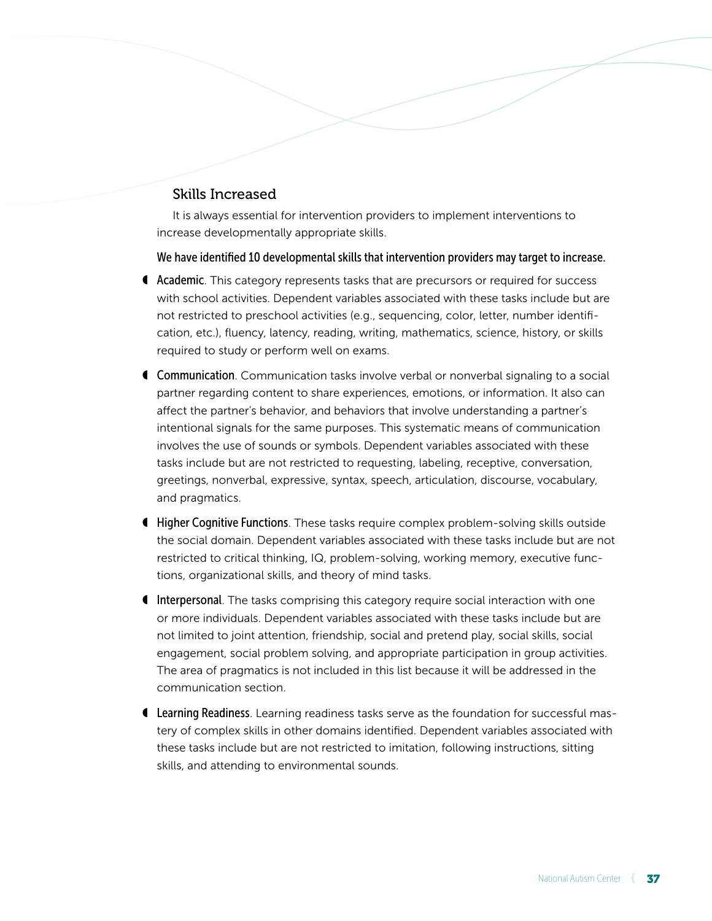# Skills Increased

It is always essential for intervention providers to implement interventions to increase developmentally appropriate skills.

We have identified 10 developmental skills that intervention providers may target to increase.

- ◖ Academic. This category represents tasks that are precursors or required for success with school activities. Dependent variables associated with these tasks include but are not restricted to preschool activities (e.g., sequencing, color, letter, number identification, etc.), fluency, latency, reading, writing, mathematics, science, history, or skills required to study or perform well on exams.
- **€ Communication**. Communication tasks involve verbal or nonverbal signaling to a social partner regarding content to share experiences, emotions, or information. It also can affect the partner's behavior, and behaviors that involve understanding a partner's intentional signals for the same purposes. This systematic means of communication involves the use of sounds or symbols. Dependent variables associated with these tasks include but are not restricted to requesting, labeling, receptive, conversation, greetings, nonverbal, expressive, syntax, speech, articulation, discourse, vocabulary, and pragmatics.
- ◖ Higher Cognitive Functions. These tasks require complex problem-solving skills outside the social domain. Dependent variables associated with these tasks include but are not restricted to critical thinking, IQ, problem-solving, working memory, executive functions, organizational skills, and theory of mind tasks.
- ◖ Interpersonal. The tasks comprising this category require social interaction with one or more individuals. Dependent variables associated with these tasks include but are not limited to joint attention, friendship, social and pretend play, social skills, social engagement, social problem solving, and appropriate participation in group activities. The area of pragmatics is not included in this list because it will be addressed in the communication section.
- **I Learning Readiness**. Learning readiness tasks serve as the foundation for successful mastery of complex skills in other domains identified. Dependent variables associated with these tasks include but are not restricted to imitation, following instructions, sitting skills, and attending to environmental sounds.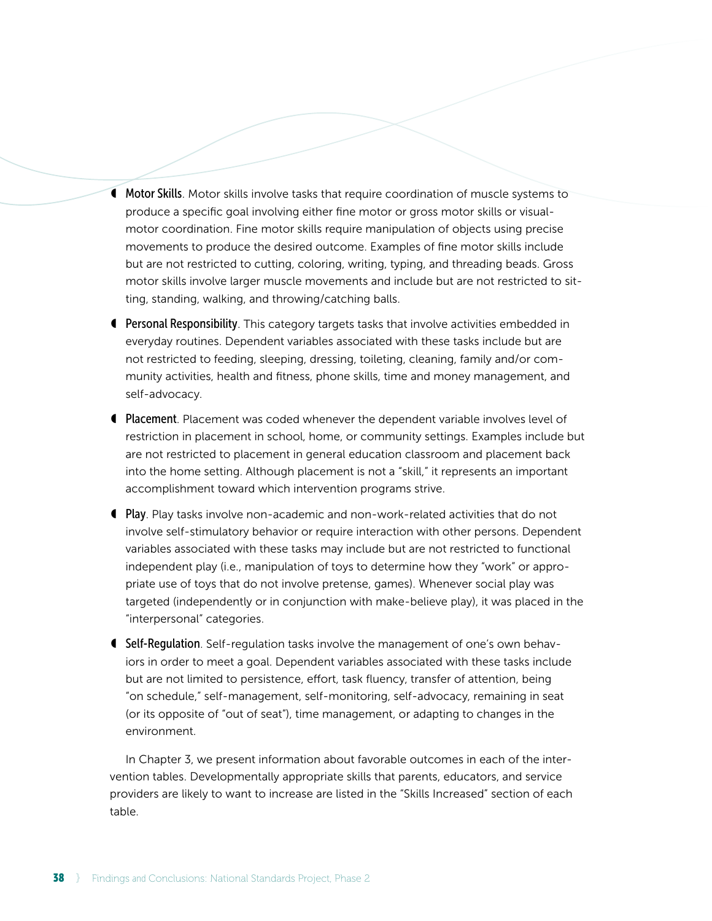- ◖ Motor Skills. Motor skills involve tasks that require coordination of muscle systems to produce a specific goal involving either fine motor or gross motor skills or visualmotor coordination. Fine motor skills require manipulation of objects using precise movements to produce the desired outcome. Examples of fine motor skills include but are not restricted to cutting, coloring, writing, typing, and threading beads. Gross motor skills involve larger muscle movements and include but are not restricted to sitting, standing, walking, and throwing/catching balls.
- ◖ Personal Responsibility. This category targets tasks that involve activities embedded in everyday routines. Dependent variables associated with these tasks include but are not restricted to feeding, sleeping, dressing, toileting, cleaning, family and/or community activities, health and fitness, phone skills, time and money management, and self-advocacy.
- **I** Placement. Placement was coded whenever the dependent variable involves level of restriction in placement in school, home, or community settings. Examples include but are not restricted to placement in general education classroom and placement back into the home setting. Although placement is not a "skill," it represents an important accomplishment toward which intervention programs strive.
- ◖ Play. Play tasks involve non-academic and non-work-related activities that do not involve self-stimulatory behavior or require interaction with other persons. Dependent variables associated with these tasks may include but are not restricted to functional independent play (i.e., manipulation of toys to determine how they "work" or appropriate use of toys that do not involve pretense, games). Whenever social play was targeted (independently or in conjunction with make-believe play), it was placed in the "interpersonal" categories.
- ◖ Self-Regulation. Self-regulation tasks involve the management of one's own behaviors in order to meet a goal. Dependent variables associated with these tasks include but are not limited to persistence, effort, task fluency, transfer of attention, being "on schedule," self-management, self-monitoring, self-advocacy, remaining in seat (or its opposite of "out of seat"), time management, or adapting to changes in the environment.

In Chapter 3, we present information about favorable outcomes in each of the intervention tables. Developmentally appropriate skills that parents, educators, and service providers are likely to want to increase are listed in the "Skills Increased" section of each table.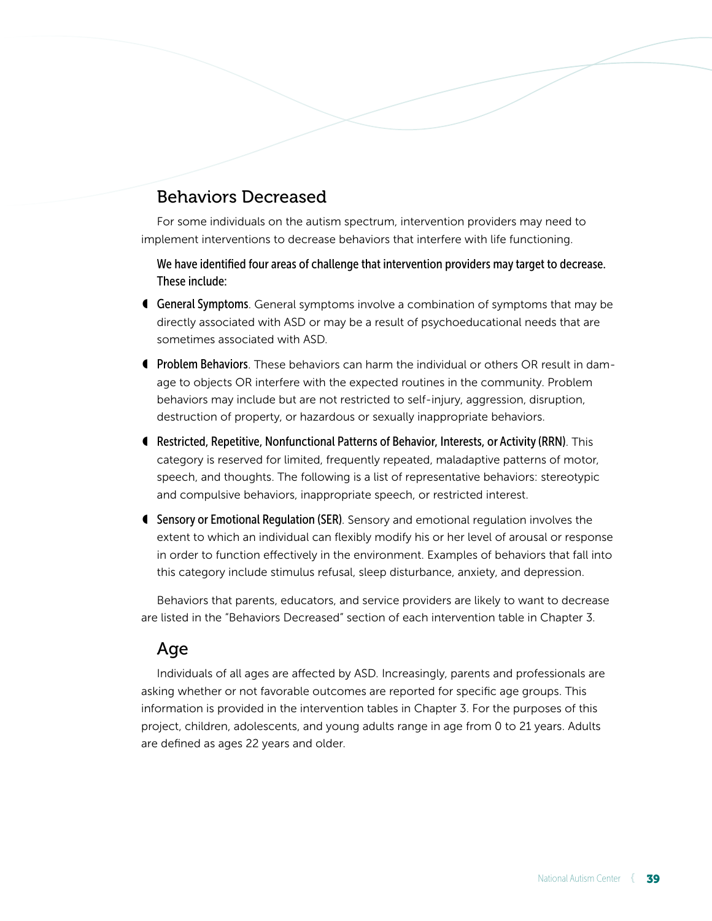# Behaviors Decreased

For some individuals on the autism spectrum, intervention providers may need to implement interventions to decrease behaviors that interfere with life functioning.

We have identified four areas of challenge that intervention providers may target to decrease. These include:

- **General Symptoms**. General symptoms involve a combination of symptoms that may be directly associated with ASD or may be a result of psychoeducational needs that are sometimes associated with ASD.
- **f** Problem Behaviors. These behaviors can harm the individual or others OR result in damage to objects OR interfere with the expected routines in the community. Problem behaviors may include but are not restricted to self-injury, aggression, disruption, destruction of property, or hazardous or sexually inappropriate behaviors.
- ◖ Restricted, Repetitive, Nonfunctional Patterns of Behavior, Interests, or Activity (RRN). This category is reserved for limited, frequently repeated, maladaptive patterns of motor, speech, and thoughts. The following is a list of representative behaviors: stereotypic and compulsive behaviors, inappropriate speech, or restricted interest.
- ◖ Sensory or Emotional Regulation (SER). Sensory and emotional regulation involves the extent to which an individual can flexibly modify his or her level of arousal or response in order to function effectively in the environment. Examples of behaviors that fall into this category include stimulus refusal, sleep disturbance, anxiety, and depression.

Behaviors that parents, educators, and service providers are likely to want to decrease are listed in the "Behaviors Decreased" section of each intervention table in Chapter 3.

# Age

Individuals of all ages are affected by ASD. Increasingly, parents and professionals are asking whether or not favorable outcomes are reported for specific age groups. This information is provided in the intervention tables in Chapter 3. For the purposes of this project, children, adolescents, and young adults range in age from 0 to 21 years. Adults are defined as ages 22 years and older.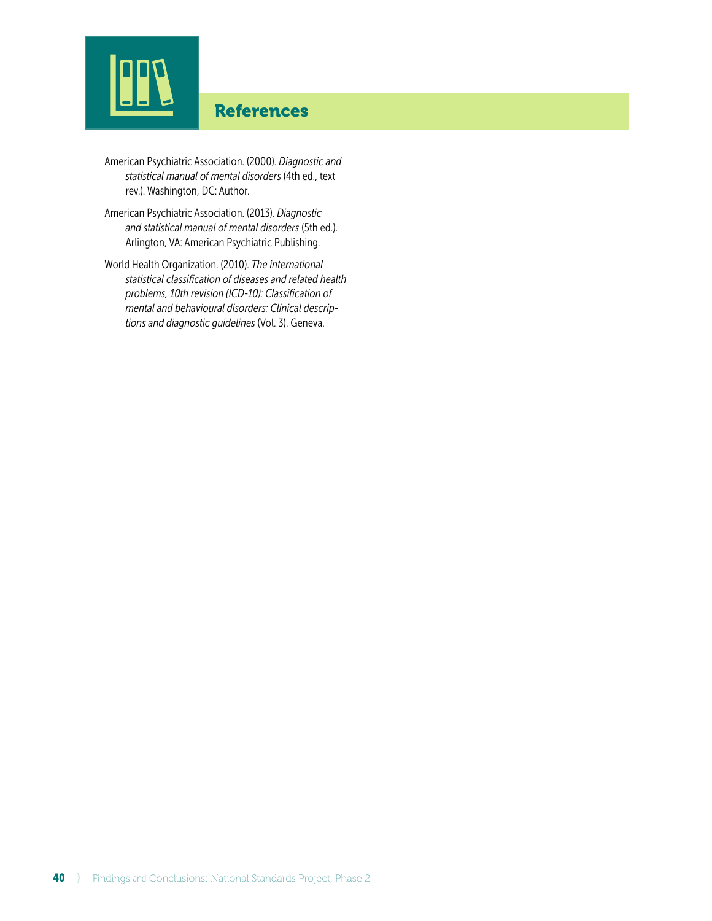# References

- American Psychiatric Association. (2000). *Diagnostic and statistical manual of mental disorders* (4th ed., text rev.). Washington, DC: Author.
- American Psychiatric Association. (2013). *Diagnostic and statistical manual of mental disorders* (5th ed.). Arlington, VA: American Psychiatric Publishing.
- World Health Organization. (2010). *The international statistical classification of diseases and related health problems, 10th revision (ICD-10): Classification of mental and behavioural disorders: Clinical descriptions and diagnostic guidelines* (Vol. 3). Geneva.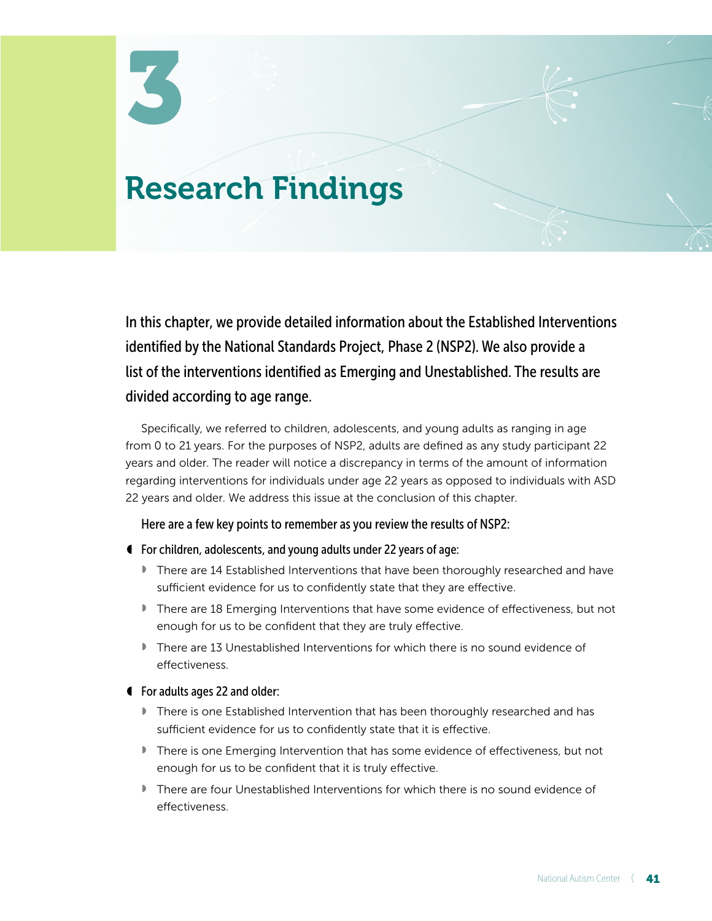# Research Findings

In this chapter, we provide detailed information about the Established Interventions identified by the National Standards Project, Phase 2 (NSP2). We also provide a list of the interventions identified as Emerging and Unestablished. The results are divided according to age range.

Specifically, we referred to children, adolescents, and young adults as ranging in age from 0 to 21 years. For the purposes of NSP2, adults are defined as any study participant 22 years and older. The reader will notice a discrepancy in terms of the amount of information regarding interventions for individuals under age 22 years as opposed to individuals with ASD 22 years and older. We address this issue at the conclusion of this chapter.

Here are a few key points to remember as you review the results of NSP2:

- ◖ For children, adolescents, and young adults under 22 years of age:
	- There are 14 Established Interventions that have been thoroughly researched and have sufficient evidence for us to confidently state that they are effective.
	- There are 18 Emerging Interventions that have some evidence of effectiveness, but not enough for us to be confident that they are truly effective.
	- There are 13 Unestablished Interventions for which there is no sound evidence of effectiveness.
- ◖ For adults ages 22 and older:
	- ◗ There is one Established Intervention that has been thoroughly researched and has sufficient evidence for us to confidently state that it is effective.
	- There is one Emerging Intervention that has some evidence of effectiveness, but not enough for us to be confident that it is truly effective.
	- ◗ There are four Unestablished Interventions for which there is no sound evidence of effectiveness.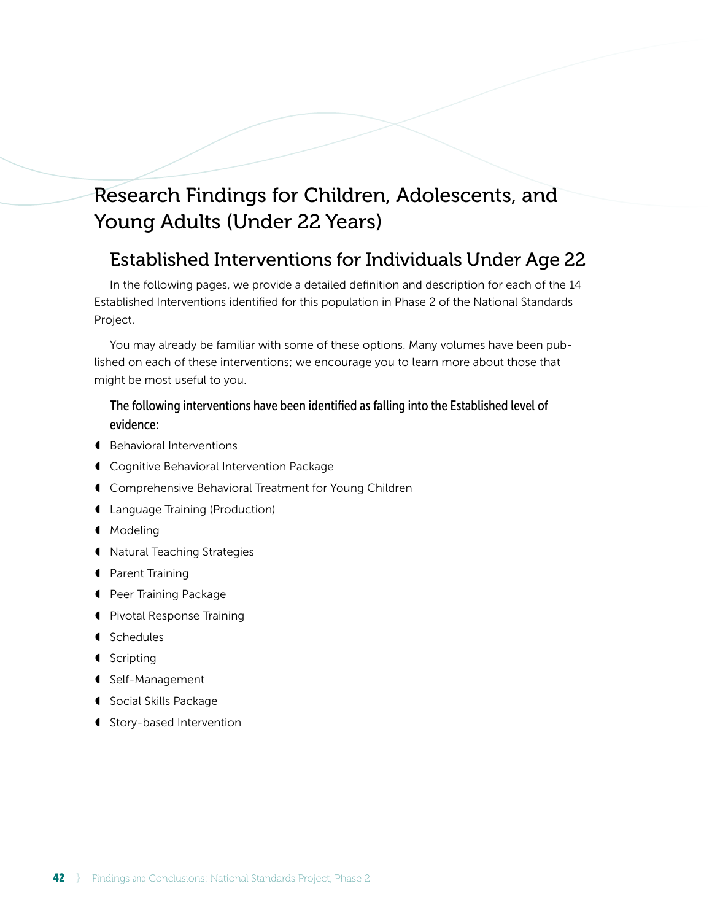# Research Findings for Children, Adolescents, and Young Adults (Under 22 Years)

# Established Interventions for Individuals Under Age 22

In the following pages, we provide a detailed definition and description for each of the 14 Established Interventions identified for this population in Phase 2 of the National Standards Project.

You may already be familiar with some of these options. Many volumes have been published on each of these interventions; we encourage you to learn more about those that might be most useful to you.

### The following interventions have been identified as falling into the Established level of evidence:

- ◖ Behavioral Interventions
- ◖ Cognitive Behavioral Intervention Package
- ◖ Comprehensive Behavioral Treatment for Young Children
- ◖ Language Training (Production)
- ◖ Modeling
- ◖ Natural Teaching Strategies
- ◖ Parent Training
- ◖ Peer Training Package
- ◖ Pivotal Response Training
- ◖ Schedules
- ◖ Scripting
- ◖ Self-Management
- ◖ Social Skills Package
- ◖ Story-based Intervention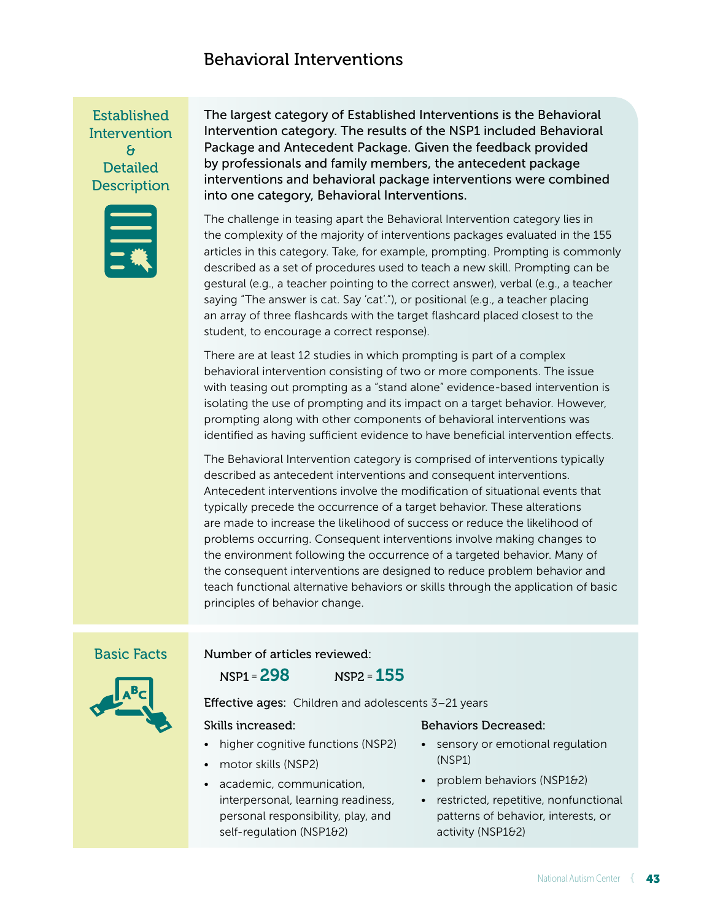# Behavioral Interventions

Established **Intervention** & **Detailed Description** 



The largest category of Established Interventions is the Behavioral Intervention category. The results of the NSP1 included Behavioral Package and Antecedent Package. Given the feedback provided by professionals and family members, the antecedent package interventions and behavioral package interventions were combined into one category, Behavioral Interventions.

The challenge in teasing apart the Behavioral Intervention category lies in the complexity of the majority of interventions packages evaluated in the 155 articles in this category. Take, for example, prompting. Prompting is commonly described as a set of procedures used to teach a new skill. Prompting can be gestural (e.g., a teacher pointing to the correct answer), verbal (e.g., a teacher saying "The answer is cat. Say 'cat'."), or positional (e.g., a teacher placing an array of three flashcards with the target flashcard placed closest to the student, to encourage a correct response).

There are at least 12 studies in which prompting is part of a complex behavioral intervention consisting of two or more components. The issue with teasing out prompting as a "stand alone" evidence-based intervention is isolating the use of prompting and its impact on a target behavior. However, prompting along with other components of behavioral interventions was identified as having sufficient evidence to have beneficial intervention effects.

The Behavioral Intervention category is comprised of interventions typically described as antecedent interventions and consequent interventions. Antecedent interventions involve the modification of situational events that typically precede the occurrence of a target behavior. These alterations are made to increase the likelihood of success or reduce the likelihood of problems occurring. Consequent interventions involve making changes to the environment following the occurrence of a targeted behavior. Many of the consequent interventions are designed to reduce problem behavior and teach functional alternative behaviors or skills through the application of basic principles of behavior change.

#### Basic Facts

NSP1 =298 NSP2 = 155

Number of articles reviewed:

Effective ages: Children and adolescents 3-21 years

#### Skills increased:

- higher cognitive functions (NSP2)
- motor skills (NSP2)
- academic, communication, interpersonal, learning readiness, personal responsibility, play, and self-regulation (NSP1&2)

#### Behaviors Decreased:

- sensory or emotional regulation (NSP1)
- problem behaviors (NSP1&2)
- restricted, repetitive, nonfunctional patterns of behavior, interests, or activity (NSP1&2)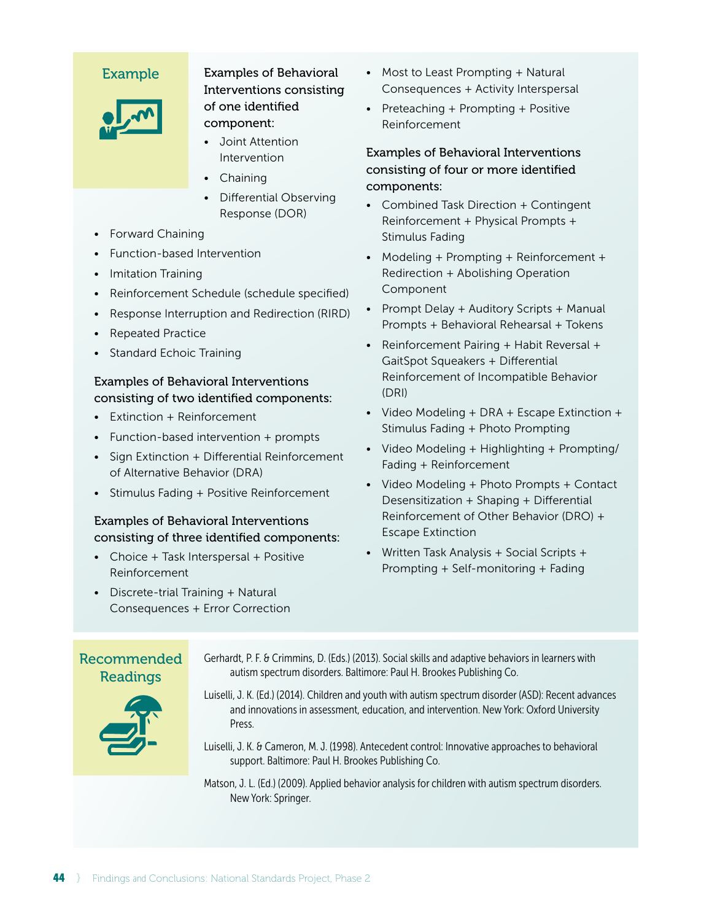

Examples of Behavioral Interventions consisting of one identified component:

- Joint Attention Intervention
- Chaining
- Differential Observing Response (DOR)
- Forward Chaining
- Function-based Intervention
- Imitation Training
- Reinforcement Schedule (schedule specified)
- Response Interruption and Redirection (RIRD)
- Repeated Practice
- Standard Echoic Training

### Examples of Behavioral Interventions consisting of two identified components:

- Extinction + Reinforcement
- Function-based intervention + prompts
- Sign Extinction + Differential Reinforcement of Alternative Behavior (DRA)
- Stimulus Fading + Positive Reinforcement

# Examples of Behavioral Interventions consisting of three identified components:

- Choice + Task Interspersal + Positive Reinforcement
- Discrete-trial Training + Natural Consequences + Error Correction
- Most to Least Prompting + Natural Consequences + Activity Interspersal
- Preteaching + Prompting + Positive Reinforcement

# Examples of Behavioral Interventions consisting of four or more identified components:

- Combined Task Direction + Contingent Reinforcement + Physical Prompts + Stimulus Fading
- Modeling + Prompting + Reinforcement + Redirection + Abolishing Operation Component
- Prompt Delay + Auditory Scripts + Manual Prompts + Behavioral Rehearsal + Tokens
- Reinforcement Pairing + Habit Reversal + GaitSpot Squeakers + Differential Reinforcement of Incompatible Behavior (DRI)
- Video Modeling + DRA + Escape Extinction + Stimulus Fading + Photo Prompting
- Video Modeling + Highlighting + Prompting/ Fading + Reinforcement
- Video Modeling + Photo Prompts + Contact Desensitization + Shaping + Differential Reinforcement of Other Behavior (DRO) + Escape Extinction
- Written Task Analysis + Social Scripts + Prompting + Self-monitoring + Fading

Recommended Readings Gerhardt, P. F. & Crimmins, D. (Eds.) (2013). Social skills and adaptive behaviors in learners with autism spectrum disorders. Baltimore: Paul H. Brookes Publishing Co. Luiselli, J. K. (Ed.) (2014). Children and youth with autism spectrum disorder (ASD): Recent advances and innovations in assessment, education, and intervention. New York: Oxford University Press. Luiselli, J. K. & Cameron, M. J. (1998). Antecedent control: Innovative approaches to behavioral support. Baltimore: Paul H. Brookes Publishing Co. Matson, J. L. (Ed.) (2009). Applied behavior analysis for children with autism spectrum disorders. New York: Springer.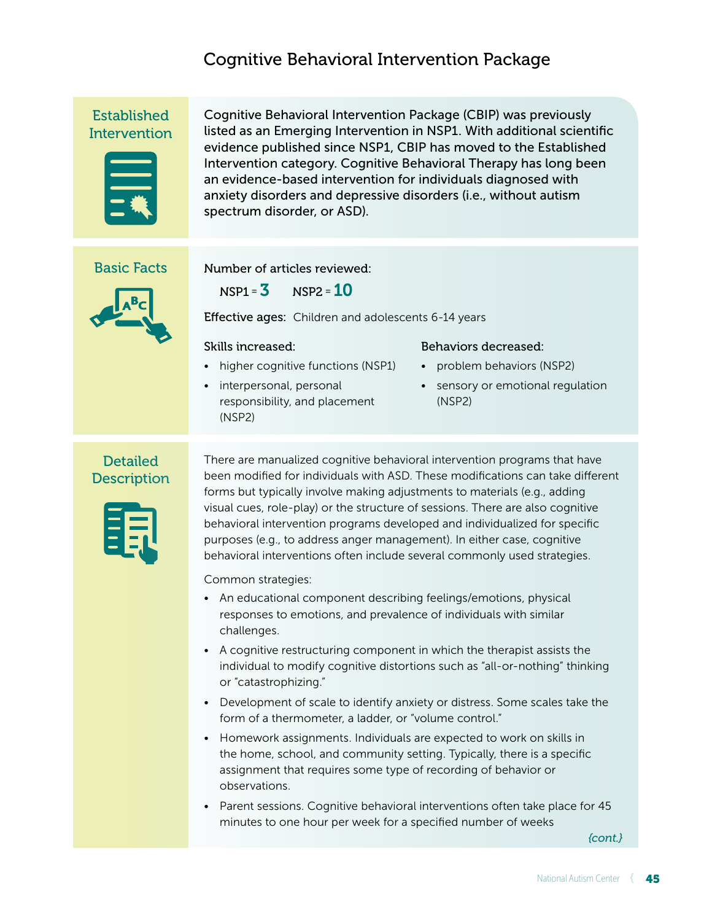# Cognitive Behavioral Intervention Package

Established **Intervention** 



Cognitive Behavioral Intervention Package (CBIP) was previously listed as an Emerging Intervention in NSP1. With additional scientific evidence published since NSP1, CBIP has moved to the Established Intervention category. Cognitive Behavioral Therapy has long been an evidence-based intervention for individuals diagnosed with anxiety disorders and depressive disorders (i.e., without autism spectrum disorder, or ASD).

### Basic Facts



Number of articles reviewed:

 $NSP1 = 3$   $NSP2 = 10$ 

Effective ages: Children and adolescents 6-14 years

#### Skills increased:

- higher cognitive functions (NSP1)
- interpersonal, personal responsibility, and placement (NSP2)

#### Behaviors decreased:

- problem behaviors (NSP2)
- sensory or emotional regulation (NSP2)

# **Detailed Description**



There are manualized cognitive behavioral intervention programs that have been modified for individuals with ASD. These modifications can take different forms but typically involve making adjustments to materials (e.g., adding visual cues, role-play) or the structure of sessions. There are also cognitive behavioral intervention programs developed and individualized for specific purposes (e.g., to address anger management). In either case, cognitive behavioral interventions often include several commonly used strategies.

Common strategies:

- An educational component describing feelings/emotions, physical responses to emotions, and prevalence of individuals with similar challenges.
- A cognitive restructuring component in which the therapist assists the individual to modify cognitive distortions such as "all-or-nothing" thinking or "catastrophizing."
- Development of scale to identify anxiety or distress. Some scales take the form of a thermometer, a ladder, or "volume control."
- Homework assignments. Individuals are expected to work on skills in the home, school, and community setting. Typically, there is a specific assignment that requires some type of recording of behavior or observations.
- Parent sessions. Cognitive behavioral interventions often take place for 45 minutes to one hour per week for a specified number of weeks

*{cont.}*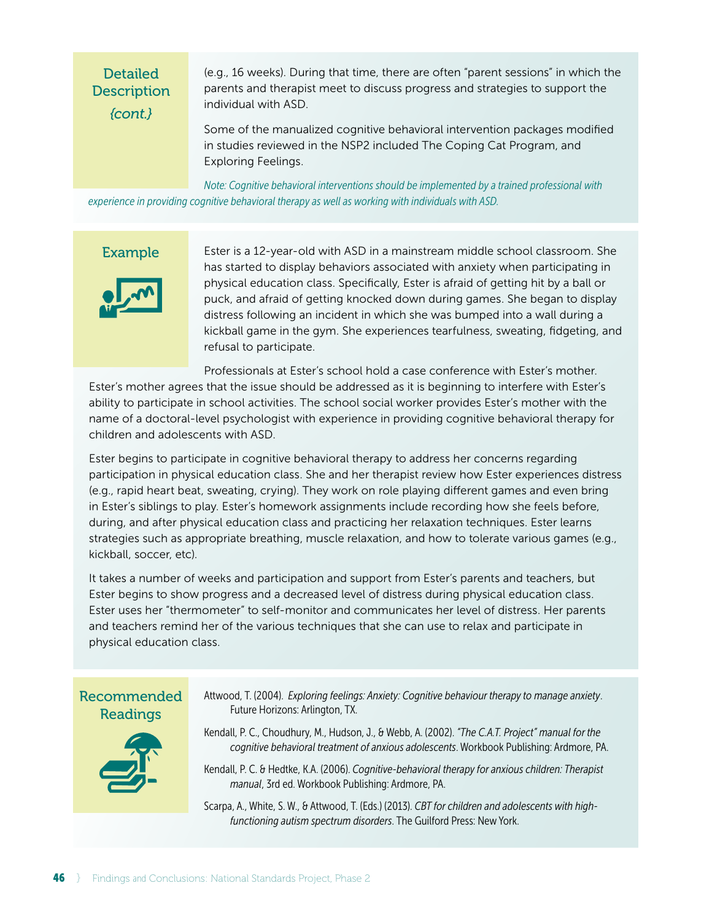# Detailed **Description** *{cont.}*

(e.g., 16 weeks). During that time, there are often "parent sessions" in which the parents and therapist meet to discuss progress and strategies to support the individual with ASD.

Some of the manualized cognitive behavioral intervention packages modified in studies reviewed in the NSP2 included The Coping Cat Program, and Exploring Feelings.

*Note: Cognitive behavioral interventions should be implemented by a trained professional with experience in providing cognitive behavioral therapy as well as working with individuals with ASD.* 

### Example



Ester is a 12-year-old with ASD in a mainstream middle school classroom. She has started to display behaviors associated with anxiety when participating in physical education class. Specifically, Ester is afraid of getting hit by a ball or puck, and afraid of getting knocked down during games. She began to display distress following an incident in which she was bumped into a wall during a kickball game in the gym. She experiences tearfulness, sweating, fidgeting, and refusal to participate.

Professionals at Ester's school hold a case conference with Ester's mother.

Ester's mother agrees that the issue should be addressed as it is beginning to interfere with Ester's ability to participate in school activities. The school social worker provides Ester's mother with the name of a doctoral-level psychologist with experience in providing cognitive behavioral therapy for children and adolescents with ASD.

Ester begins to participate in cognitive behavioral therapy to address her concerns regarding participation in physical education class. She and her therapist review how Ester experiences distress (e.g., rapid heart beat, sweating, crying). They work on role playing different games and even bring in Ester's siblings to play. Ester's homework assignments include recording how she feels before, during, and after physical education class and practicing her relaxation techniques. Ester learns strategies such as appropriate breathing, muscle relaxation, and how to tolerate various games (e.g., kickball, soccer, etc).

It takes a number of weeks and participation and support from Ester's parents and teachers, but Ester begins to show progress and a decreased level of distress during physical education class. Ester uses her "thermometer" to self-monitor and communicates her level of distress. Her parents and teachers remind her of the various techniques that she can use to relax and participate in physical education class.

# Recommended Readings



Attwood, T. (2004). *Exploring feelings: Anxiety: Cognitive behaviour therapy to manage anxiety*. Future Horizons: Arlington, TX.

Kendall, P. C., Choudhury, M., Hudson, J., & Webb, A. (2002). *"The C.A.T. Project" manual for the cognitive behavioral treatment of anxious adolescents*. Workbook Publishing: Ardmore, PA.

Kendall, P. C. & Hedtke, K.A. (2006). *Cognitive-behavioral therapy for anxious children: Therapist manual*, 3rd ed. Workbook Publishing: Ardmore, PA.

Scarpa, A., White, S. W., & Attwood, T. (Eds.) (2013). *CBT for children and adolescents with highfunctioning autism spectrum disorders*. The Guilford Press: New York.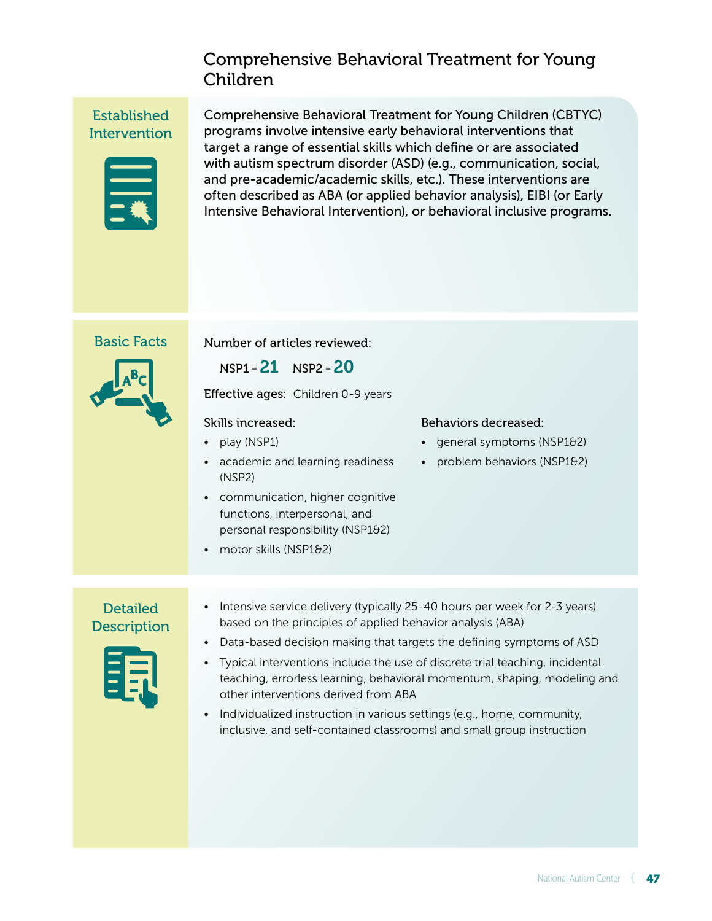# Comprehensive Behavioral Treatment for Young Children

Established **Intervention** 



Comprehensive Behavioral Treatment for Young Children (CBTYC) programs involve intensive early behavioral interventions that target a range of essential skills which define or are associated with autism spectrum disorder (ASD) (e.g., communication, social, and pre-academic/academic skills, etc.). These interventions are often described as ABA (or applied behavior analysis), EIBI (or Early Intensive Behavioral Intervention), or behavioral inclusive programs.

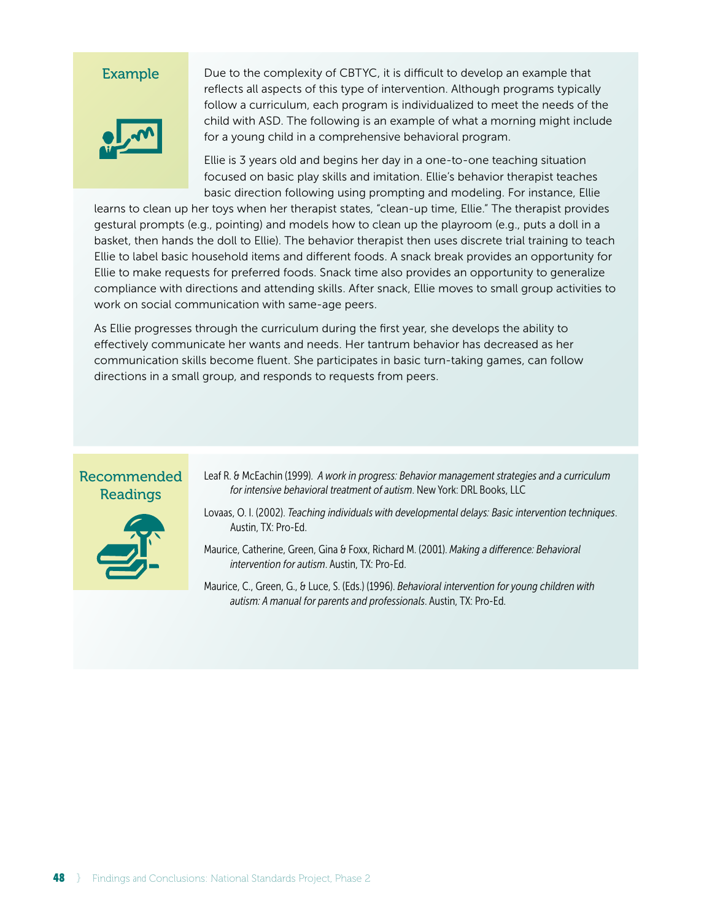

Due to the complexity of CBTYC, it is difficult to develop an example that reflects all aspects of this type of intervention. Although programs typically follow a curriculum, each program is individualized to meet the needs of the child with ASD. The following is an example of what a morning might include for a young child in a comprehensive behavioral program.

Ellie is 3 years old and begins her day in a one-to-one teaching situation focused on basic play skills and imitation. Ellie's behavior therapist teaches basic direction following using prompting and modeling. For instance, Ellie

learns to clean up her toys when her therapist states, "clean-up time, Ellie." The therapist provides gestural prompts (e.g., pointing) and models how to clean up the playroom (e.g., puts a doll in a basket, then hands the doll to Ellie). The behavior therapist then uses discrete trial training to teach Ellie to label basic household items and different foods. A snack break provides an opportunity for Ellie to make requests for preferred foods. Snack time also provides an opportunity to generalize compliance with directions and attending skills. After snack, Ellie moves to small group activities to work on social communication with same-age peers.

As Ellie progresses through the curriculum during the first year, she develops the ability to effectively communicate her wants and needs. Her tantrum behavior has decreased as her communication skills become fluent. She participates in basic turn-taking games, can follow directions in a small group, and responds to requests from peers.

### Recommended Readings



- Leaf R. & McEachin (1999). *A work in progress: Behavior management strategies and a curriculum for intensive behavioral treatment of autism*. New York: DRL Books, LLC
- Lovaas, O. I. (2002). *Teaching individuals with developmental delays: Basic intervention techniques*. Austin, TX: Pro-Ed.

Maurice, Catherine, Green, Gina & Foxx, Richard M. (2001). *Making a difference: Behavioral intervention for autism*. Austin, TX: Pro-Ed.

Maurice, C., Green, G., & Luce, S. (Eds.) (1996). *Behavioral intervention for young children with autism: A manual for parents and professionals*. Austin, TX: Pro-Ed.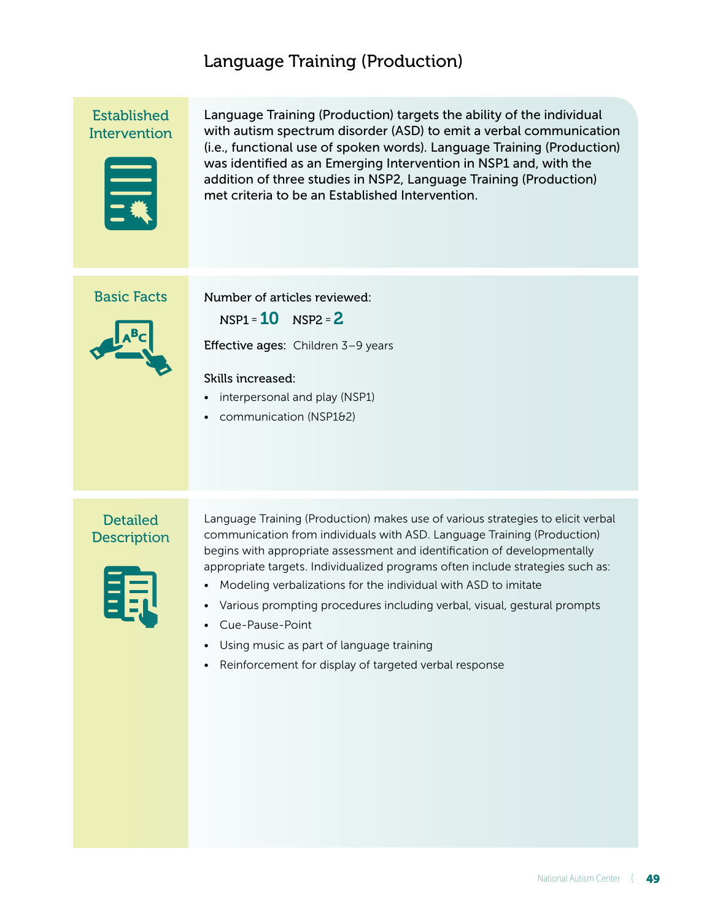# Language Training (Production)

Established **Intervention** 



Language Training (Production) targets the ability of the individual with autism spectrum disorder (ASD) to emit a verbal communication (i.e., functional use of spoken words). Language Training (Production) was identified as an Emerging Intervention in NSP1 and, with the addition of three studies in NSP2, Language Training (Production) met criteria to be an Established Intervention.

# Basic Facts

Number of articles reviewed:

 $NSP1 = 10$   $NSP2 = 2$ Effective ages: Children 3-9 years

#### Skills increased:

- interpersonal and play (NSP1)
- communication (NSP1&2)

# **Detailed Description**

Language Training (Production) makes use of various strategies to elicit verbal communication from individuals with ASD. Language Training (Production) begins with appropriate assessment and identification of developmentally appropriate targets. Individualized programs often include strategies such as:

- Modeling verbalizations for the individual with ASD to imitate
- Various prompting procedures including verbal, visual, gestural prompts
- Cue-Pause-Point
- Using music as part of language training
- Reinforcement for display of targeted verbal response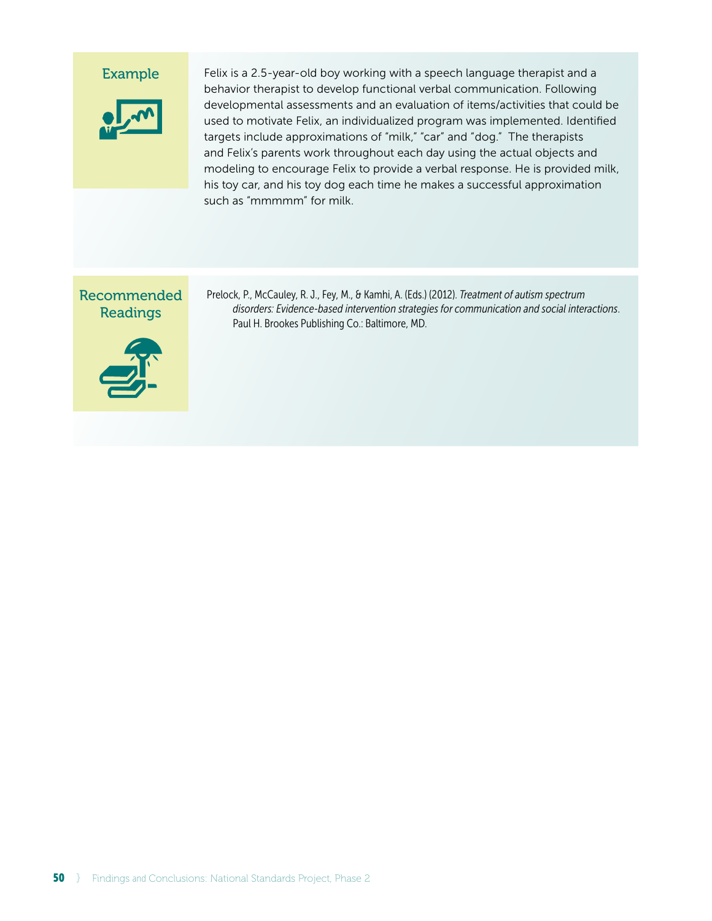

Felix is a 2.5-year-old boy working with a speech language therapist and a behavior therapist to develop functional verbal communication. Following developmental assessments and an evaluation of items/activities that could be used to motivate Felix, an individualized program was implemented. Identified targets include approximations of "milk," "car" and "dog." The therapists and Felix's parents work throughout each day using the actual objects and modeling to encourage Felix to provide a verbal response. He is provided milk, his toy car, and his toy dog each time he makes a successful approximation such as "mmmmm" for milk.

# Recommended Readings



Prelock, P., McCauley, R. J., Fey, M., & Kamhi, A. (Eds.) (2012). *Treatment of autism spectrum disorders: Evidence-based intervention strategies for communication and social interactions*. Paul H. Brookes Publishing Co.: Baltimore, MD.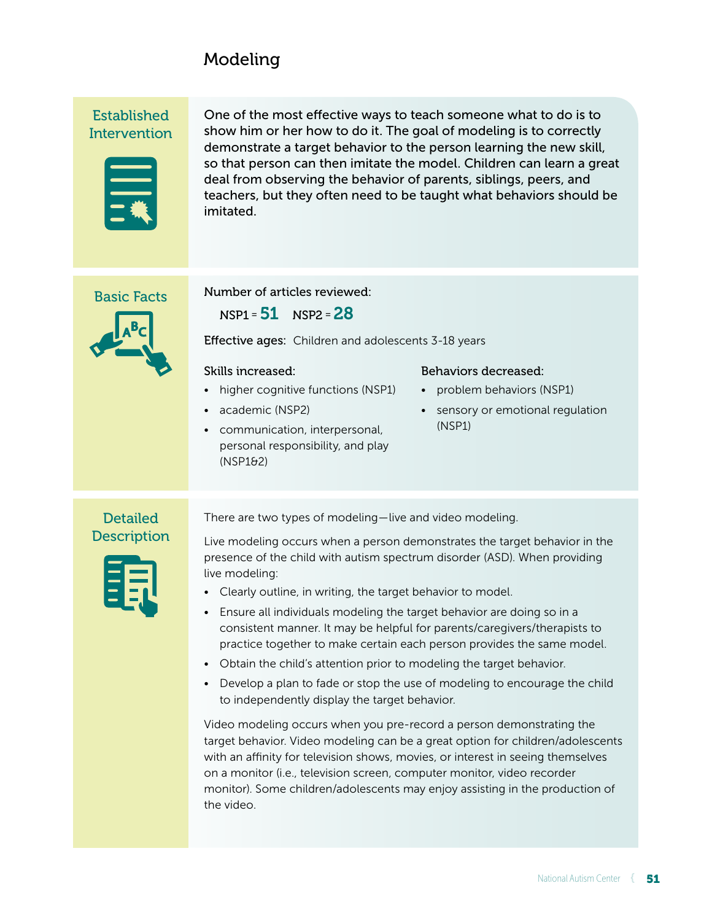# Modeling

Established **Intervention** 



One of the most effective ways to teach someone what to do is to show him or her how to do it. The goal of modeling is to correctly demonstrate a target behavior to the person learning the new skill, so that person can then imitate the model. Children can learn a great deal from observing the behavior of parents, siblings, peers, and teachers, but they often need to be taught what behaviors should be imitated.

# Basic Facts



Number of articles reviewed:

 $NSP1 = 51$   $NSP2 = 28$ 

Effective ages: Children and adolescents 3-18 years

#### Skills increased:

- higher cognitive functions (NSP1)
- academic (NSP2)
- communication, interpersonal, personal responsibility, and play (NSP1&2)

#### Behaviors decreased:

- problem behaviors (NSP1)
- sensory or emotional regulation (NSP1)

# **Detailed Description**

Live modeling occurs when a person demonstrates the target behavior in the presence of the child with autism spectrum disorder (ASD). When providing live modeling:

• Clearly outline, in writing, the target behavior to model.

There are two types of modeling — live and video modeling.

- Ensure all individuals modeling the target behavior are doing so in a consistent manner. It may be helpful for parents/caregivers/therapists to practice together to make certain each person provides the same model.
- Obtain the child's attention prior to modeling the target behavior.
- Develop a plan to fade or stop the use of modeling to encourage the child to independently display the target behavior.

Video modeling occurs when you pre-record a person demonstrating the target behavior. Video modeling can be a great option for children/adolescents with an affinity for television shows, movies, or interest in seeing themselves on a monitor (i.e., television screen, computer monitor, video recorder monitor). Some children/adolescents may enjoy assisting in the production of the video.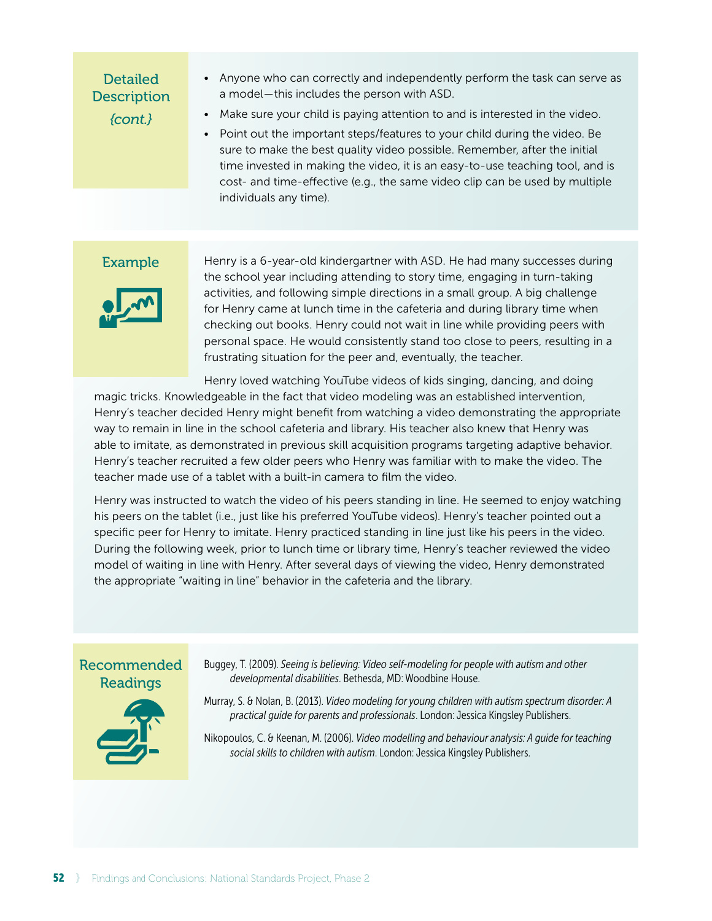# **Detailed Description** *{cont.}*

- Anyone who can correctly and independently perform the task can serve as a model — this includes the person with ASD.
- Make sure your child is paying attention to and is interested in the video.
- Point out the important steps/features to your child during the video. Be sure to make the best quality video possible. Remember, after the initial time invested in making the video, it is an easy-to-use teaching tool, and is cost- and time-effective (e.g., the same video clip can be used by multiple individuals any time).

# Example



Henry is a 6-year-old kindergartner with ASD. He had many successes during the school year including attending to story time, engaging in turn-taking activities, and following simple directions in a small group. A big challenge for Henry came at lunch time in the cafeteria and during library time when checking out books. Henry could not wait in line while providing peers with personal space. He would consistently stand too close to peers, resulting in a frustrating situation for the peer and, eventually, the teacher.

Henry loved watching YouTube videos of kids singing, dancing, and doing

magic tricks. Knowledgeable in the fact that video modeling was an established intervention, Henry's teacher decided Henry might benefit from watching a video demonstrating the appropriate way to remain in line in the school cafeteria and library. His teacher also knew that Henry was able to imitate, as demonstrated in previous skill acquisition programs targeting adaptive behavior. Henry's teacher recruited a few older peers who Henry was familiar with to make the video. The teacher made use of a tablet with a built-in camera to film the video.

Henry was instructed to watch the video of his peers standing in line. He seemed to enjoy watching his peers on the tablet (i.e., just like his preferred YouTube videos). Henry's teacher pointed out a specific peer for Henry to imitate. Henry practiced standing in line just like his peers in the video. During the following week, prior to lunch time or library time, Henry's teacher reviewed the video model of waiting in line with Henry. After several days of viewing the video, Henry demonstrated the appropriate "waiting in line" behavior in the cafeteria and the library.

# Recommended Readings



Buggey, T. (2009). *Seeing is believing: Video self-modeling for people with autism and other developmental disabilities*. Bethesda, MD: Woodbine House.

- Murray, S. & Nolan, B. (2013). *Video modeling for young children with autism spectrum disorder: A practical guide for parents and professionals*. London: Jessica Kingsley Publishers.
- Nikopoulos, C. & Keenan, M. (2006). *Video modelling and behaviour analysis: A guide for teaching social skills to children with autism*. London: Jessica Kingsley Publishers.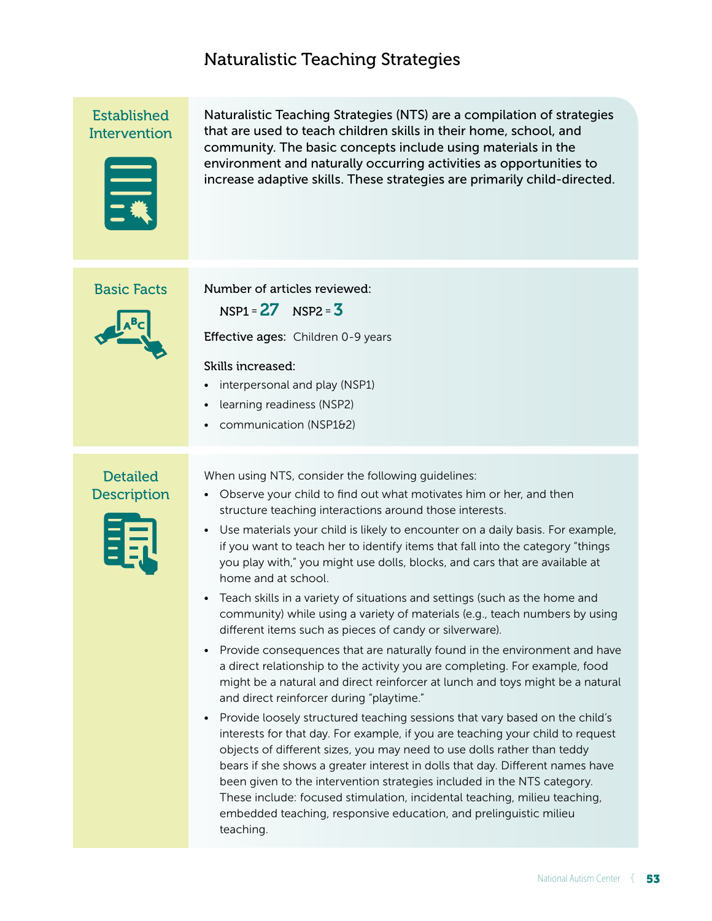# Naturalistic Teaching Strategies

Established **Intervention** 



Naturalistic Teaching Strategies (NTS) are a compilation of strategies that are used to teach children skills in their home, school, and community. The basic concepts include using materials in the environment and naturally occurring activities as opportunities to increase adaptive skills. These strategies are primarily child-directed.

#### Basic Facts



Number of articles reviewed:

 $NSP1 = 27$   $NSP2 = 3$ 

Effective ages: Children 0-9 years

#### Skills increased:

- interpersonal and play (NSP1)
- learning readiness (NSP2)
- communication (NSP1&2)

# **Detailed Description**



When using NTS, consider the following guidelines:

- Observe your child to find out what motivates him or her, and then structure teaching interactions around those interests.
- Use materials your child is likely to encounter on a daily basis. For example, if you want to teach her to identify items that fall into the category "things you play with," you might use dolls, blocks, and cars that are available at home and at school.
- Teach skills in a variety of situations and settings (such as the home and community) while using a variety of materials (e.g., teach numbers by using different items such as pieces of candy or silverware).
- Provide consequences that are naturally found in the environment and have a direct relationship to the activity you are completing. For example, food might be a natural and direct reinforcer at lunch and toys might be a natural and direct reinforcer during "playtime."
- Provide loosely structured teaching sessions that vary based on the child's interests for that day. For example, if you are teaching your child to request objects of different sizes, you may need to use dolls rather than teddy bears if she shows a greater interest in dolls that day. Different names have been given to the intervention strategies included in the NTS category. These include: focused stimulation, incidental teaching, milieu teaching, embedded teaching, responsive education, and prelinguistic milieu teaching.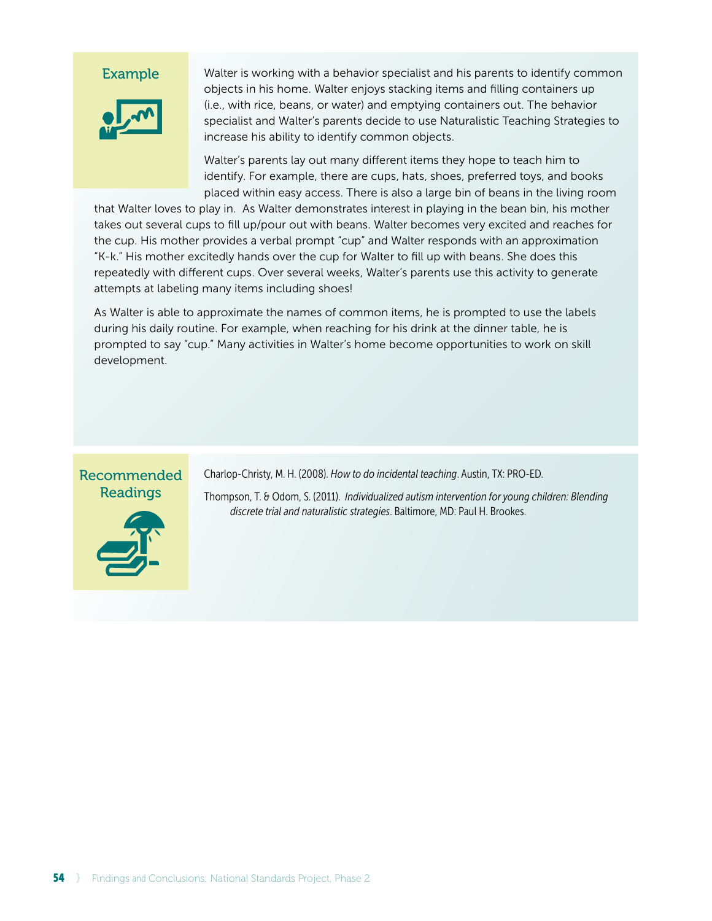

Walter is working with a behavior specialist and his parents to identify common objects in his home. Walter enjoys stacking items and filling containers up (i.e., with rice, beans, or water) and emptying containers out. The behavior specialist and Walter's parents decide to use Naturalistic Teaching Strategies to increase his ability to identify common objects.

Walter's parents lay out many different items they hope to teach him to identify. For example, there are cups, hats, shoes, preferred toys, and books placed within easy access. There is also a large bin of beans in the living room

that Walter loves to play in. As Walter demonstrates interest in playing in the bean bin, his mother takes out several cups to fill up/pour out with beans. Walter becomes very excited and reaches for the cup. His mother provides a verbal prompt "cup" and Walter responds with an approximation "K-k." His mother excitedly hands over the cup for Walter to fill up with beans. She does this repeatedly with different cups. Over several weeks, Walter's parents use this activity to generate attempts at labeling many items including shoes!

As Walter is able to approximate the names of common items, he is prompted to use the labels during his daily routine. For example, when reaching for his drink at the dinner table, he is prompted to say "cup." Many activities in Walter's home become opportunities to work on skill development.

# Recommended Readings



Charlop-Christy, M. H. (2008). *How to do incidental teaching*. Austin, TX: PRO-ED.

Thompson, T. & Odom, S. (2011). *Individualized autism intervention for young children: Blending discrete trial and naturalistic strategies*. Baltimore, MD: Paul H. Brookes.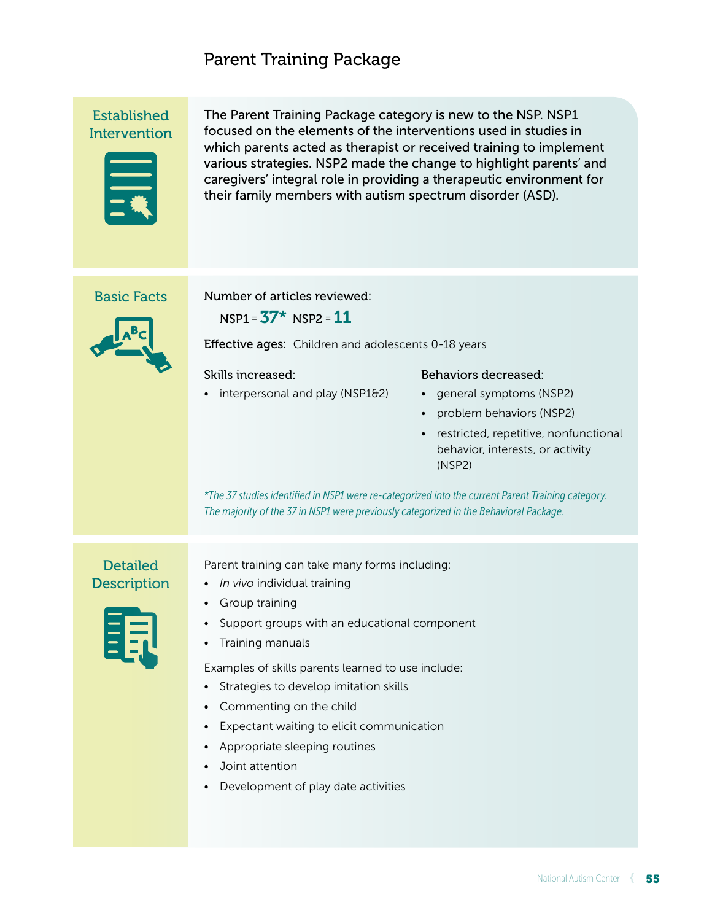# Parent Training Package

Established **Intervention** 



The Parent Training Package category is new to the NSP. NSP1 focused on the elements of the interventions used in studies in which parents acted as therapist or received training to implement various strategies. NSP2 made the change to highlight parents' and caregivers' integral role in providing a therapeutic environment for their family members with autism spectrum disorder (ASD).

# Basic Facts



Number of articles reviewed:

 $NSP1 = 37* NSP2 = 11$ 

Effective ages: Children and adolescents 0-18 years

#### Skills increased:

• interpersonal and play (NSP1&2)

### Behaviors decreased:

- general symptoms (NSP2)
- problem behaviors (NSP2)
- restricted, repetitive, nonfunctional behavior, interests, or activity (NSP2)

*\*The 37 studies identified in NSP1 were re-categorized into the current Parent Training category. The majority of the 37 in NSP1 were previously categorized in the Behavioral Package.*

# **Detailed Description**

Parent training can take many forms including:

- *In vivo* individual training
- Group training
	- Support groups with an educational component
	- Training manuals

Examples of skills parents learned to use include:

- Strategies to develop imitation skills
- Commenting on the child
- Expectant waiting to elicit communication
- Appropriate sleeping routines
- Joint attention
- Development of play date activities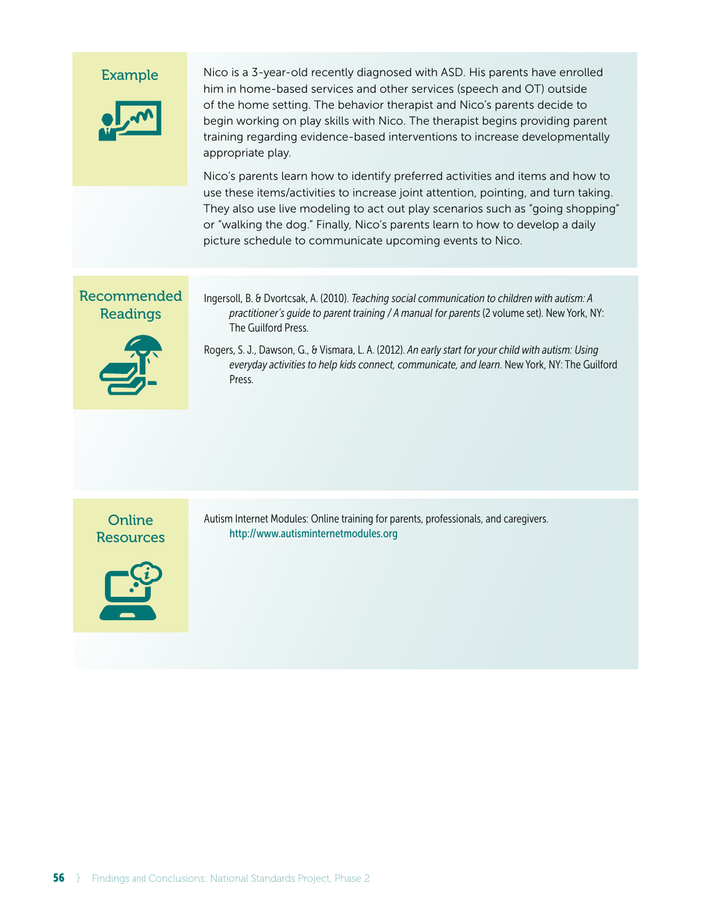# Example Recommended Readings Ingersoll, B. & Dvortcsak, A. (2010). *Teaching social communication to children with autism: A practitioner's guide to parent training / A manual for parents* (2 volume set). New York, NY: The Guilford Press. Rogers, S. J., Dawson, G., & Vismara, L. A. (2012). *An early start for your child with autism: Using everyday activities to help kids connect, communicate, and learn*. New York, NY: The Guilford Press. Nico is a 3-year-old recently diagnosed with ASD. His parents have enrolled him in home-based services and other services (speech and OT) outside of the home setting. The behavior therapist and Nico's parents decide to begin working on play skills with Nico. The therapist begins providing parent training regarding evidence-based interventions to increase developmentally appropriate play. Nico's parents learn how to identify preferred activities and items and how to use these items/activities to increase joint attention, pointing, and turn taking. They also use live modeling to act out play scenarios such as "going shopping" or "walking the dog." Finally, Nico's parents learn to how to develop a daily picture schedule to communicate upcoming events to Nico.

**Online Resources** 



Autism Internet Modules: Online training for parents, professionals, and caregivers. http://www.autisminternetmodules.org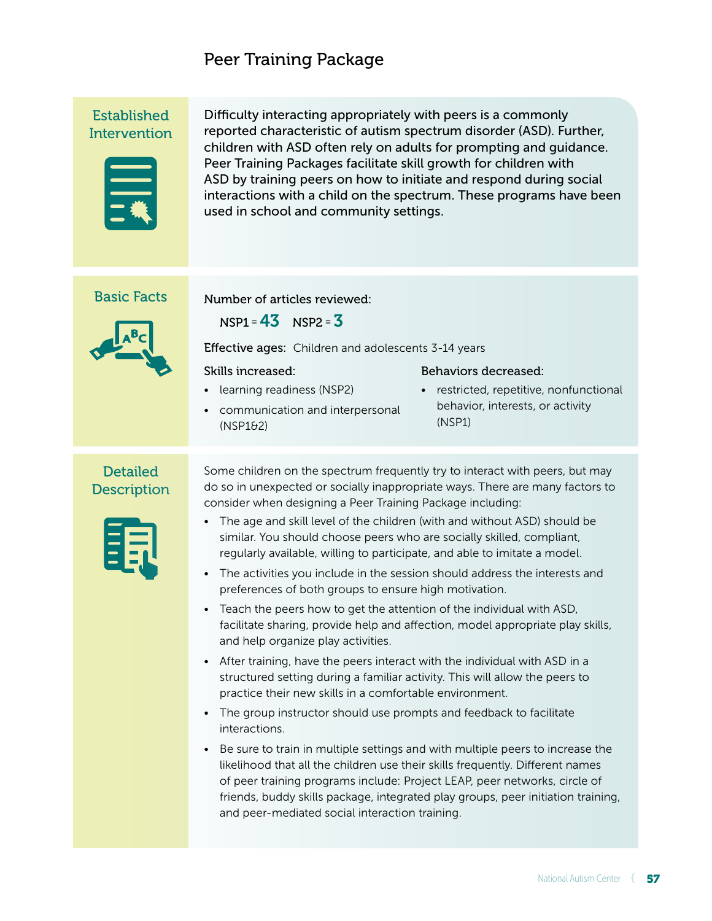# Peer Training Package

Established **Intervention** 



Difficulty interacting appropriately with peers is a commonly reported characteristic of autism spectrum disorder (ASD). Further, children with ASD often rely on adults for prompting and guidance. Peer Training Packages facilitate skill growth for children with ASD by training peers on how to initiate and respond during social interactions with a child on the spectrum. These programs have been used in school and community settings.

### Basic Facts

 $NSP1 = 43$   $NSP2 = 3$ 

Number of articles reviewed:

Effective ages: Children and adolescents 3-14 years

#### Skills increased:

(NSP1&2)

• learning readiness (NSP2)

#### Behaviors decreased:

• communication and interpersonal • restricted, repetitive, nonfunctional behavior, interests, or activity (NSP1)

### **Detailed Description**

| - - |  |
|-----|--|
| --  |  |
| -   |  |
| -   |  |
|     |  |
|     |  |

Some children on the spectrum frequently try to interact with peers, but may do so in unexpected or socially inappropriate ways. There are many factors to consider when designing a Peer Training Package including:

- The age and skill level of the children (with and without ASD) should be similar. You should choose peers who are socially skilled, compliant, regularly available, willing to participate, and able to imitate a model.
- The activities you include in the session should address the interests and preferences of both groups to ensure high motivation.
- Teach the peers how to get the attention of the individual with ASD, facilitate sharing, provide help and affection, model appropriate play skills, and help organize play activities.
- After training, have the peers interact with the individual with ASD in a structured setting during a familiar activity. This will allow the peers to practice their new skills in a comfortable environment.
- The group instructor should use prompts and feedback to facilitate interactions.
- Be sure to train in multiple settings and with multiple peers to increase the likelihood that all the children use their skills frequently. Different names of peer training programs include: Project LEAP, peer networks, circle of friends, buddy skills package, integrated play groups, peer initiation training, and peer-mediated social interaction training.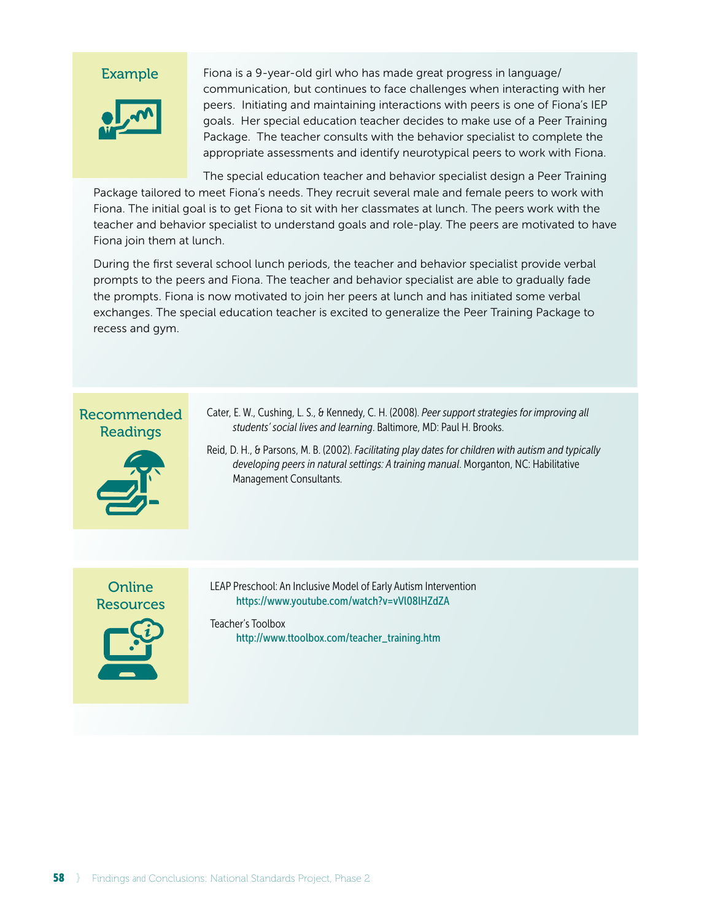

Fiona is a 9-year-old girl who has made great progress in language/ communication, but continues to face challenges when interacting with her peers. Initiating and maintaining interactions with peers is one of Fiona's IEP goals. Her special education teacher decides to make use of a Peer Training Package. The teacher consults with the behavior specialist to complete the appropriate assessments and identify neurotypical peers to work with Fiona.

The special education teacher and behavior specialist design a Peer Training Package tailored to meet Fiona's needs. They recruit several male and female peers to work with Fiona. The initial goal is to get Fiona to sit with her classmates at lunch. The peers work with the teacher and behavior specialist to understand goals and role-play. The peers are motivated to have Fiona join them at lunch.

During the first several school lunch periods, the teacher and behavior specialist provide verbal prompts to the peers and Fiona. The teacher and behavior specialist are able to gradually fade the prompts. Fiona is now motivated to join her peers at lunch and has initiated some verbal exchanges. The special education teacher is excited to generalize the Peer Training Package to recess and gym.

# Recommended Readings



Cater, E. W., Cushing, L. S., & Kennedy, C. H. (2008). *Peer support strategies for improving all students' social lives and learning*. Baltimore, MD: Paul H. Brooks.

Reid, D. H., & Parsons, M. B. (2002). *Facilitating play dates for children with autism and typically developing peers in natural settings: A training manual*. Morganton, NC: Habilitative Management Consultants.

# Online **Resources**



LEAP Preschool: An Inclusive Model of Early Autism Intervention https://www.youtube.com/watch?v=vVl08lHZdZA

#### Teacher's Toolbox http://www.ttoolbox.com/teacher\_training.htm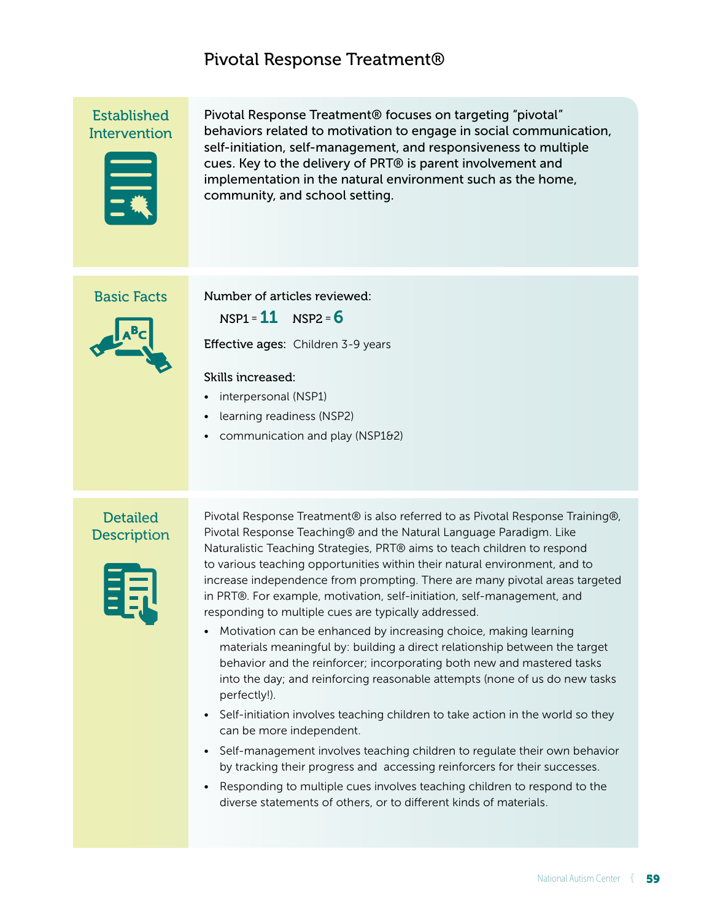# Pivotal Response Treatment®

Established **Intervention** 



Pivotal Response Treatment® focuses on targeting "pivotal" behaviors related to motivation to engage in social communication, self-initiation, self-management, and responsiveness to multiple cues. Key to the delivery of PRT® is parent involvement and implementation in the natural environment such as the home, community, and school setting.

### Basic Facts

Number of articles reviewed:

 $NSP1 = 11$   $NSP2 = 6$ 

Effective ages: Children 3-9 years

#### Skills increased:

- interpersonal (NSP1)
- learning readiness (NSP2)
- communication and play (NSP1&2)

# **Detailed Description**



Pivotal Response Treatment® is also referred to as Pivotal Response Training®, Pivotal Response Teaching® and the Natural Language Paradigm. Like Naturalistic Teaching Strategies, PRT® aims to teach children to respond to various teaching opportunities within their natural environment, and to increase independence from prompting. There are many pivotal areas targeted in PRT®. For example, motivation, self-initiation, self-management, and responding to multiple cues are typically addressed.

- Motivation can be enhanced by increasing choice, making learning materials meaningful by: building a direct relationship between the target behavior and the reinforcer; incorporating both new and mastered tasks into the day; and reinforcing reasonable attempts (none of us do new tasks perfectly!).
- Self-initiation involves teaching children to take action in the world so they can be more independent.
- Self-management involves teaching children to regulate their own behavior by tracking their progress and accessing reinforcers for their successes.
- Responding to multiple cues involves teaching children to respond to the diverse statements of others, or to different kinds of materials.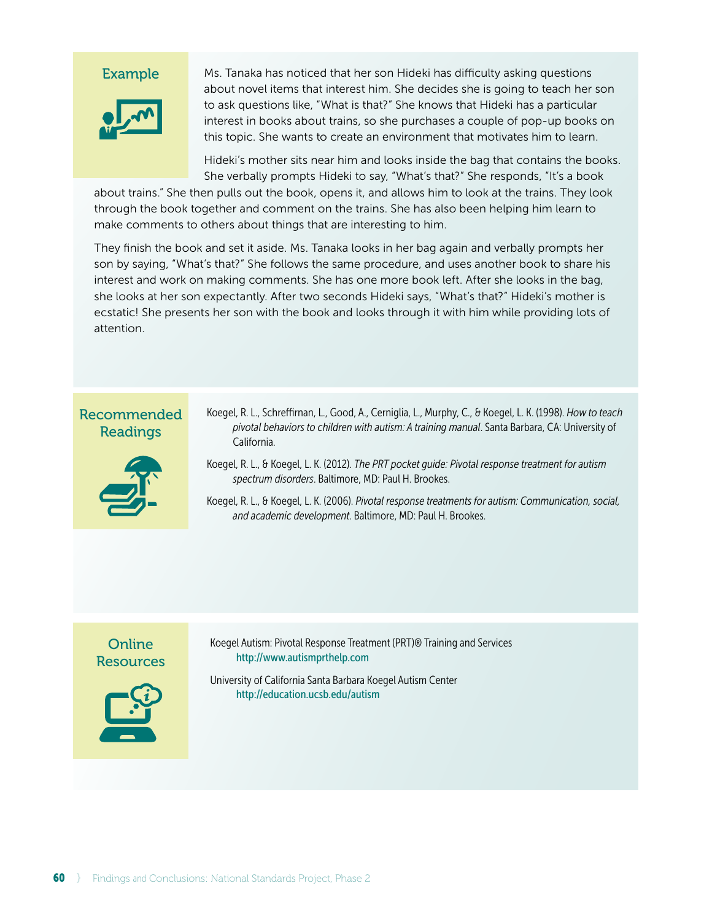

Ms. Tanaka has noticed that her son Hideki has difficulty asking questions about novel items that interest him. She decides she is going to teach her son to ask questions like, "What is that?" She knows that Hideki has a particular interest in books about trains, so she purchases a couple of pop-up books on this topic. She wants to create an environment that motivates him to learn.

Hideki's mother sits near him and looks inside the bag that contains the books. She verbally prompts Hideki to say, "What's that?" She responds, "It's a book

about trains." She then pulls out the book, opens it, and allows him to look at the trains. They look through the book together and comment on the trains. She has also been helping him learn to make comments to others about things that are interesting to him.

They finish the book and set it aside. Ms. Tanaka looks in her bag again and verbally prompts her son by saying, "What's that?" She follows the same procedure, and uses another book to share his interest and work on making comments. She has one more book left. After she looks in the bag, she looks at her son expectantly. After two seconds Hideki says, "What's that?" Hideki's mother is ecstatic! She presents her son with the book and looks through it with him while providing lots of attention.

# Recommended Readings



- Koegel, R. L., Schreffirnan, L., Good, A., Cerniglia, L., Murphy, C., & Koegel, L. K. (1998). *How to teach pivotal behaviors to children with autism: A training manual*. Santa Barbara, CA: University of California.
- Koegel, R. L., & Koegel, L. K. (2012). *The PRT pocket guide: Pivotal response treatment for autism spectrum disorders*. Baltimore, MD: Paul H. Brookes.
- Koegel, R. L., & Koegel, L. K. (2006). *Pivotal response treatments for autism: Communication, social, and academic development*. Baltimore, MD: Paul H. Brookes.

# Online Resources



Koegel Autism: Pivotal Response Treatment (PRT)® Training and Services http://www.autismprthelp.com

University of California Santa Barbara Koegel Autism Center http://education.ucsb.edu/autism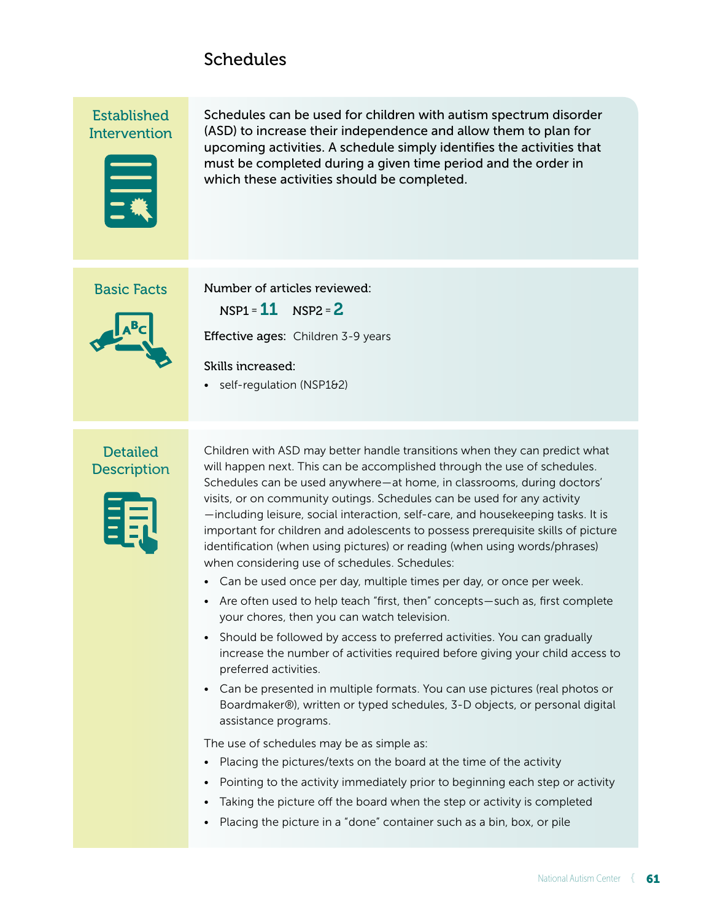# **Schedules**

Established **Intervention** 



Schedules can be used for children with autism spectrum disorder (ASD) to increase their independence and allow them to plan for upcoming activities. A schedule simply identifies the activities that must be completed during a given time period and the order in which these activities should be completed.

### Basic Facts



Number of articles reviewed:

 $NSP1 = 11$   $NSP2 = 2$ 

Effective ages: Children 3-9 years

#### Skills increased:

• self-regulation (NSP1&2)

# **Detailed Description**



Children with ASD may better handle transitions when they can predict what will happen next. This can be accomplished through the use of schedules. Schedules can be used anywhere — at home, in classrooms, during doctors' visits, or on community outings. Schedules can be used for any activity  — including leisure, social interaction, self-care, and housekeeping tasks. It is important for children and adolescents to possess prerequisite skills of picture identification (when using pictures) or reading (when using words/phrases) when considering use of schedules. Schedules:

- Can be used once per day, multiple times per day, or once per week.
- Are often used to help teach "first, then" concepts — such as, first complete your chores, then you can watch television.
- Should be followed by access to preferred activities. You can gradually increase the number of activities required before giving your child access to preferred activities.
- Can be presented in multiple formats. You can use pictures (real photos or Boardmaker®), written or typed schedules, 3-D objects, or personal digital assistance programs.

The use of schedules may be as simple as:

- Placing the pictures/texts on the board at the time of the activity
- Pointing to the activity immediately prior to beginning each step or activity
- Taking the picture off the board when the step or activity is completed
- Placing the picture in a "done" container such as a bin, box, or pile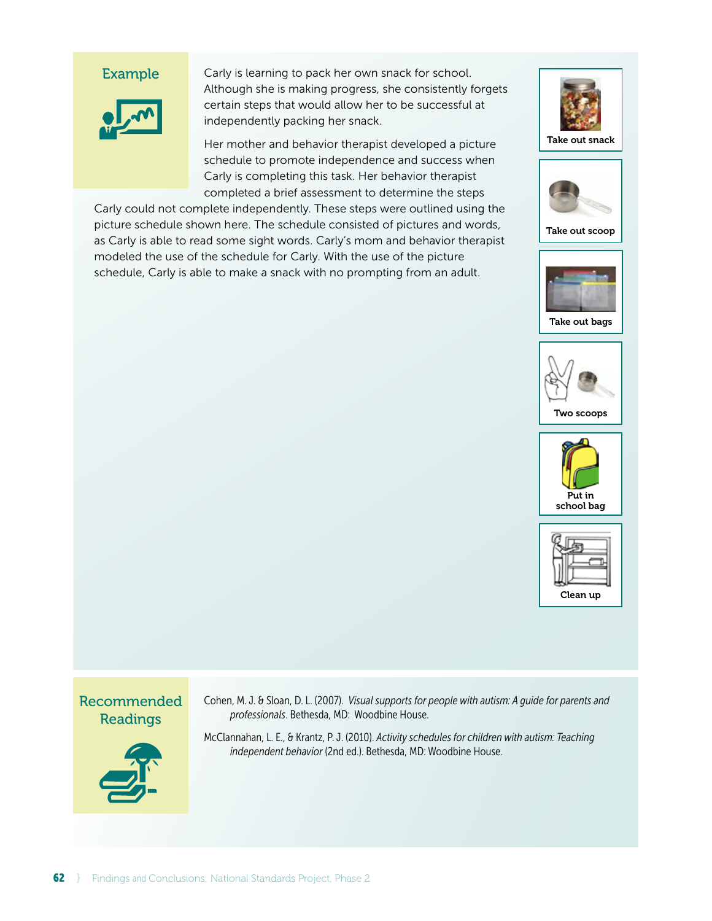

Carly is learning to pack her own snack for school. Although she is making progress, she consistently forgets certain steps that would allow her to be successful at independently packing her snack.

Her mother and behavior therapist developed a picture schedule to promote independence and success when Carly is completing this task. Her behavior therapist completed a brief assessment to determine the steps

Carly could not complete independently. These steps were outlined using the picture schedule shown here. The schedule consisted of pictures and words, as Carly is able to read some sight words. Carly's mom and behavior therapist modeled the use of the schedule for Carly. With the use of the picture schedule, Carly is able to make a snack with no prompting from an adult.





Take out scoop









Recommended Readings



Cohen, M. J. & Sloan, D. L. (2007). *Visual supports for people with autism: A guide for parents and professionals*. Bethesda, MD: Woodbine House.

McClannahan, L. E., & Krantz, P. J. (2010). *Activity schedules for children with autism: Teaching independent behavior* (2nd ed.). Bethesda, MD: Woodbine House.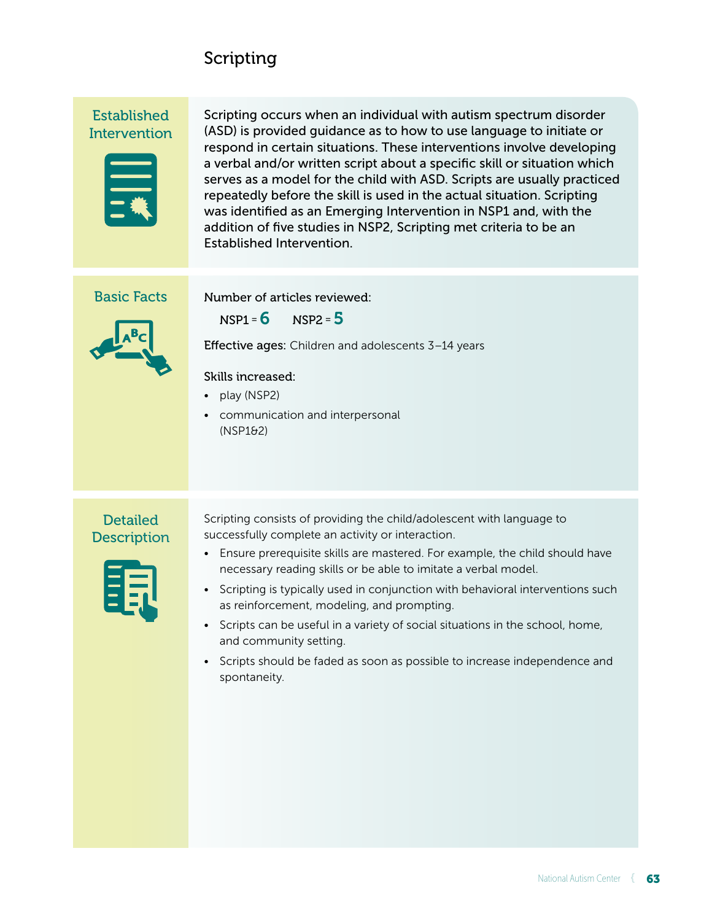# Scripting

# Established **Intervention**



Scripting occurs when an individual with autism spectrum disorder (ASD) is provided guidance as to how to use language to initiate or respond in certain situations. These interventions involve developing a verbal and/or written script about a specific skill or situation which serves as a model for the child with ASD. Scripts are usually practiced repeatedly before the skill is used in the actual situation. Scripting was identified as an Emerging Intervention in NSP1 and, with the addition of five studies in NSP2, Scripting met criteria to be an Established Intervention.

# Basic Facts

#### Number of articles reviewed:

 $NSP1 = 6$   $NSP2 = 5$ 

Effective ages: Children and adolescents 3–14 years

### Skills increased:

- play (NSP2)
- communication and interpersonal (NSP1&2)

# **Detailed Description**



Scripting consists of providing the child/adolescent with language to successfully complete an activity or interaction.

- Ensure prerequisite skills are mastered. For example, the child should have necessary reading skills or be able to imitate a verbal model.
- Scripting is typically used in conjunction with behavioral interventions such as reinforcement, modeling, and prompting.
- Scripts can be useful in a variety of social situations in the school, home, and community setting.
- Scripts should be faded as soon as possible to increase independence and spontaneity.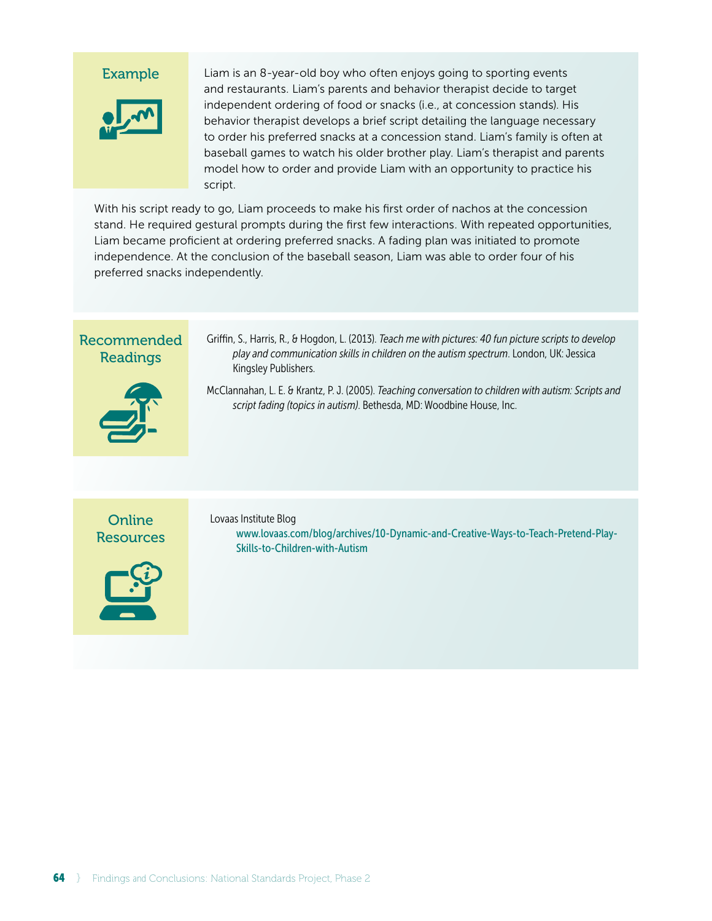

Liam is an 8-year-old boy who often enjoys going to sporting events and restaurants. Liam's parents and behavior therapist decide to target independent ordering of food or snacks (i.e., at concession stands). His behavior therapist develops a brief script detailing the language necessary to order his preferred snacks at a concession stand. Liam's family is often at baseball games to watch his older brother play. Liam's therapist and parents model how to order and provide Liam with an opportunity to practice his script.

With his script ready to go, Liam proceeds to make his first order of nachos at the concession stand. He required gestural prompts during the first few interactions. With repeated opportunities, Liam became proficient at ordering preferred snacks. A fading plan was initiated to promote independence. At the conclusion of the baseball season, Liam was able to order four of his preferred snacks independently.

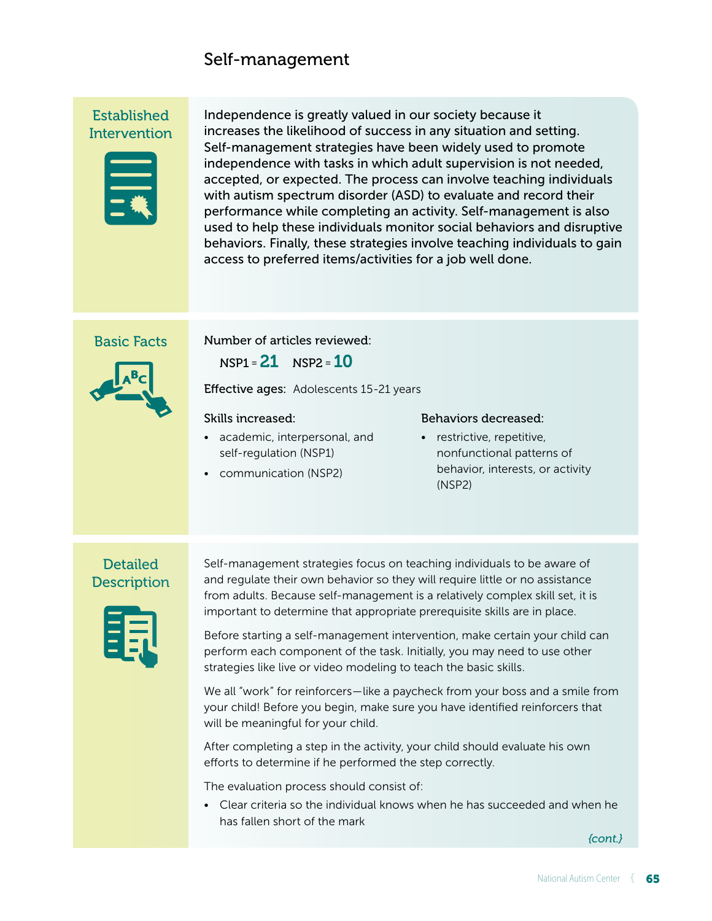# Self-management

# Established **Intervention**



Independence is greatly valued in our society because it increases the likelihood of success in any situation and setting. Self-management strategies have been widely used to promote independence with tasks in which adult supervision is not needed, accepted, or expected. The process can involve teaching individuals with autism spectrum disorder (ASD) to evaluate and record their performance while completing an activity. Self-management is also used to help these individuals monitor social behaviors and disruptive behaviors. Finally, these strategies involve teaching individuals to gain access to preferred items/activities for a job well done.

### Basic Facts



Number of articles reviewed:

 $NSP1 = 21$   $NSP2 = 10$ 

Effective ages: Adolescents 15-21 years

#### Skills increased:

- academic, interpersonal, and self-regulation (NSP1)
- communication (NSP2)

#### Behaviors decreased:

• restrictive, repetitive, nonfunctional patterns of behavior, interests, or activity (NSP2)

# **Detailed Description**



Self-management strategies focus on teaching individuals to be aware of and regulate their own behavior so they will require little or no assistance from adults. Because self-management is a relatively complex skill set, it is important to determine that appropriate prerequisite skills are in place.

Before starting a self-management intervention, make certain your child can perform each component of the task. Initially, you may need to use other strategies like live or video modeling to teach the basic skills.

We all "work" for reinforcers — like a paycheck from your boss and a smile from your child! Before you begin, make sure you have identified reinforcers that will be meaningful for your child.

After completing a step in the activity, your child should evaluate his own efforts to determine if he performed the step correctly.

The evaluation process should consist of:

• Clear criteria so the individual knows when he has succeeded and when he has fallen short of the mark

*{cont.}*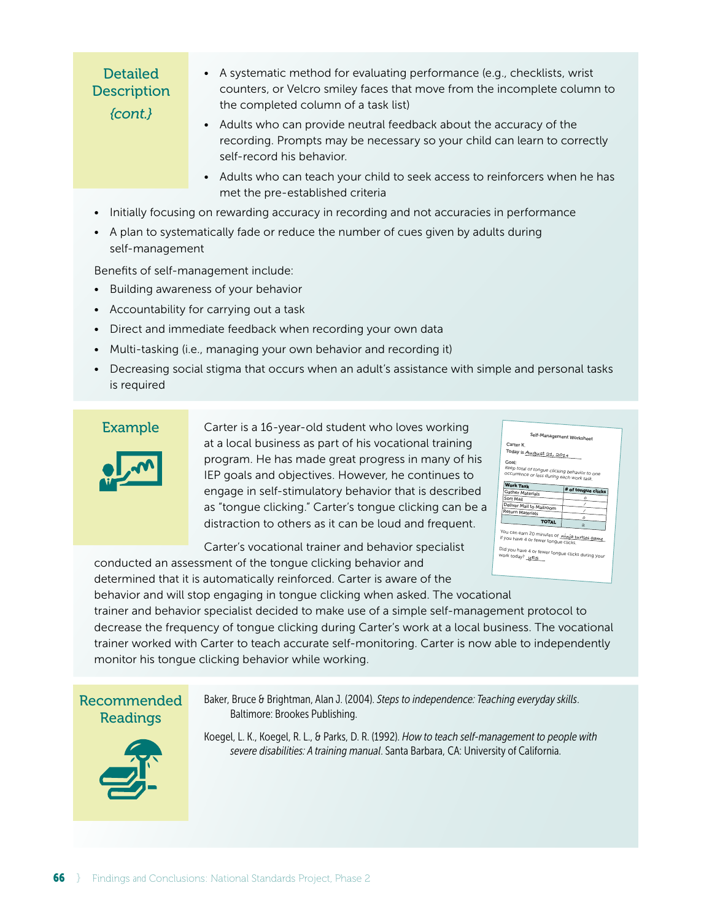# Detailed **Description** *{cont.}*

- A systematic method for evaluating performance (e.g., checklists, wrist counters, or Velcro smiley faces that move from the incomplete column to the completed column of a task list)
- Adults who can provide neutral feedback about the accuracy of the recording. Prompts may be necessary so your child can learn to correctly self-record his behavior.
- Adults who can teach your child to seek access to reinforcers when he has met the pre-established criteria
- Initially focusing on rewarding accuracy in recording and not accuracies in performance
- A plan to systematically fade or reduce the number of cues given by adults during self-management

Benefits of self-management include:

- Building awareness of your behavior
- Accountability for carrying out a task
- Direct and immediate feedback when recording your own data
- Multi-tasking (i.e., managing your own behavior and recording it)
- Decreasing social stigma that occurs when an adult's assistance with simple and personal tasks is required

#### Example



Carter is a 16-year-old student who loves working at a local business as part of his vocational training program. He has made great progress in many of his IEP goals and objectives. However, he continues to engage in self-stimulatory behavior that is described as "tongue clicking." Carter's tongue clicking can be a distraction to others as it can be loud and frequent.

Carter's vocational trainer and behavior specialist conducted an assessment of the tongue clicking behavior and

| Self-Management Worksheet<br>Carter K.                                                              |                                                                                               |
|-----------------------------------------------------------------------------------------------------|-----------------------------------------------------------------------------------------------|
| Today is August 21, 2014                                                                            |                                                                                               |
| Goal-<br>Keep total of tongue clicking behavior to one<br>occurrence or less during each work task. |                                                                                               |
| <b>Work Task</b>                                                                                    | # of tongue clicks                                                                            |
| Gather Materials                                                                                    |                                                                                               |
| Sort Mail                                                                                           | Ω                                                                                             |
| Deliver Mail to Mailroom                                                                            |                                                                                               |
| Return Materials                                                                                    |                                                                                               |
| <b>TOTAL</b>                                                                                        | Ω<br>$\overline{a}$                                                                           |
|                                                                                                     | You can earn 20 minutes of <i>ninja</i> turtles game<br>if you have 4 or fewer tongue clicks. |

determined that it is automatically reinforced. Carter is aware of the behavior and will stop engaging in tongue clicking when asked. The vocational trainer and behavior specialist decided to make use of a simple self-management protocol to decrease the frequency of tongue clicking during Carter's work at a local business. The vocational trainer worked with Carter to teach accurate self-monitoring. Carter is now able to independently monitor his tongue clicking behavior while working.

# Recommended Readings

Baker, Bruce & Brightman, Alan J. (2004). *Steps to independence: Teaching everyday skills*. Baltimore: Brookes Publishing.



Koegel, L. K., Koegel, R. L., & Parks, D. R. (1992). *How to teach self-management to people with severe disabilities: A training manual*. Santa Barbara, CA: University of California.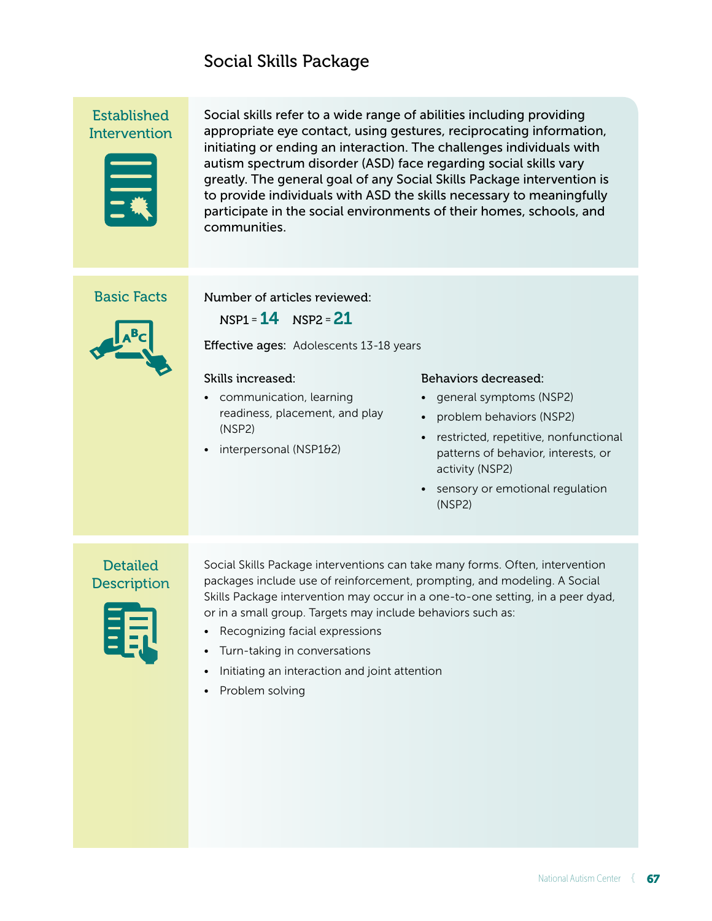# Social Skills Package

Established **Intervention** 



Social skills refer to a wide range of abilities including providing appropriate eye contact, using gestures, reciprocating information, initiating or ending an interaction. The challenges individuals with autism spectrum disorder (ASD) face regarding social skills vary greatly. The general goal of any Social Skills Package intervention is to provide individuals with ASD the skills necessary to meaningfully participate in the social environments of their homes, schools, and communities.

### Basic Facts



Number of articles reviewed:

 $NSP1 = 14$   $NSP2 = 21$ 

Effective ages: Adolescents 13-18 years

#### Skills increased:

- communication, learning readiness, placement, and play (NSP2)
- interpersonal (NSP1&2)

#### Behaviors decreased:

- general symptoms (NSP2)
- problem behaviors (NSP2)
- restricted, repetitive, nonfunctional patterns of behavior, interests, or activity (NSP2)
- sensory or emotional regulation (NSP2)

# **Detailed Description**



Social Skills Package interventions can take many forms. Often, intervention packages include use of reinforcement, prompting, and modeling. A Social Skills Package intervention may occur in a one-to-one setting, in a peer dyad, or in a small group. Targets may include behaviors such as:

- Recognizing facial expressions
- Turn-taking in conversations
- Initiating an interaction and joint attention
- Problem solving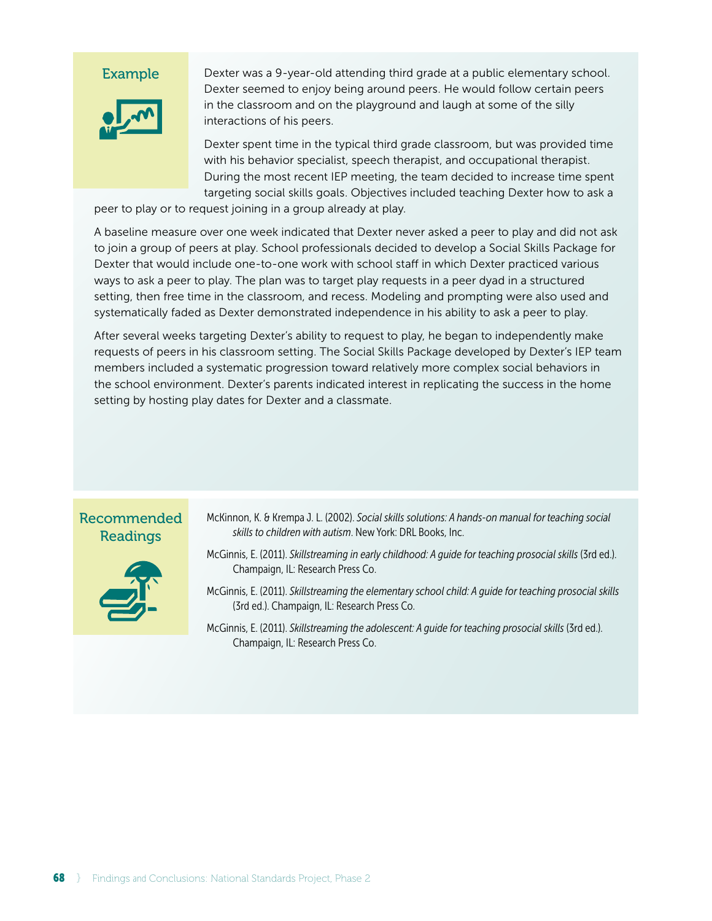

Dexter was a 9-year-old attending third grade at a public elementary school. Dexter seemed to enjoy being around peers. He would follow certain peers in the classroom and on the playground and laugh at some of the silly interactions of his peers.

Dexter spent time in the typical third grade classroom, but was provided time with his behavior specialist, speech therapist, and occupational therapist. During the most recent IEP meeting, the team decided to increase time spent targeting social skills goals. Objectives included teaching Dexter how to ask a

peer to play or to request joining in a group already at play.

A baseline measure over one week indicated that Dexter never asked a peer to play and did not ask to join a group of peers at play. School professionals decided to develop a Social Skills Package for Dexter that would include one-to-one work with school staff in which Dexter practiced various ways to ask a peer to play. The plan was to target play requests in a peer dyad in a structured setting, then free time in the classroom, and recess. Modeling and prompting were also used and systematically faded as Dexter demonstrated independence in his ability to ask a peer to play.

After several weeks targeting Dexter's ability to request to play, he began to independently make requests of peers in his classroom setting. The Social Skills Package developed by Dexter's IEP team members included a systematic progression toward relatively more complex social behaviors in the school environment. Dexter's parents indicated interest in replicating the success in the home setting by hosting play dates for Dexter and a classmate.

# Recommended Readings



- McKinnon, K. & Krempa J. L. (2002). *Social skills solutions: A hands-on manual for teaching social skills to children with autism*. New York: DRL Books, Inc.
- McGinnis, E. (2011). *Skillstreaming in early childhood: A quide for teaching prosocial skills* (3rd ed.). Champaign, IL: Research Press Co.
- McGinnis, E. (2011). *Skillstreaming the elementary school child: A guide for teaching prosocial skills* (3rd ed.). Champaign, IL: Research Press Co.
- McGinnis, E. (2011). *Skillstreaming the adolescent: A quide for teaching prosocial skills* (3rd ed.). Champaign, IL: Research Press Co.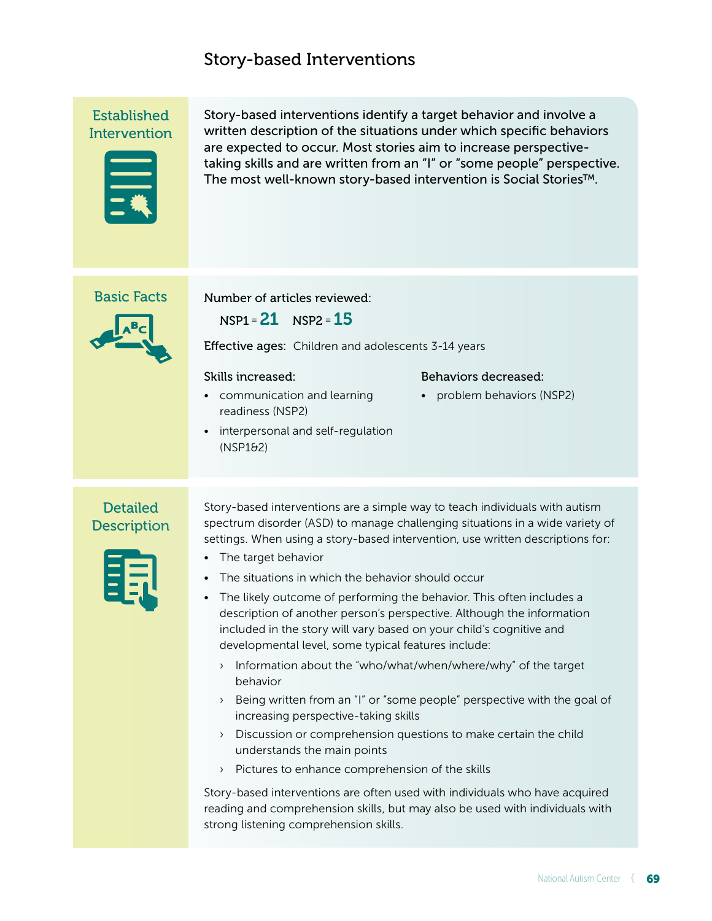# Story-based Interventions

Established **Intervention** 



Story-based interventions identify a target behavior and involve a written description of the situations under which specific behaviors are expected to occur. Most stories aim to increase perspectivetaking skills and are written from an "I" or "some people" perspective. The most well-known story-based intervention is Social Stories™.

### Basic Facts

 $NSP1 = 21$   $NSP2 = 15$ 

Effective ages: Children and adolescents 3-14 years

#### Skills increased:

• communication and learning readiness (NSP2)

Number of articles reviewed:

• interpersonal and self-regulation (NSP1&2)

#### Behaviors decreased:

• problem behaviors (NSP2)

# **Detailed Description**

Story-based interventions are a simple way to teach individuals with autism spectrum disorder (ASD) to manage challenging situations in a wide variety of settings. When using a story-based intervention, use written descriptions for:

- The target behavior
- The situations in which the behavior should occur
- The likely outcome of performing the behavior. This often includes a description of another person's perspective. Although the information included in the story will vary based on your child's cognitive and developmental level, some typical features include:
	- › Information about the "who/what/when/where/why" of the target behavior
	- › Being written from an "I" or "some people" perspective with the goal of increasing perspective-taking skills
	- › Discussion or comprehension questions to make certain the child understands the main points
	- › Pictures to enhance comprehension of the skills

Story-based interventions are often used with individuals who have acquired reading and comprehension skills, but may also be used with individuals with strong listening comprehension skills.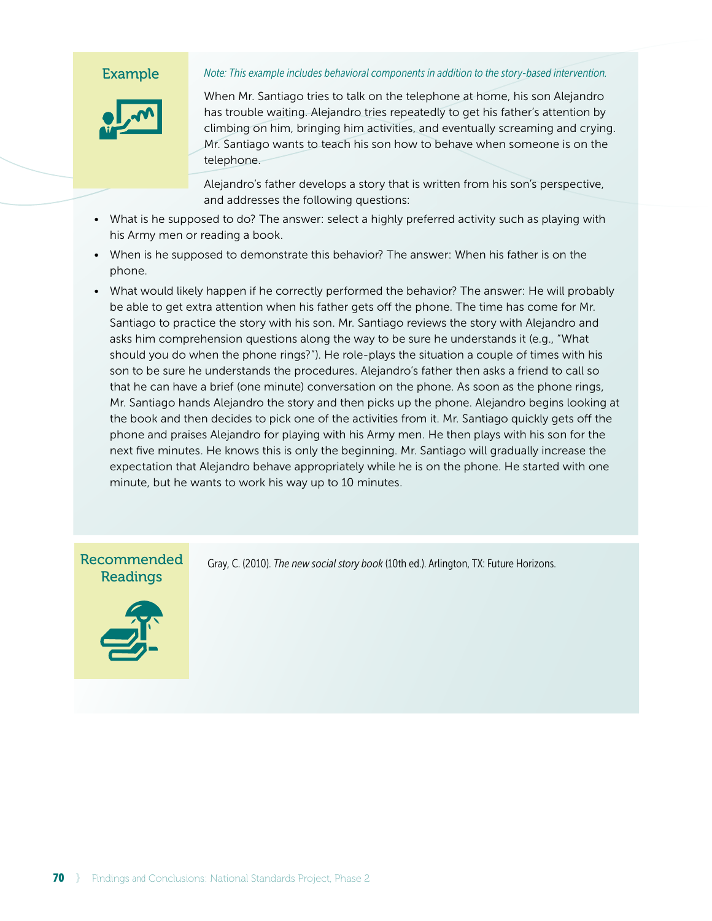*Note: This example includes behavioral components in addition to the story-based intervention.*

When Mr. Santiago tries to talk on the telephone at home, his son Alejandro has trouble waiting. Alejandro tries repeatedly to get his father's attention by climbing on him, bringing him activities, and eventually screaming and crying. Mr. Santiago wants to teach his son how to behave when someone is on the telephone.

Alejandro's father develops a story that is written from his son's perspective, and addresses the following questions:

- What is he supposed to do? The answer: select a highly preferred activity such as playing with his Army men or reading a book.
- When is he supposed to demonstrate this behavior? The answer: When his father is on the phone.
- What would likely happen if he correctly performed the behavior? The answer: He will probably be able to get extra attention when his father gets off the phone. The time has come for Mr. Santiago to practice the story with his son. Mr. Santiago reviews the story with Alejandro and asks him comprehension questions along the way to be sure he understands it (e.g., "What should you do when the phone rings?"). He role-plays the situation a couple of times with his son to be sure he understands the procedures. Alejandro's father then asks a friend to call so that he can have a brief (one minute) conversation on the phone. As soon as the phone rings, Mr. Santiago hands Alejandro the story and then picks up the phone. Alejandro begins looking at the book and then decides to pick one of the activities from it. Mr. Santiago quickly gets off the phone and praises Alejandro for playing with his Army men. He then plays with his son for the next five minutes. He knows this is only the beginning. Mr. Santiago will gradually increase the expectation that Alejandro behave appropriately while he is on the phone. He started with one minute, but he wants to work his way up to 10 minutes.

# Recommended **Readings**



Gray, C. (2010). *The new social story book* (10th ed.). Arlington, TX: Future Horizons.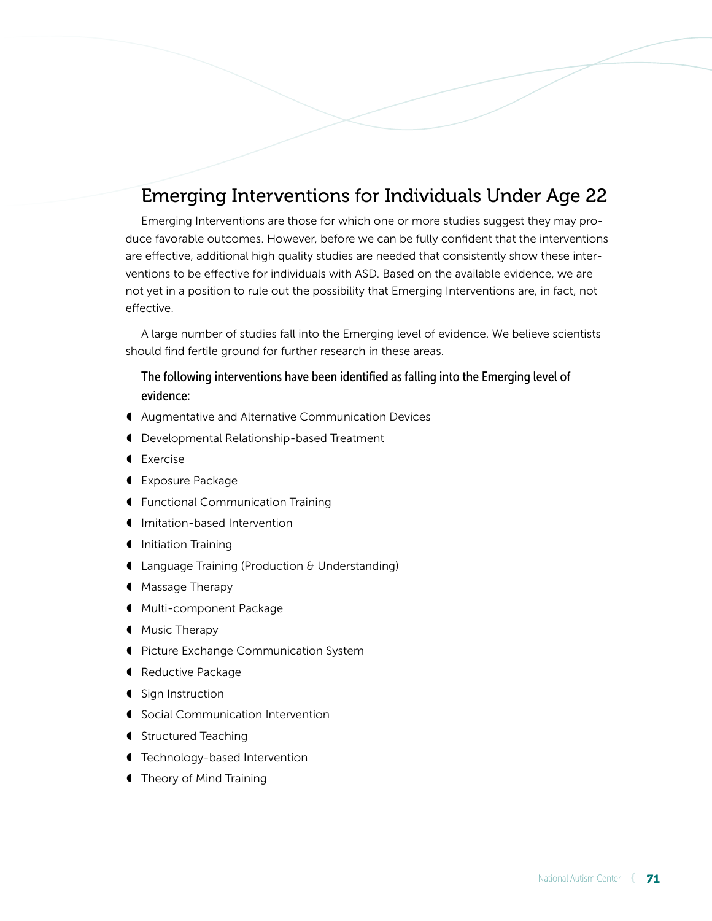# Emerging Interventions for Individuals Under Age 22

Emerging Interventions are those for which one or more studies suggest they may produce favorable outcomes. However, before we can be fully confident that the interventions are effective, additional high quality studies are needed that consistently show these interventions to be effective for individuals with ASD. Based on the available evidence, we are not yet in a position to rule out the possibility that Emerging Interventions are, in fact, not effective.

A large number of studies fall into the Emerging level of evidence. We believe scientists should find fertile ground for further research in these areas.

## The following interventions have been identified as falling into the Emerging level of evidence:

- ◖ Augmentative and Alternative Communication Devices
- ◖ Developmental Relationship-based Treatment
- ◖ Exercise
- ◖ Exposure Package
- ◖ Functional Communication Training
- ◖ Imitation-based Intervention
- ◖ Initiation Training
- ◖ Language Training (Production & Understanding)
- ◖ Massage Therapy
- ◖ Multi-component Package
- ◖ Music Therapy
- ◖ Picture Exchange Communication System
- ◖ Reductive Package
- **●** Sign Instruction
- ◖ Social Communication Intervention
- **■** Structured Teaching
- ◖ Technology-based Intervention
- ◖ Theory of Mind Training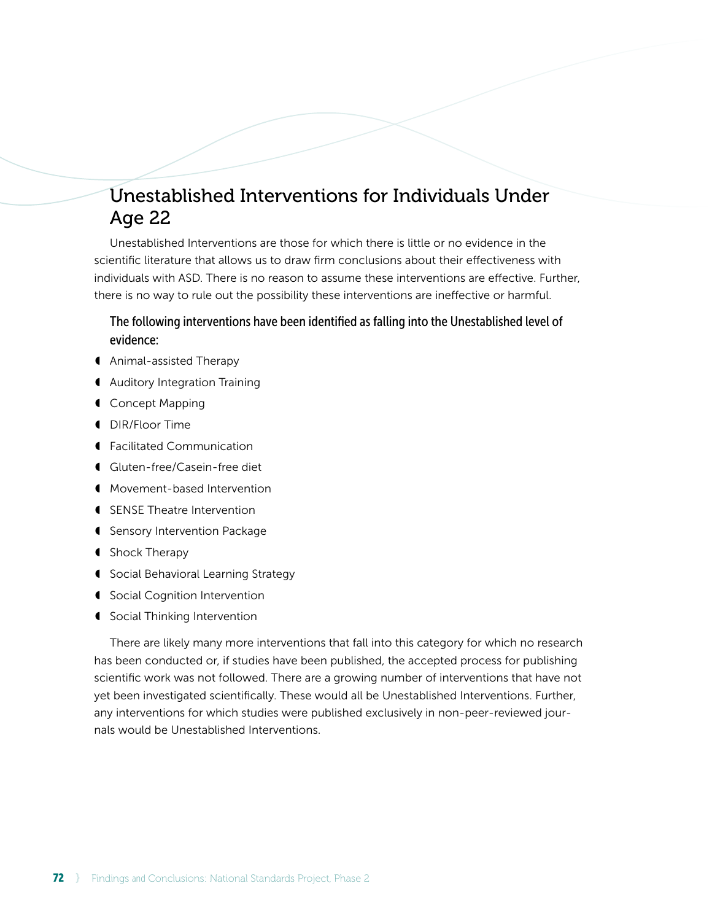# Unestablished Interventions for Individuals Under Age 22

Unestablished Interventions are those for which there is little or no evidence in the scientific literature that allows us to draw firm conclusions about their effectiveness with individuals with ASD. There is no reason to assume these interventions are effective. Further, there is no way to rule out the possibility these interventions are ineffective or harmful.

## The following interventions have been identified as falling into the Unestablished level of evidence:

- ◖ Animal-assisted Therapy
- ◖ Auditory Integration Training
- ◖ Concept Mapping
- ◖ DIR/Floor Time
- ◖ Facilitated Communication
- ◖ Gluten-free/Casein-free diet
- ◖ Movement-based Intervention
- ◖ SENSE Theatre Intervention
- ◖ Sensory Intervention Package
- ◖ Shock Therapy
- ◖ Social Behavioral Learning Strategy
- ◖ Social Cognition Intervention
- ◖ Social Thinking Intervention

There are likely many more interventions that fall into this category for which no research has been conducted or, if studies have been published, the accepted process for publishing scientific work was not followed. There are a growing number of interventions that have not yet been investigated scientifically. These would all be Unestablished Interventions. Further, any interventions for which studies were published exclusively in non-peer-reviewed journals would be Unestablished Interventions.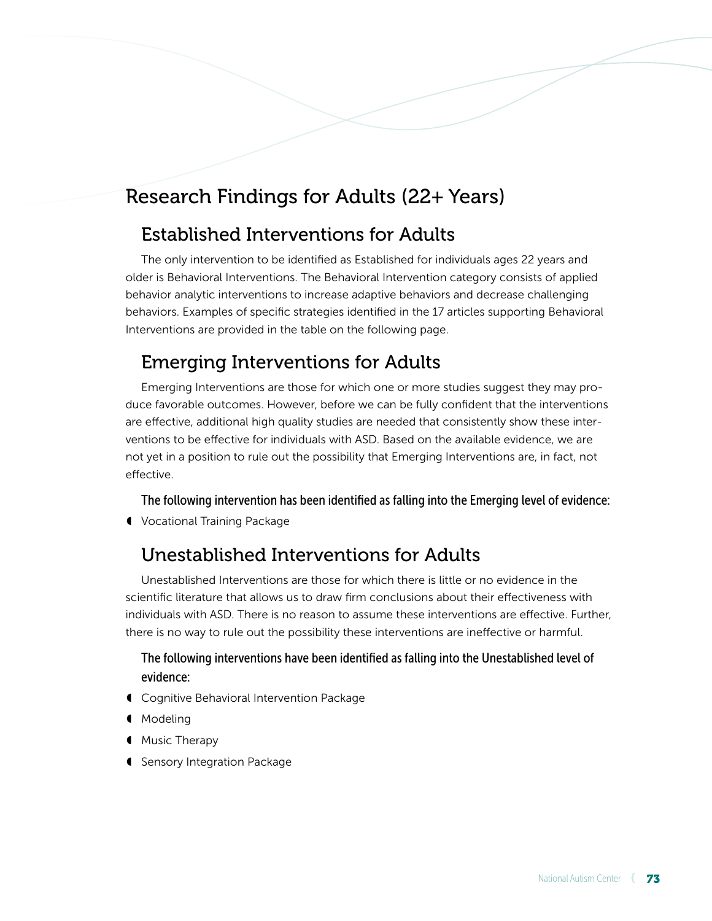# Research Findings for Adults (22+ Years)

# Established Interventions for Adults

The only intervention to be identified as Established for individuals ages 22 years and older is Behavioral Interventions. The Behavioral Intervention category consists of applied behavior analytic interventions to increase adaptive behaviors and decrease challenging behaviors. Examples of specific strategies identified in the 17 articles supporting Behavioral Interventions are provided in the table on the following page.

# Emerging Interventions for Adults

Emerging Interventions are those for which one or more studies suggest they may produce favorable outcomes. However, before we can be fully confident that the interventions are effective, additional high quality studies are needed that consistently show these interventions to be effective for individuals with ASD. Based on the available evidence, we are not yet in a position to rule out the possibility that Emerging Interventions are, in fact, not effective.

The following intervention has been identified as falling into the Emerging level of evidence:

◖ Vocational Training Package

# Unestablished Interventions for Adults

Unestablished Interventions are those for which there is little or no evidence in the scientific literature that allows us to draw firm conclusions about their effectiveness with individuals with ASD. There is no reason to assume these interventions are effective. Further, there is no way to rule out the possibility these interventions are ineffective or harmful.

## The following interventions have been identified as falling into the Unestablished level of evidence:

- ◖ Cognitive Behavioral Intervention Package
- ◖ Modeling
- **Music Therapy**
- ◖ Sensory Integration Package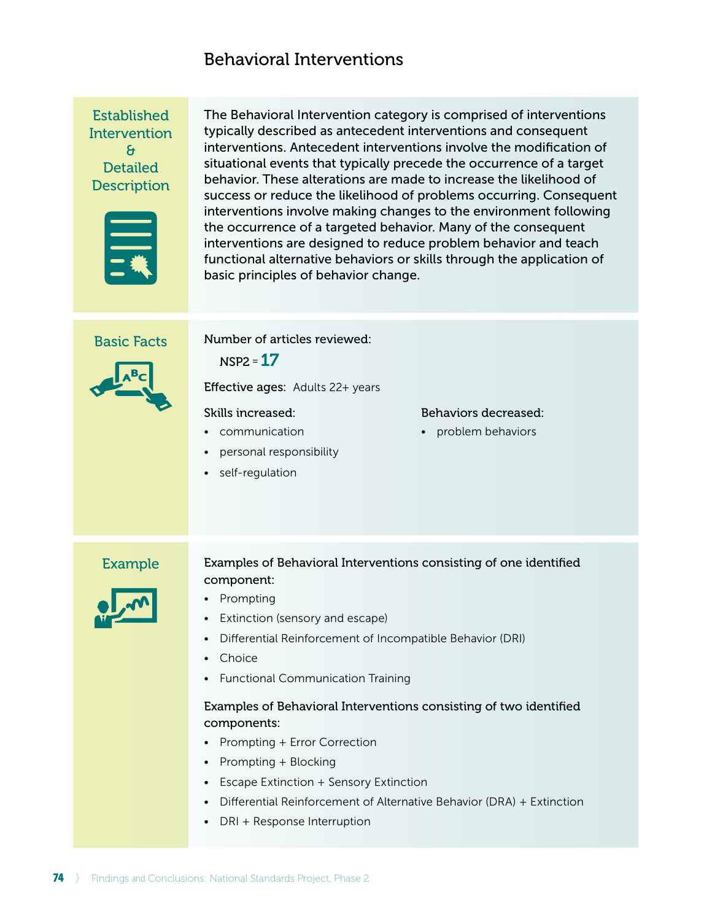## Behavioral Interventions

Established **Intervention** & **Detailed Description** 



The Behavioral Intervention category is comprised of interventions typically described as antecedent interventions and consequent interventions. Antecedent interventions involve the modification of situational events that typically precede the occurrence of a target behavior. These alterations are made to increase the likelihood of success or reduce the likelihood of problems occurring. Consequent interventions involve making changes to the environment following the occurrence of a targeted behavior. Many of the consequent interventions are designed to reduce problem behavior and teach functional alternative behaviors or skills through the application of basic principles of behavior change.

Basic Facts

Number of articles reviewed:



Effective ages: Adults 22+ years

Skills increased:

 $NSP2 = 17$ 

- communication
- personal responsibility
- self-regulation

#### Behaviors decreased:

• problem behaviors



## Example Examples of Behavioral Interventions consisting of one identified component:

- Prompting
- Extinction (sensory and escape)
- Differential Reinforcement of Incompatible Behavior (DRI)
- Choice
- Functional Communication Training

## Examples of Behavioral Interventions consisting of two identified components:

- Prompting + Error Correction
- Prompting + Blocking
- Escape Extinction + Sensory Extinction
- Differential Reinforcement of Alternative Behavior (DRA) + Extinction
- DRI + Response Interruption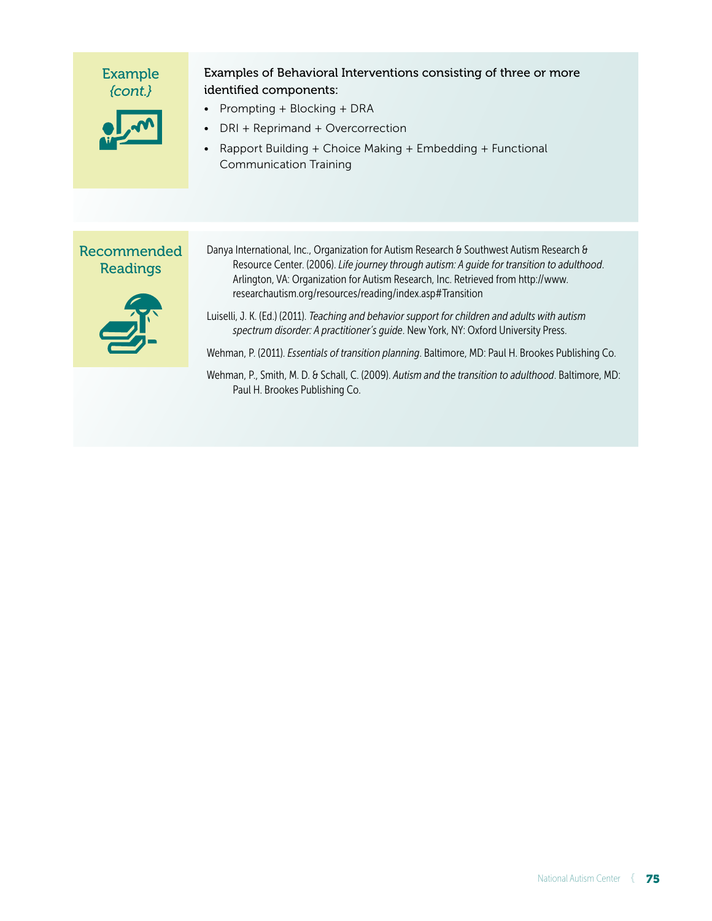| <b>Example</b><br>$\{cont.\}$                | Examples of Behavioral Interventions consisting of three or more<br>identified components:<br>Prompting + Blocking + DRA<br>DRI + Reprimand + Overcorrection<br>Rapport Building + Choice Making + Embedding + Functional<br><b>Communication Training</b>                                                                                                                                                                                                                                                                                                                                                                                      |
|----------------------------------------------|-------------------------------------------------------------------------------------------------------------------------------------------------------------------------------------------------------------------------------------------------------------------------------------------------------------------------------------------------------------------------------------------------------------------------------------------------------------------------------------------------------------------------------------------------------------------------------------------------------------------------------------------------|
| Recommended<br><b>Readings</b><br><u>ajr</u> | Danya International, Inc., Organization for Autism Research & Southwest Autism Research &<br>Resource Center. (2006). Life journey through autism: A guide for transition to adulthood.<br>Arlington, VA: Organization for Autism Research, Inc. Retrieved from http://www.<br>researchautism.org/resources/reading/index.asp#Transition<br>Luiselli, J. K. (Ed.) (2011). Teaching and behavior support for children and adults with autism<br>spectrum disorder: A practitioner's guide. New York, NY: Oxford University Press.<br>Wehman, P. (2011). <i>Essentials of transition planning</i> . Baltimore, MD: Paul H. Brookes Publishing Co. |
|                                              | Wehman, P., Smith, M. D. & Schall, C. (2009). Autism and the transition to adulthood. Baltimore, MD:<br>Paul H. Brookes Publishing Co.                                                                                                                                                                                                                                                                                                                                                                                                                                                                                                          |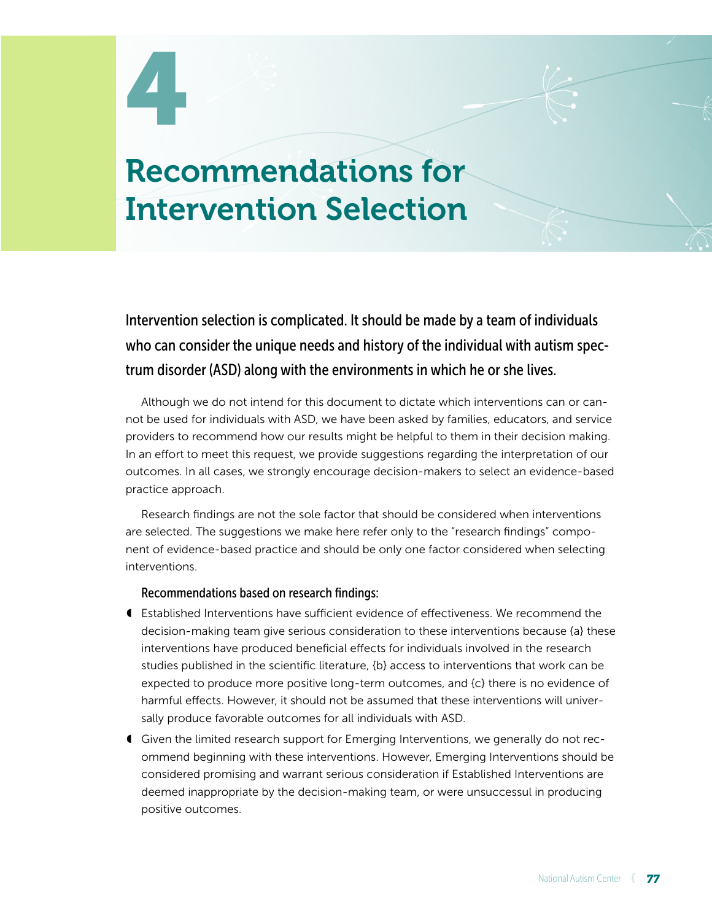# 4

# Recommendations for Intervention Selection

Intervention selection is complicated. It should be made by a team of individuals who can consider the unique needs and history of the individual with autism spectrum disorder (ASD) along with the environments in which he or she lives.

Although we do not intend for this document to dictate which interventions can or cannot be used for individuals with ASD, we have been asked by families, educators, and service providers to recommend how our results might be helpful to them in their decision making. In an effort to meet this request, we provide suggestions regarding the interpretation of our outcomes. In all cases, we strongly encourage decision-makers to select an evidence-based practice approach.

Research findings are not the sole factor that should be considered when interventions are selected. The suggestions we make here refer only to the "research findings" component of evidence-based practice and should be only one factor considered when selecting interventions.

### Recommendations based on research findings:

- ◖ Established Interventions have sufficient evidence of effectiveness. We recommend the decision-making team give serious consideration to these interventions because {a} these interventions have produced beneficial effects for individuals involved in the research studies published in the scientific literature, {b} access to interventions that work can be expected to produce more positive long-term outcomes, and {c} there is no evidence of harmful effects. However, it should not be assumed that these interventions will universally produce favorable outcomes for all individuals with ASD.
- ◖ Given the limited research support for Emerging Interventions, we generally do not recommend beginning with these interventions. However, Emerging Interventions should be considered promising and warrant serious consideration if Established Interventions are deemed inappropriate by the decision-making team, or were unsuccessul in producing positive outcomes.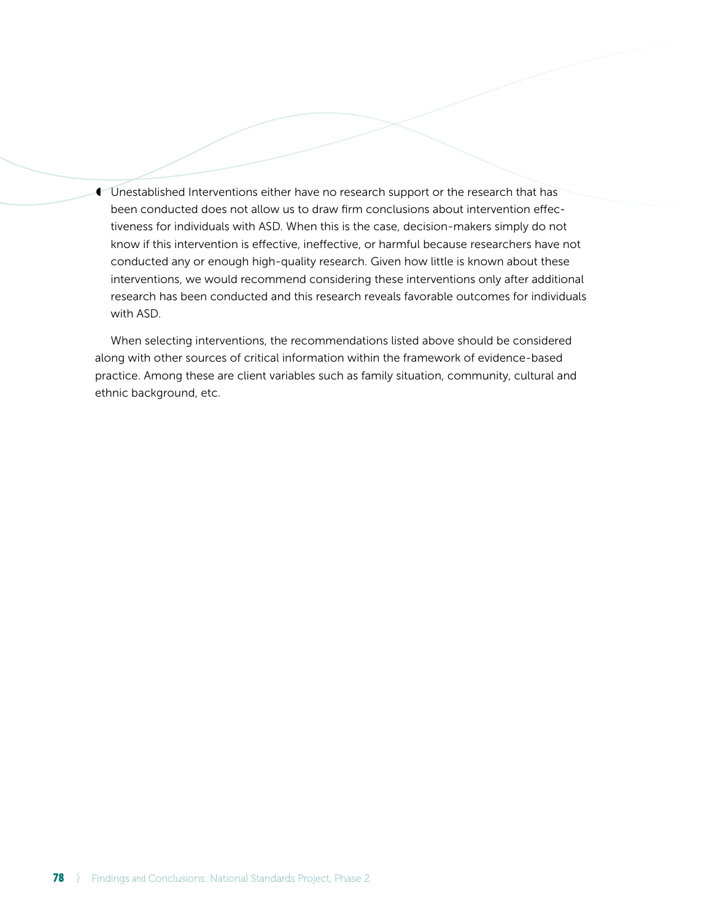**Unestablished Interventions either have no research support or the research that has** been conducted does not allow us to draw firm conclusions about intervention effectiveness for individuals with ASD. When this is the case, decision-makers simply do not know if this intervention is effective, ineffective, or harmful because researchers have not conducted any or enough high-quality research. Given how little is known about these interventions, we would recommend considering these interventions only after additional research has been conducted and this research reveals favorable outcomes for individuals with ASD.

When selecting interventions, the recommendations listed above should be considered along with other sources of critical information within the framework of evidence-based practice. Among these are client variables such as family situation, community, cultural and ethnic background, etc.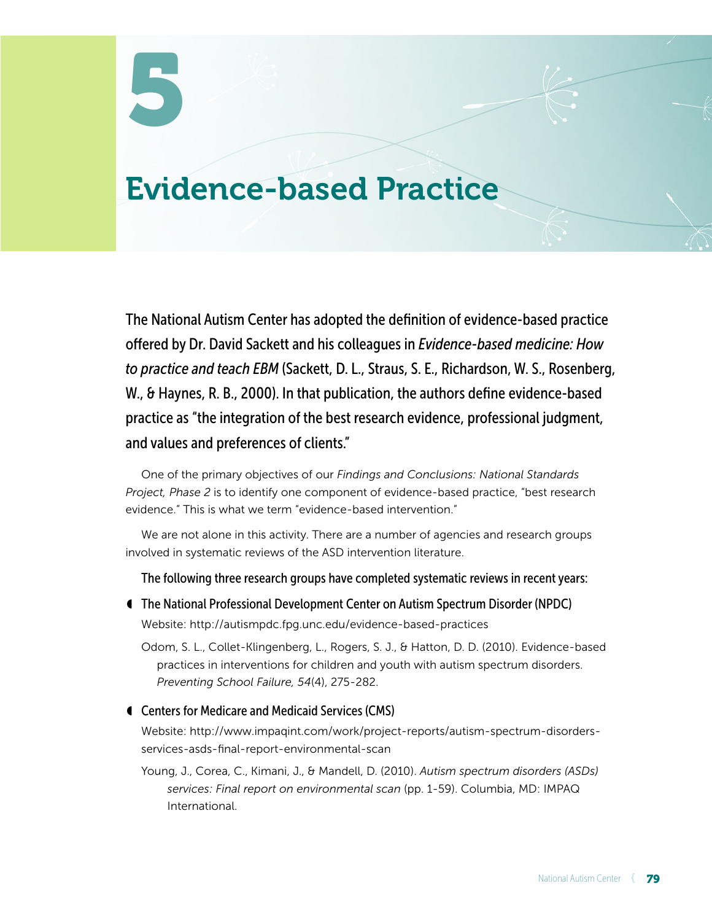# Evidence-based Practice

The National Autism Center has adopted the definition of evidence-based practice offered by Dr. David Sackett and his colleagues in *Evidence-based medicine: How to practice and teach EBM* (Sackett, D. L., Straus, S. E., Richardson, W. S., Rosenberg, W., & Haynes, R. B., 2000). In that publication, the authors define evidence-based practice as "the integration of the best research evidence, professional judgment, and values and preferences of clients."

One of the primary objectives of our *Findings and Conclusions: National Standards Project, Phase 2* is to identify one component of evidence-based practice, "best research evidence." This is what we term "evidence-based intervention."

We are not alone in this activity. There are a number of agencies and research groups involved in systematic reviews of the ASD intervention literature.

- The following three research groups have completed systematic reviews in recent years:
- ◖ The National Professional Development Center on Autism Spectrum Disorder (NPDC) Website: http://autismpdc.fpg.unc.edu/evidence-based-practices
	- Odom, S. L., Collet-Klingenberg, L., Rogers, S. J., & Hatton, D. D. (2010). Evidence-based practices in interventions for children and youth with autism spectrum disorders. *Preventing School Failure, 54*(4), 275-282.
- ◖ Centers for Medicare and Medicaid Services (CMS)

Website: http://www.impaqint.com/work/project-reports/autism-spectrum-disordersservices-asds-final-report-environmental-scan

Young, J., Corea, C., Kimani, J., & Mandell, D. (2010). *Autism spectrum disorders (ASDs) services: Final report on environmental scan* (pp. 1-59). Columbia, MD: IMPAQ International.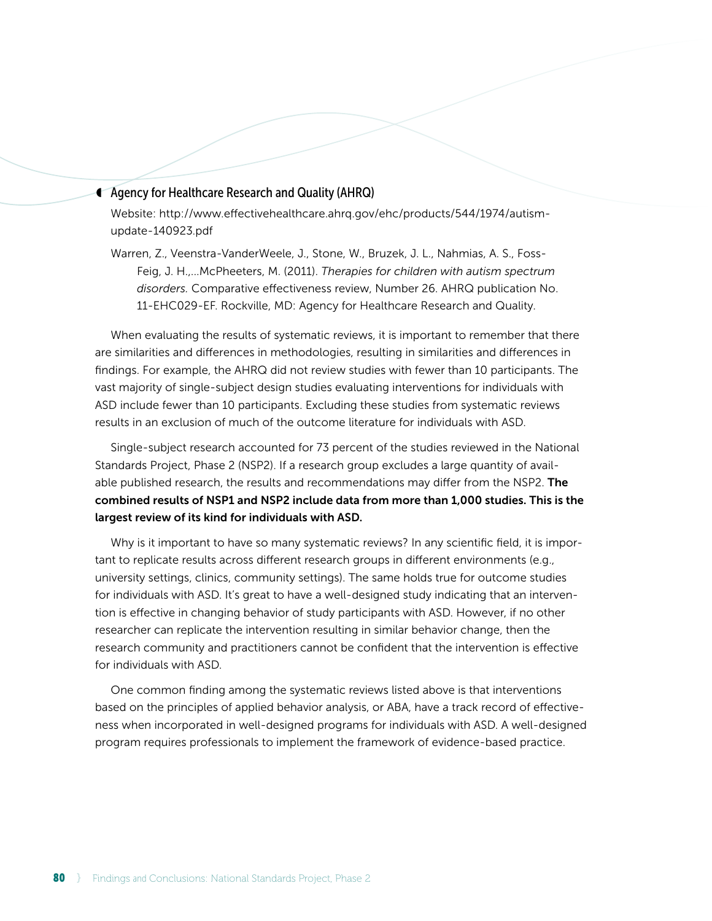#### ◖ Agency for Healthcare Research and Quality (AHRQ)

Website: http://www.effectivehealthcare.ahrq.gov/ehc/products/544/1974/autismupdate-140923.pdf

Warren, Z., Veenstra-VanderWeele, J., Stone, W., Bruzek, J. L., Nahmias, A. S., Foss-Feig, J. H.,...McPheeters, M. (2011). *Therapies for children with autism spectrum disorders.* Comparative effectiveness review, Number 26. AHRQ publication No. 11-EHC029-EF. Rockville, MD: Agency for Healthcare Research and Quality.

When evaluating the results of systematic reviews, it is important to remember that there are similarities and differences in methodologies, resulting in similarities and differences in findings. For example, the AHRQ did not review studies with fewer than 10 participants. The vast majority of single-subject design studies evaluating interventions for individuals with ASD include fewer than 10 participants. Excluding these studies from systematic reviews results in an exclusion of much of the outcome literature for individuals with ASD.

Single-subject research accounted for 73 percent of the studies reviewed in the National Standards Project, Phase 2 (NSP2). If a research group excludes a large quantity of available published research, the results and recommendations may differ from the NSP2. The combined results of NSP1 and NSP2 include data from more than 1,000 studies. This is the largest review of its kind for individuals with ASD.

Why is it important to have so many systematic reviews? In any scientific field, it is important to replicate results across different research groups in different environments (e.g., university settings, clinics, community settings). The same holds true for outcome studies for individuals with ASD. It's great to have a well-designed study indicating that an intervention is effective in changing behavior of study participants with ASD. However, if no other researcher can replicate the intervention resulting in similar behavior change, then the research community and practitioners cannot be confident that the intervention is effective for individuals with ASD.

One common finding among the systematic reviews listed above is that interventions based on the principles of applied behavior analysis, or ABA, have a track record of effectiveness when incorporated in well-designed programs for individuals with ASD. A well-designed program requires professionals to implement the framework of evidence-based practice.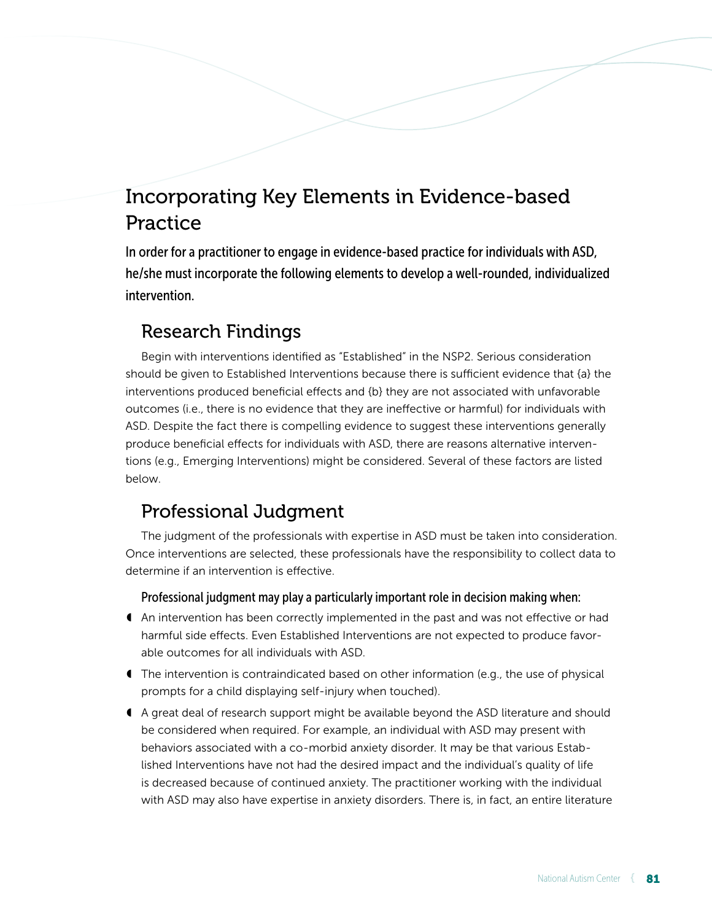# Incorporating Key Elements in Evidence-based Practice

In order for a practitioner to engage in evidence-based practice for individuals with ASD, he/she must incorporate the following elements to develop a well-rounded, individualized intervention.

# Research Findings

Begin with interventions identified as "Established" in the NSP2. Serious consideration should be given to Established Interventions because there is sufficient evidence that {a} the interventions produced beneficial effects and {b} they are not associated with unfavorable outcomes (i.e., there is no evidence that they are ineffective or harmful) for individuals with ASD. Despite the fact there is compelling evidence to suggest these interventions generally produce beneficial effects for individuals with ASD, there are reasons alternative interventions (e.g., Emerging Interventions) might be considered. Several of these factors are listed below.

# Professional Judgment

The judgment of the professionals with expertise in ASD must be taken into consideration. Once interventions are selected, these professionals have the responsibility to collect data to determine if an intervention is effective.

Professional judgment may play a particularly important role in decision making when:

- ◖ An intervention has been correctly implemented in the past and was not effective or had harmful side effects. Even Established Interventions are not expected to produce favorable outcomes for all individuals with ASD.
- ◖ The intervention is contraindicated based on other information (e.g., the use of physical prompts for a child displaying self-injury when touched).
- ◖ A great deal of research support might be available beyond the ASD literature and should be considered when required. For example, an individual with ASD may present with behaviors associated with a co-morbid anxiety disorder. It may be that various Established Interventions have not had the desired impact and the individual's quality of life is decreased because of continued anxiety. The practitioner working with the individual with ASD may also have expertise in anxiety disorders. There is, in fact, an entire literature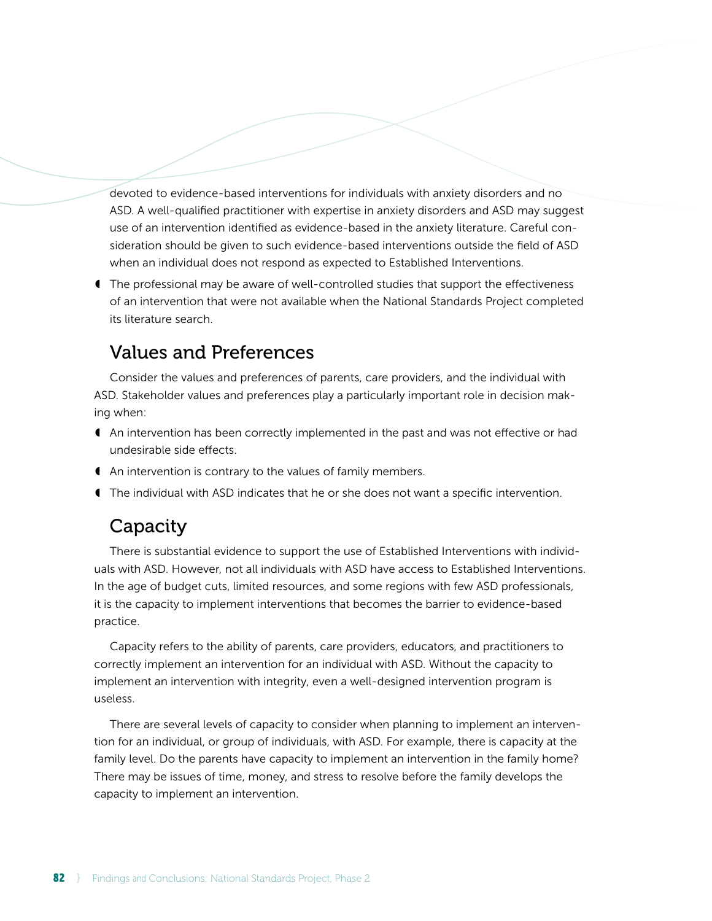devoted to evidence-based interventions for individuals with anxiety disorders and no ASD. A well-qualified practitioner with expertise in anxiety disorders and ASD may suggest use of an intervention identified as evidence-based in the anxiety literature. Careful consideration should be given to such evidence-based interventions outside the field of ASD when an individual does not respond as expected to Established Interventions.

◖ The professional may be aware of well-controlled studies that support the effectiveness of an intervention that were not available when the National Standards Project completed its literature search.

## Values and Preferences

Consider the values and preferences of parents, care providers, and the individual with ASD. Stakeholder values and preferences play a particularly important role in decision making when:

- ◖ An intervention has been correctly implemented in the past and was not effective or had undesirable side effects.
- ◖ An intervention is contrary to the values of family members.
- ◖ The individual with ASD indicates that he or she does not want a specific intervention.

## Capacity

There is substantial evidence to support the use of Established Interventions with individuals with ASD. However, not all individuals with ASD have access to Established Interventions. In the age of budget cuts, limited resources, and some regions with few ASD professionals, it is the capacity to implement interventions that becomes the barrier to evidence-based practice.

Capacity refers to the ability of parents, care providers, educators, and practitioners to correctly implement an intervention for an individual with ASD. Without the capacity to implement an intervention with integrity, even a well-designed intervention program is useless.

There are several levels of capacity to consider when planning to implement an intervention for an individual, or group of individuals, with ASD. For example, there is capacity at the family level. Do the parents have capacity to implement an intervention in the family home? There may be issues of time, money, and stress to resolve before the family develops the capacity to implement an intervention.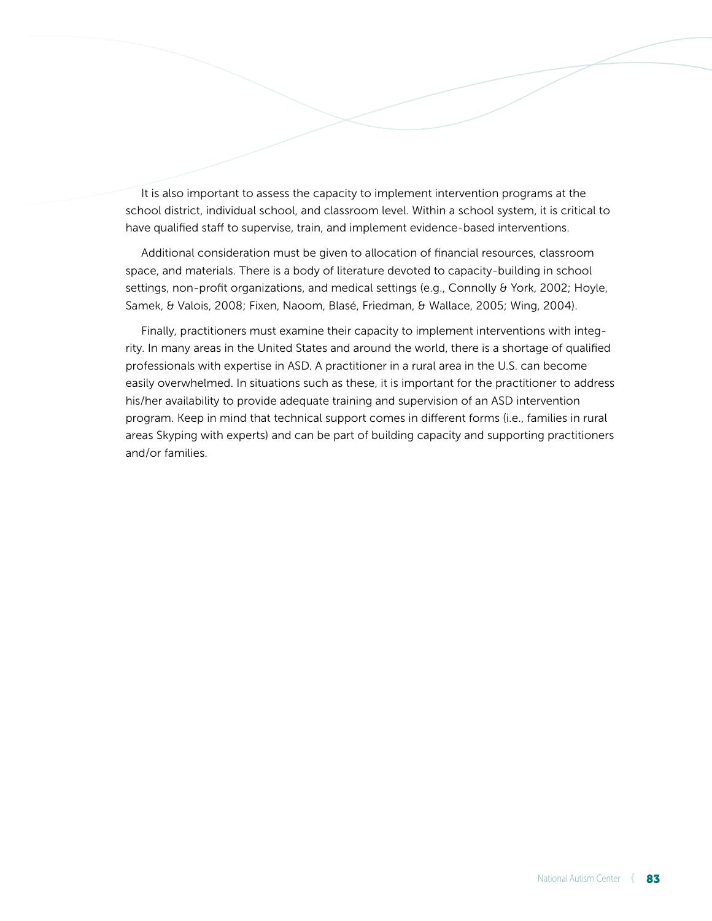It is also important to assess the capacity to implement intervention programs at the school district, individual school, and classroom level. Within a school system, it is critical to have qualified staff to supervise, train, and implement evidence-based interventions.

Additional consideration must be given to allocation of financial resources, classroom space, and materials. There is a body of literature devoted to capacity-building in school settings, non-profit organizations, and medical settings (e.g., Connolly & York, 2002; Hoyle, Samek, & Valois, 2008; Fixen, Naoom, Blasé, Friedman, & Wallace, 2005; Wing, 2004).

Finally, practitioners must examine their capacity to implement interventions with integrity. In many areas in the United States and around the world, there is a shortage of qualified professionals with expertise in ASD. A practitioner in a rural area in the U.S. can become easily overwhelmed. In situations such as these, it is important for the practitioner to address his/her availability to provide adequate training and supervision of an ASD intervention program. Keep in mind that technical support comes in different forms (i.e., families in rural areas Skyping with experts) and can be part of building capacity and supporting practitioners and/or families.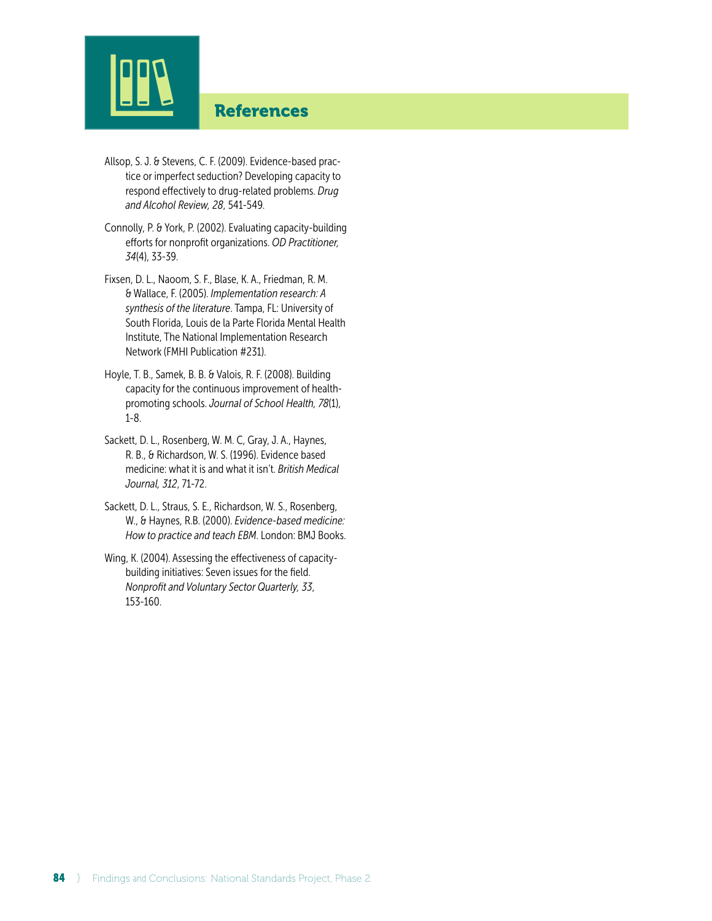

## References

- Allsop, S. J. & Stevens, C. F. (2009). Evidence-based practice or imperfect seduction? Developing capacity to respond effectively to drug-related problems. *Drug and Alcohol Review, 28*, 541-549.
- Connolly, P. & York, P. (2002). Evaluating capacity-building efforts for nonprofit organizations. *OD Practitioner, 34*(4), 33-39.
- Fixsen, D. L., Naoom, S. F., Blase, K. A., Friedman, R. M. & Wallace, F. (2005). *Implementation research: A synthesis of the literature*. Tampa, FL: University of South Florida, Louis de la Parte Florida Mental Health Institute, The National Implementation Research Network (FMHI Publication #231).
- Hoyle, T. B., Samek, B. B. & Valois, R. F. (2008). Building capacity for the continuous improvement of healthpromoting schools. *Journal of School Health, 78*(1), 1-8.
- Sackett, D. L., Rosenberg, W. M. C, Gray, J. A., Haynes, R. B., & Richardson, W. S. (1996). Evidence based medicine: what it is and what it isn't. *British Medical Journal, 312*, 71-72.
- Sackett, D. L., Straus, S. E., Richardson, W. S., Rosenberg, W., & Haynes, R.B. (2000). *Evidence-based medicine: How to practice and teach EBM*. London: BMJ Books.
- Wing, K. (2004). Assessing the effectiveness of capacitybuilding initiatives: Seven issues for the field. *Nonprofit and Voluntary Sector Quarterly, 33*, 153-160.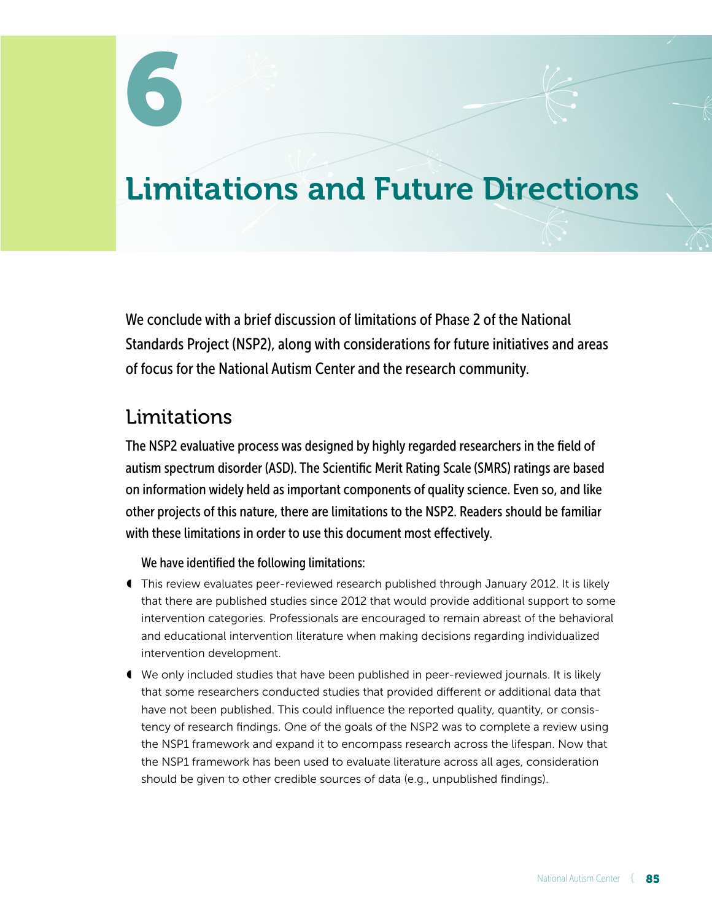# Limitations and Future Directions

We conclude with a brief discussion of limitations of Phase 2 of the National Standards Project (NSP2), along with considerations for future initiatives and areas of focus for the National Autism Center and the research community.

# Limitations

The NSP2 evaluative process was designed by highly regarded researchers in the field of autism spectrum disorder (ASD). The Scientific Merit Rating Scale (SMRS) ratings are based on information widely held as important components of quality science. Even so, and like other projects of this nature, there are limitations to the NSP2. Readers should be familiar with these limitations in order to use this document most effectively.

## We have identified the following limitations:

- ◖ This review evaluates peer-reviewed research published through January 2012. It is likely that there are published studies since 2012 that would provide additional support to some intervention categories. Professionals are encouraged to remain abreast of the behavioral and educational intervention literature when making decisions regarding individualized intervention development.
- ◖ We only included studies that have been published in peer-reviewed journals. It is likely that some researchers conducted studies that provided different or additional data that have not been published. This could influence the reported quality, quantity, or consistency of research findings. One of the goals of the NSP2 was to complete a review using the NSP1 framework and expand it to encompass research across the lifespan. Now that the NSP1 framework has been used to evaluate literature across all ages, consideration should be given to other credible sources of data (e.g., unpublished findings).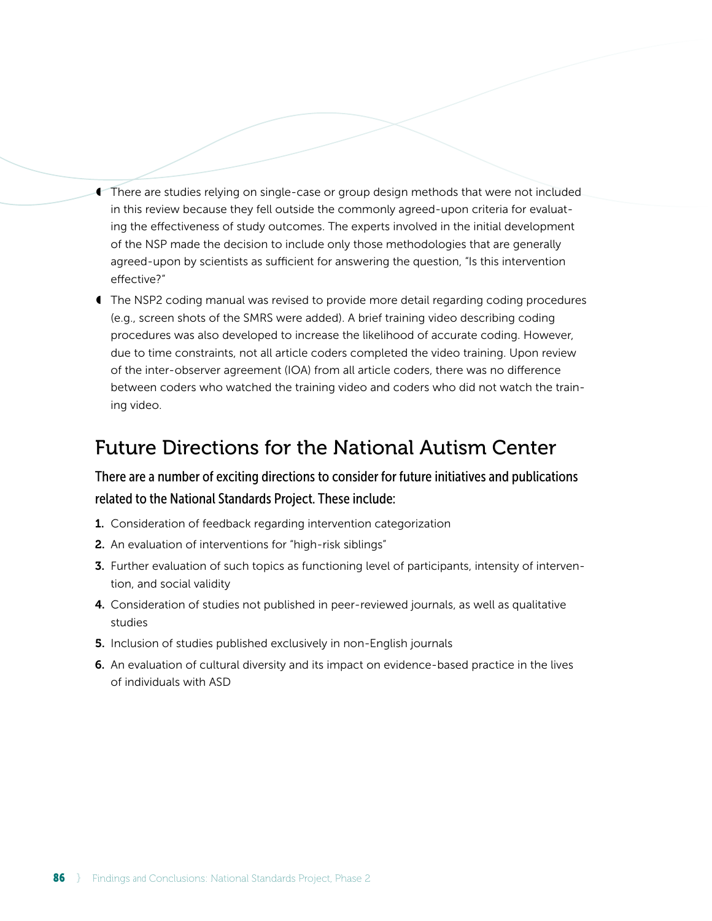- ◖ There are studies relying on single-case or group design methods that were not included in this review because they fell outside the commonly agreed-upon criteria for evaluating the effectiveness of study outcomes. The experts involved in the initial development of the NSP made the decision to include only those methodologies that are generally agreed-upon by scientists as sufficient for answering the question, "Is this intervention effective?"
- ◖ The NSP2 coding manual was revised to provide more detail regarding coding procedures (e.g., screen shots of the SMRS were added). A brief training video describing coding procedures was also developed to increase the likelihood of accurate coding. However, due to time constraints, not all article coders completed the video training. Upon review of the inter-observer agreement (IOA) from all article coders, there was no difference between coders who watched the training video and coders who did not watch the training video.

# Future Directions for the National Autism Center

There are a number of exciting directions to consider for future initiatives and publications related to the National Standards Project. These include:

- 1. Consideration of feedback regarding intervention categorization
- 2. An evaluation of interventions for "high-risk siblings"
- **3.** Further evaluation of such topics as functioning level of participants, intensity of intervention, and social validity
- 4. Consideration of studies not published in peer-reviewed journals, as well as qualitative studies
- 5. Inclusion of studies published exclusively in non-English journals
- 6. An evaluation of cultural diversity and its impact on evidence-based practice in the lives of individuals with ASD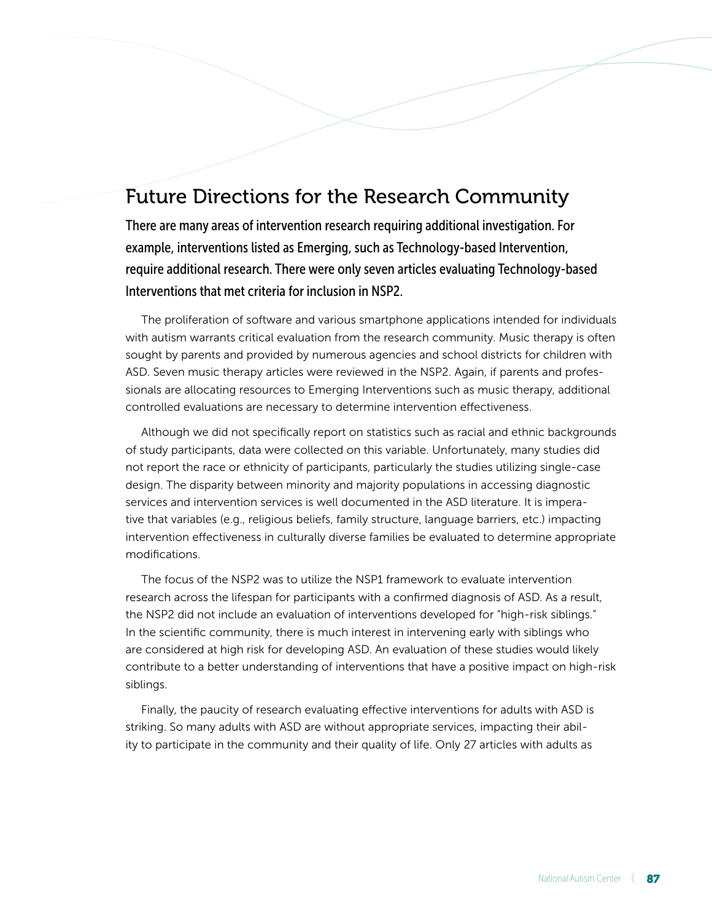# Future Directions for the Research Community

There are many areas of intervention research requiring additional investigation. For example, interventions listed as Emerging, such as Technology-based Intervention, require additional research. There were only seven articles evaluating Technology-based Interventions that met criteria for inclusion in NSP2.

The proliferation of software and various smartphone applications intended for individuals with autism warrants critical evaluation from the research community. Music therapy is often sought by parents and provided by numerous agencies and school districts for children with ASD. Seven music therapy articles were reviewed in the NSP2. Again, if parents and professionals are allocating resources to Emerging Interventions such as music therapy, additional controlled evaluations are necessary to determine intervention effectiveness.

Although we did not specifically report on statistics such as racial and ethnic backgrounds of study participants, data were collected on this variable. Unfortunately, many studies did not report the race or ethnicity of participants, particularly the studies utilizing single-case design. The disparity between minority and majority populations in accessing diagnostic services and intervention services is well documented in the ASD literature. It is imperative that variables (e.g., religious beliefs, family structure, language barriers, etc.) impacting intervention effectiveness in culturally diverse families be evaluated to determine appropriate modifications.

The focus of the NSP2 was to utilize the NSP1 framework to evaluate intervention research across the lifespan for participants with a confirmed diagnosis of ASD. As a result, the NSP2 did not include an evaluation of interventions developed for "high-risk siblings." In the scientific community, there is much interest in intervening early with siblings who are considered at high risk for developing ASD. An evaluation of these studies would likely contribute to a better understanding of interventions that have a positive impact on high-risk siblings.

Finally, the paucity of research evaluating effective interventions for adults with ASD is striking. So many adults with ASD are without appropriate services, impacting their ability to participate in the community and their quality of life. Only 27 articles with adults as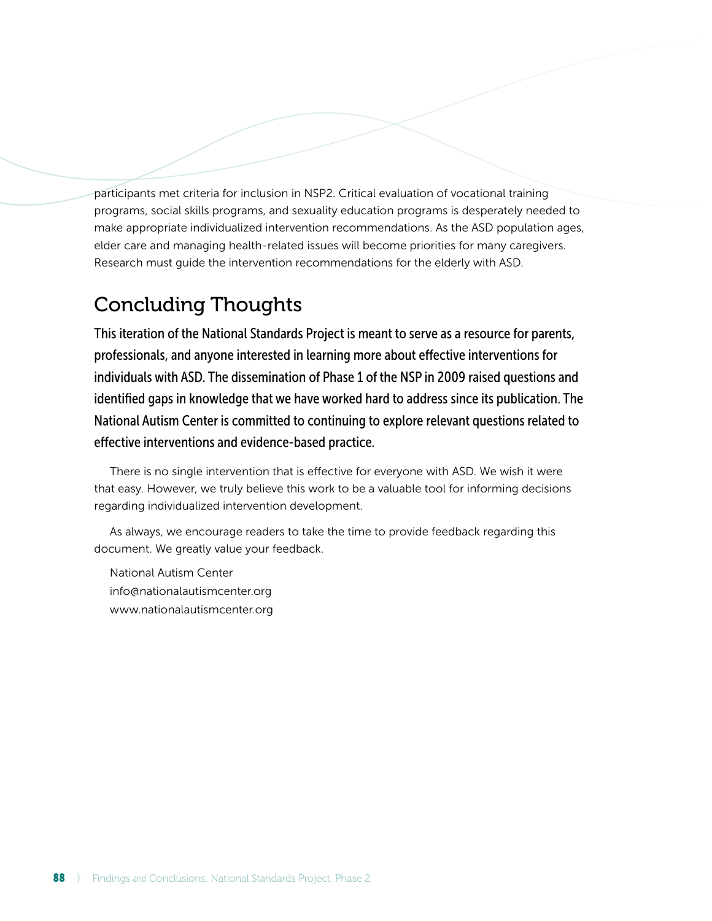participants met criteria for inclusion in NSP2. Critical evaluation of vocational training programs, social skills programs, and sexuality education programs is desperately needed to make appropriate individualized intervention recommendations. As the ASD population ages, elder care and managing health-related issues will become priorities for many caregivers. Research must guide the intervention recommendations for the elderly with ASD.

# Concluding Thoughts

This iteration of the National Standards Project is meant to serve as a resource for parents, professionals, and anyone interested in learning more about effective interventions for individuals with ASD. The dissemination of Phase 1 of the NSP in 2009 raised questions and identified gaps in knowledge that we have worked hard to address since its publication. The National Autism Center is committed to continuing to explore relevant questions related to effective interventions and evidence-based practice.

There is no single intervention that is effective for everyone with ASD. We wish it were that easy. However, we truly believe this work to be a valuable tool for informing decisions regarding individualized intervention development.

As always, we encourage readers to take the time to provide feedback regarding this document. We greatly value your feedback.

National Autism Center info@nationalautismcenter.org www.nationalautismcenter.org